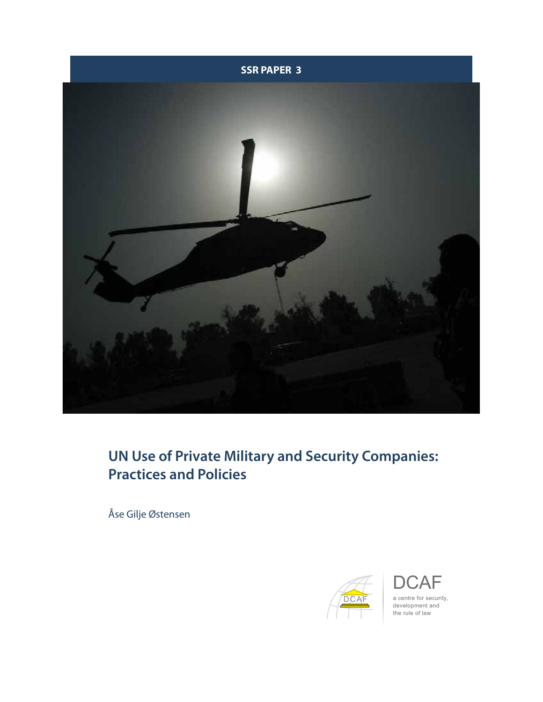



# **UN Use of Private Military and Security Companies: Practices and Policies**

Åse Gilje Østensen



 $\overline{\mathsf{A}}\mathsf{F}$ a centre for security, development and the rule of law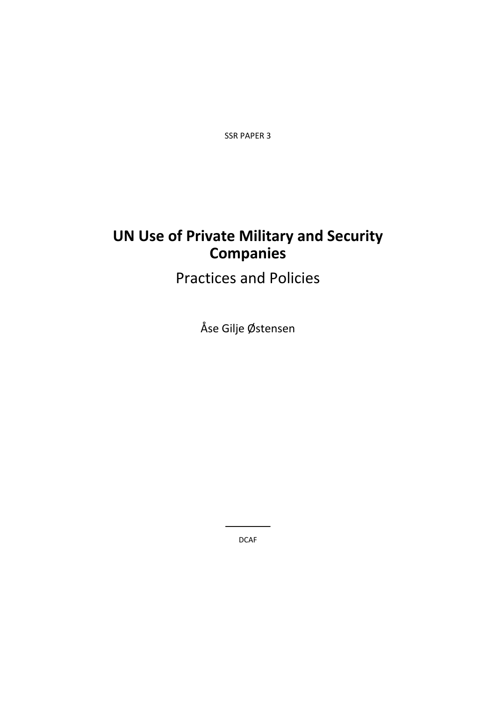SSR PAPER 3

# **UN Use of Private Military and Security Companies**

# Practices and Policies

Åse Gilje Østensen

DCAF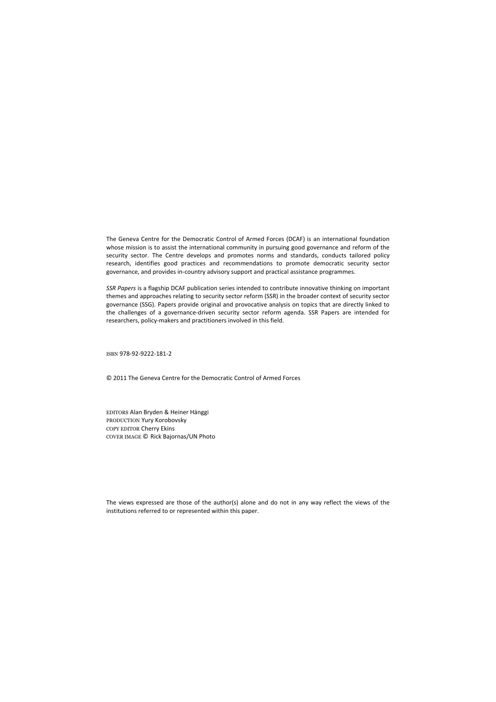The Geneva Centre for the Democratic Control of Armed Forces (DCAF) is an international foundation whose mission is to assist the international community in pursuing good governance and reform of the security sector. The Centre develops and promotes norms and standards, conducts tailored policy research, identifies good practices and recommendations to promote democratic security sector governance, and provides in‐country advisory support and practical assistance programmes.

*SSR Papers* is a flagship DCAF publication series intended to contribute innovative thinking on important themes and approaches relating to security sector reform (SSR) in the broader context of security sector governance (SSG). Papers provide original and provocative analysis on topics that are directly linked to the challenges of a governance‐driven security sector reform agenda. SSR Papers are intended for researchers, policy‐makers and practitioners involved in this field.

ISBN 978‐92‐9222‐181‐2

© 2011 The Geneva Centre for the Democratic Control of Armed Forces

EDITORS Alan Bryden & Heiner Hänggi PRODUCTION Yury Korobovsky COPY EDITOR Cherry Ekins COVER IMAGE © Rick Bajornas/UN Photo

The views expressed are those of the author(s) alone and do not in any way reflect the views of the institutions referred to or represented within this paper.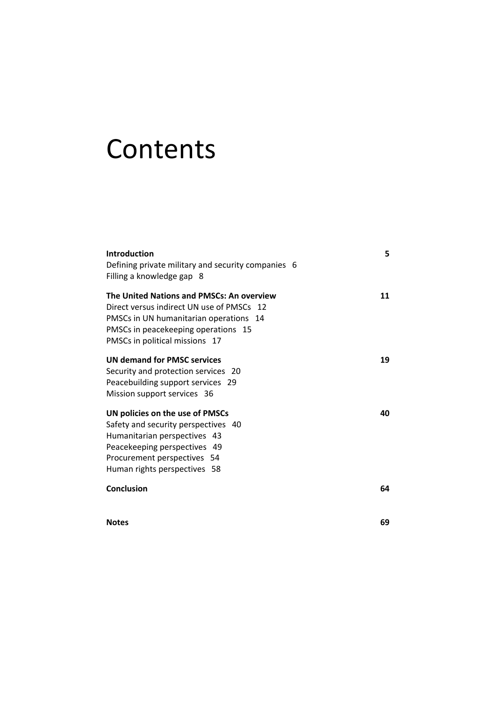# **Contents**

| <b>Introduction</b>                                | 5  |
|----------------------------------------------------|----|
| Defining private military and security companies 6 |    |
| Filling a knowledge gap 8                          |    |
| The United Nations and PMSCs: An overview          | 11 |
| Direct versus indirect UN use of PMSCs 12          |    |
| PMSCs in UN humanitarian operations 14             |    |
| PMSCs in peacekeeping operations 15                |    |
| PMSCs in political missions 17                     |    |
| <b>UN demand for PMSC services</b>                 | 19 |
| Security and protection services 20                |    |
| Peacebuilding support services 29                  |    |
| Mission support services 36                        |    |
| UN policies on the use of PMSCs                    | 40 |
| Safety and security perspectives 40                |    |
| Humanitarian perspectives 43                       |    |
| Peacekeeping perspectives 49                       |    |
| Procurement perspectives 54                        |    |
| Human rights perspectives 58                       |    |
| Conclusion                                         | 64 |
|                                                    |    |
|                                                    |    |

**Notes 69**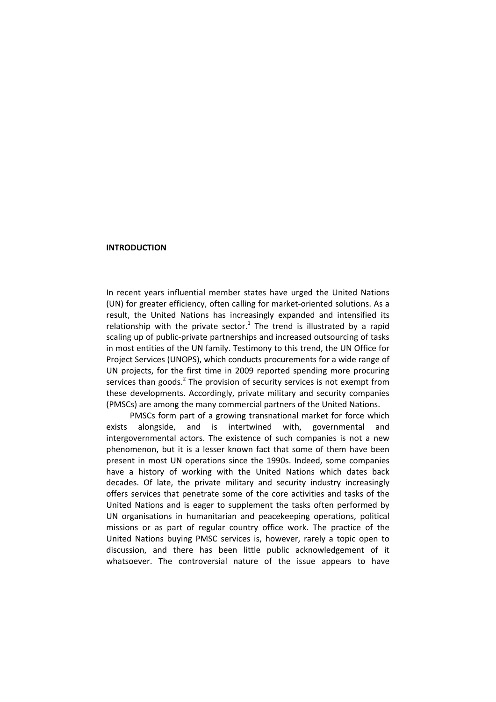#### **INTRODUCTION**

In recent years influential member states have urged the United Nations (UN) for greater efficiency, often calling for market‐oriented solutions. As a result, the United Nations has increasingly expanded and intensified its relationship with the private sector.<sup>1</sup> The trend is illustrated by a rapid scaling up of public‐private partnerships and increased outsourcing of tasks in most entities of the UN family. Testimony to this trend, the UN Office for Project Services (UNOPS), which conducts procurements for a wide range of UN projects, for the first time in 2009 reported spending more procuring services than goods. $<sup>2</sup>$  The provision of security services is not exempt from</sup> these developments. Accordingly, private military and security companies (PMSCs) are among the many commercial partners of the United Nations.

PMSCs form part of a growing transnational market for force which exists alongside, and is intertwined with, governmental and intergovernmental actors. The existence of such companies is not a new phenomenon, but it is a lesser known fact that some of them have been present in most UN operations since the 1990s. Indeed, some companies have a history of working with the United Nations which dates back decades. Of late, the private military and security industry increasingly offers services that penetrate some of the core activities and tasks of the United Nations and is eager to supplement the tasks often performed by UN organisations in humanitarian and peacekeeping operations, political missions or as part of regular country office work. The practice of the United Nations buying PMSC services is, however, rarely a topic open to discussion, and there has been little public acknowledgement of it whatsoever. The controversial nature of the issue appears to have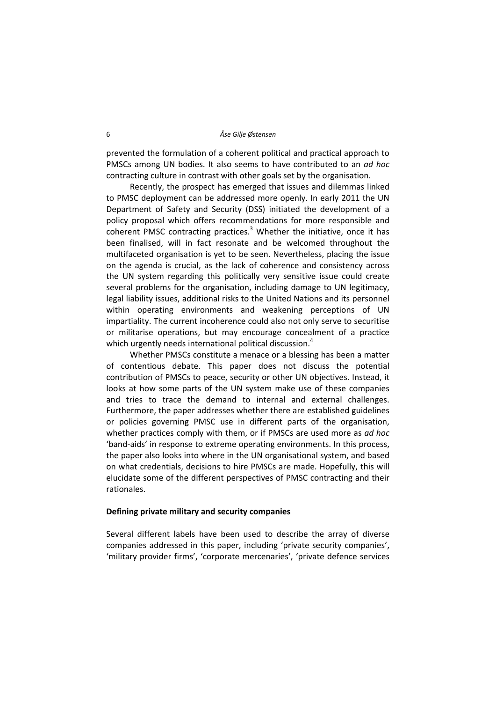prevented the formulation of a coherent political and practical approach to PMSCs among UN bodies. It also seems to have contributed to an *ad hoc* contracting culture in contrast with other goals set by the organisation.

Recently, the prospect has emerged that issues and dilemmas linked to PMSC deployment can be addressed more openly. In early 2011 the UN Department of Safety and Security (DSS) initiated the development of a policy proposal which offers recommendations for more responsible and coherent PMSC contracting practices.<sup>3</sup> Whether the initiative, once it has been finalised, will in fact resonate and be welcomed throughout the multifaceted organisation is yet to be seen. Nevertheless, placing the issue on the agenda is crucial, as the lack of coherence and consistency across the UN system regarding this politically very sensitive issue could create several problems for the organisation, including damage to UN legitimacy, legal liability issues, additional risks to the United Nations and its personnel within operating environments and weakening perceptions of UN impartiality. The current incoherence could also not only serve to securitise or militarise operations, but may encourage concealment of a practice which urgently needs international political discussion.<sup>4</sup>

Whether PMSCs constitute a menace or a blessing has been a matter of contentious debate. This paper does not discuss the potential contribution of PMSCs to peace, security or other UN objectives. Instead, it looks at how some parts of the UN system make use of these companies and tries to trace the demand to internal and external challenges. Furthermore, the paper addresses whether there are established guidelines or policies governing PMSC use in different parts of the organisation, whether practices comply with them, or if PMSCs are used more as *ad hoc* 'band‐aids' in response to extreme operating environments. In this process, the paper also looks into where in the UN organisational system, and based on what credentials, decisions to hire PMSCs are made. Hopefully, this will elucidate some of the different perspectives of PMSC contracting and their rationales.

#### **Defining private military and security companies**

Several different labels have been used to describe the array of diverse companies addressed in this paper, including 'private security companies', 'military provider firms', 'corporate mercenaries', 'private defence services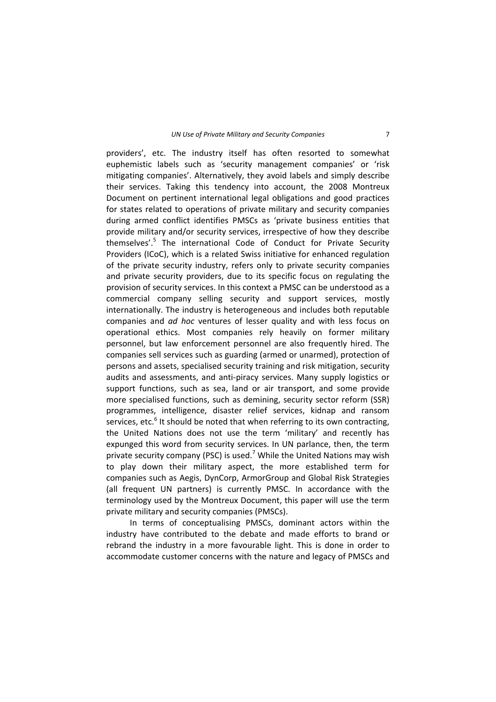providers', etc. The industry itself has often resorted to somewhat euphemistic labels such as 'security management companies' or 'risk mitigating companies'. Alternatively, they avoid labels and simply describe their services. Taking this tendency into account, the 2008 Montreux Document on pertinent international legal obligations and good practices for states related to operations of private military and security companies during armed conflict identifies PMSCs as 'private business entities that provide military and/or security services, irrespective of how they describe themselves<sup>'.5</sup> The international Code of Conduct for Private Security Providers (ICoC), which is a related Swiss initiative for enhanced regulation of the private security industry, refers only to private security companies and private security providers, due to its specific focus on regulating the provision of security services. In this context a PMSC can be understood as a commercial company selling security and support services, mostly internationally. The industry is heterogeneous and includes both reputable companies and *ad hoc* ventures of lesser quality and with less focus on operational ethics. Most companies rely heavily on former military personnel, but law enforcement personnel are also frequently hired. The companies sell services such as guarding (armed or unarmed), protection of persons and assets, specialised security training and risk mitigation, security audits and assessments, and anti‐piracy services. Many supply logistics or support functions, such as sea, land or air transport, and some provide more specialised functions, such as demining, security sector reform (SSR) programmes, intelligence, disaster relief services, kidnap and ransom  $\overline{\phantom{a}}$  services, etc. $\overline{\phantom{a}}$  It should be noted that when referring to its own contracting, the United Nations does not use the term 'military' and recently has expunged this word from security services. In UN parlance, then, the term private security company (PSC) is used.<sup>7</sup> While the United Nations may wish to play down their military aspect, the more established term for companies such as Aegis, DynCorp, ArmorGroup and Global Risk Strategies (all frequent UN partners) is currently PMSC. In accordance with the terminology used by the Montreux Document, this paper will use the term private military and security companies (PMSCs).

In terms of conceptualising PMSCs, dominant actors within the industry have contributed to the debate and made efforts to brand or rebrand the industry in a more favourable light. This is done in order to accommodate customer concerns with the nature and legacy of PMSCs and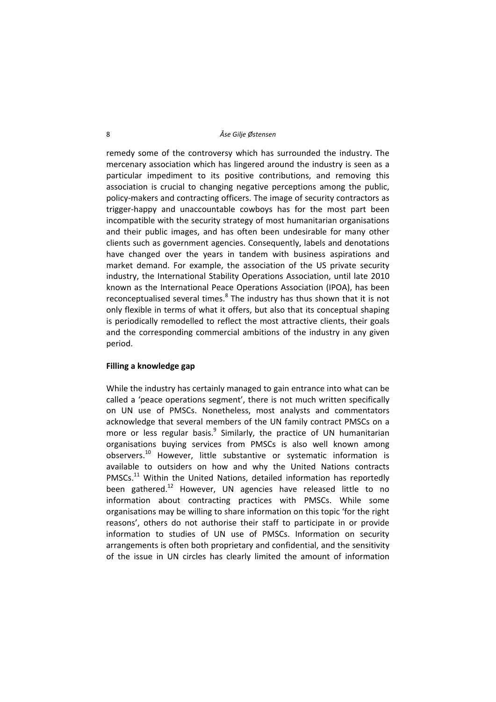#### 8 *Åse Gilje Østensen*

remedy some of the controversy which has surrounded the industry. The mercenary association which has lingered around the industry is seen as a particular impediment to its positive contributions, and removing this association is crucial to changing negative perceptions among the public, policy‐makers and contracting officers. The image of security contractors as trigger‐happy and unaccountable cowboys has for the most part been incompatible with the security strategy of most humanitarian organisations and their public images, and has often been undesirable for many other clients such as government agencies. Consequently, labels and denotations have changed over the years in tandem with business aspirations and market demand. For example, the association of the US private security industry, the International Stability Operations Association, until late 2010 known as the International Peace Operations Association (IPOA), has been reconceptualised several times. $8$  The industry has thus shown that it is not only flexible in terms of what it offers, but also that its conceptual shaping is periodically remodelled to reflect the most attractive clients, their goals and the corresponding commercial ambitions of the industry in any given period.

#### **Filling a knowledge gap**

While the industry has certainly managed to gain entrance into what can be called a 'peace operations segment', there is not much written specifically on UN use of PMSCs. Nonetheless, most analysts and commentators acknowledge that several members of the UN family contract PMSCs on a more or less regular basis. $9$  Similarly, the practice of UN humanitarian organisations buying services from PMSCs is also well known among observers.<sup>10</sup> However, little substantive or systematic information is available to outsiders on how and why the United Nations contracts PMSCs. $<sup>11</sup>$  Within the United Nations, detailed information has reportedly</sup> been gathered.<sup>12</sup> However, UN agencies have released little to no information about contracting practices with PMSCs. While some organisations may be willing to share information on this topic 'for the right reasons', others do not authorise their staff to participate in or provide information to studies of UN use of PMSCs. Information on security arrangements is often both proprietary and confidential, and the sensitivity of the issue in UN circles has clearly limited the amount of information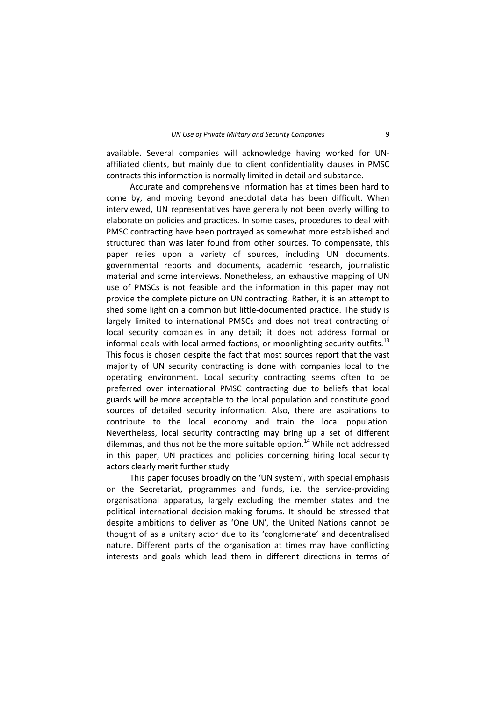available. Several companies will acknowledge having worked for UN‐ affiliated clients, but mainly due to client confidentiality clauses in PMSC contracts this information is normally limited in detail and substance.

Accurate and comprehensive information has at times been hard to come by, and moving beyond anecdotal data has been difficult. When interviewed, UN representatives have generally not been overly willing to elaborate on policies and practices. In some cases, procedures to deal with PMSC contracting have been portrayed as somewhat more established and structured than was later found from other sources. To compensate, this paper relies upon a variety of sources, including UN documents, governmental reports and documents, academic research, journalistic material and some interviews. Nonetheless, an exhaustive mapping of UN use of PMSCs is not feasible and the information in this paper may not provide the complete picture on UN contracting. Rather, it is an attempt to shed some light on a common but little‐documented practice. The study is largely limited to international PMSCs and does not treat contracting of local security companies in any detail; it does not address formal or informal deals with local armed factions, or moonlighting security outfits.<sup>13</sup> This focus is chosen despite the fact that most sources report that the vast majority of UN security contracting is done with companies local to the operating environment. Local security contracting seems often to be preferred over international PMSC contracting due to beliefs that local guards will be more acceptable to the local population and constitute good sources of detailed security information. Also, there are aspirations to contribute to the local economy and train the local population. Nevertheless, local security contracting may bring up a set of different dilemmas, and thus not be the more suitable option.<sup>14</sup> While not addressed in this paper, UN practices and policies concerning hiring local security actors clearly merit further study.

This paper focuses broadly on the 'UN system', with special emphasis on the Secretariat, programmes and funds, i.e. the service‐providing organisational apparatus, largely excluding the member states and the political international decision‐making forums. It should be stressed that despite ambitions to deliver as 'One UN', the United Nations cannot be thought of as a unitary actor due to its 'conglomerate' and decentralised nature. Different parts of the organisation at times may have conflicting interests and goals which lead them in different directions in terms of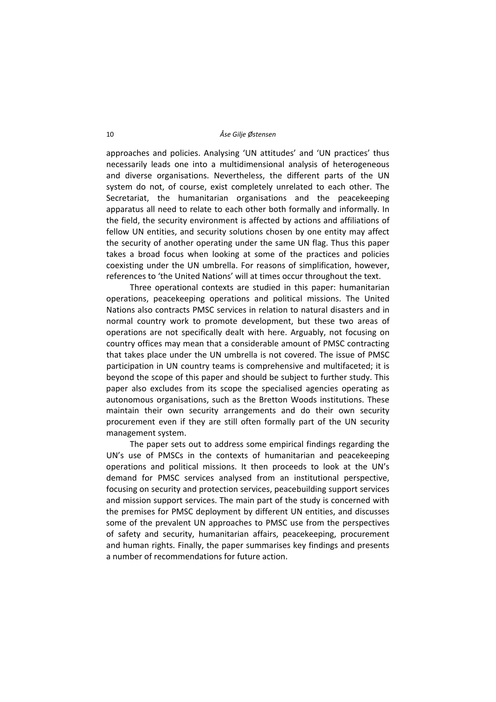approaches and policies. Analysing 'UN attitudes' and 'UN practices' thus necessarily leads one into a multidimensional analysis of heterogeneous and diverse organisations. Nevertheless, the different parts of the UN system do not, of course, exist completely unrelated to each other. The Secretariat, the humanitarian organisations and the peacekeeping apparatus all need to relate to each other both formally and informally. In the field, the security environment is affected by actions and affiliations of fellow UN entities, and security solutions chosen by one entity may affect the security of another operating under the same UN flag. Thus this paper takes a broad focus when looking at some of the practices and policies coexisting under the UN umbrella. For reasons of simplification, however, references to 'the United Nations' will at times occur throughout the text.

Three operational contexts are studied in this paper: humanitarian operations, peacekeeping operations and political missions. The United Nations also contracts PMSC services in relation to natural disasters and in normal country work to promote development, but these two areas of operations are not specifically dealt with here. Arguably, not focusing on country offices may mean that a considerable amount of PMSC contracting that takes place under the UN umbrella is not covered. The issue of PMSC participation in UN country teams is comprehensive and multifaceted; it is beyond the scope of this paper and should be subject to further study. This paper also excludes from its scope the specialised agencies operating as autonomous organisations, such as the Bretton Woods institutions. These maintain their own security arrangements and do their own security procurement even if they are still often formally part of the UN security management system.

The paper sets out to address some empirical findings regarding the UN's use of PMSCs in the contexts of humanitarian and peacekeeping operations and political missions. It then proceeds to look at the UN's demand for PMSC services analysed from an institutional perspective, focusing on security and protection services, peacebuilding support services and mission support services. The main part of the study is concerned with the premises for PMSC deployment by different UN entities, and discusses some of the prevalent UN approaches to PMSC use from the perspectives of safety and security, humanitarian affairs, peacekeeping, procurement and human rights. Finally, the paper summarises key findings and presents a number of recommendations for future action.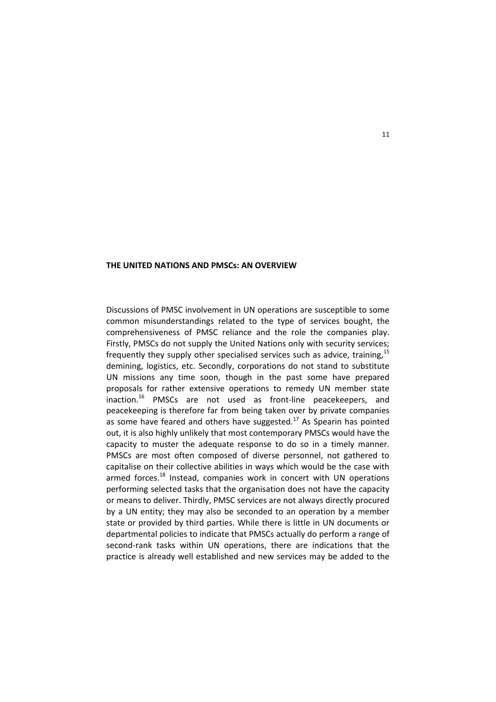#### **THE UNITED NATIONS AND PMSCs: AN OVERVIEW**

Discussions of PMSC involvement in UN operations are susceptible to some common misunderstandings related to the type of services bought, the comprehensiveness of PMSC reliance and the role the companies play. Firstly, PMSCs do not supply the United Nations only with security services; frequently they supply other specialised services such as advice, training,  $15$ demining, logistics, etc. Secondly, corporations do not stand to substitute UN missions any time soon, though in the past some have prepared proposals for rather extensive operations to remedy UN member state inaction.<sup>16</sup> PMSCs are not used as front-line peacekeepers, and peacekeeping is therefore far from being taken over by private companies as some have feared and others have suggested.<sup>17</sup> As Spearin has pointed out, it is also highly unlikely that most contemporary PMSCs would have the capacity to muster the adequate response to do so in a timely manner. PMSCs are most often composed of diverse personnel, not gathered to capitalise on their collective abilities in ways which would be the case with armed forces.<sup>18</sup> Instead, companies work in concert with UN operations performing selected tasks that the organisation does not have the capacity or means to deliver. Thirdly, PMSC services are not always directly procured by a UN entity; they may also be seconded to an operation by a member state or provided by third parties. While there is little in UN documents or departmental policies to indicate that PMSCs actually do perform a range of second-rank tasks within UN operations, there are indications that the practice is already well established and new services may be added to the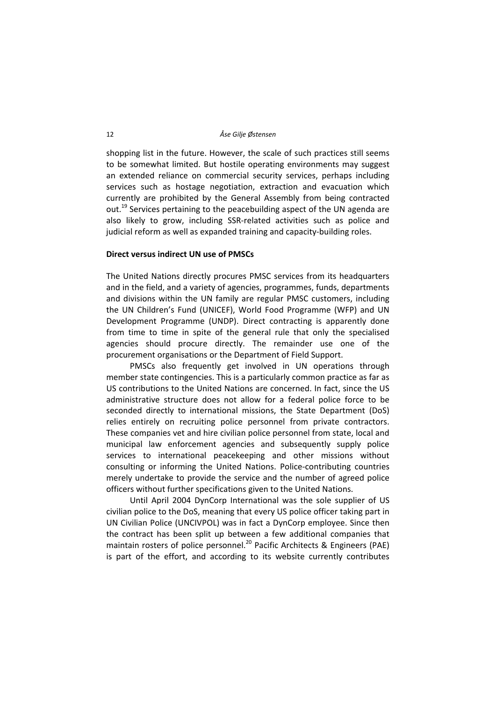shopping list in the future. However, the scale of such practices still seems to be somewhat limited. But hostile operating environments may suggest an extended reliance on commercial security services, perhaps including services such as hostage negotiation, extraction and evacuation which currently are prohibited by the General Assembly from being contracted out.<sup>19</sup> Services pertaining to the peacebuilding aspect of the UN agenda are also likely to grow, including SSR‐related activities such as police and judicial reform as well as expanded training and capacity‐building roles.

# **Direct versus indirect UN use of PMSCs**

The United Nations directly procures PMSC services from its headquarters and in the field, and a variety of agencies, programmes, funds, departments and divisions within the UN family are regular PMSC customers, including the UN Children's Fund (UNICEF), World Food Programme (WFP) and UN Development Programme (UNDP). Direct contracting is apparently done from time to time in spite of the general rule that only the specialised agencies should procure directly. The remainder use one of the procurement organisations or the Department of Field Support.

PMSCs also frequently get involved in UN operations through member state contingencies. This is a particularly common practice as far as US contributions to the United Nations are concerned. In fact, since the US administrative structure does not allow for a federal police force to be seconded directly to international missions, the State Department (DoS) relies entirely on recruiting police personnel from private contractors. These companies vet and hire civilian police personnel from state, local and municipal law enforcement agencies and subsequently supply police services to international peacekeeping and other missions without consulting or informing the United Nations. Police‐contributing countries merely undertake to provide the service and the number of agreed police officers without further specifications given to the United Nations.

Until April 2004 DynCorp International was the sole supplier of US civilian police to the DoS, meaning that every US police officer taking part in UN Civilian Police (UNCIVPOL) was in fact a DynCorp employee. Since then the contract has been split up between a few additional companies that maintain rosters of police personnel.<sup>20</sup> Pacific Architects & Engineers (PAE) is part of the effort, and according to its website currently contributes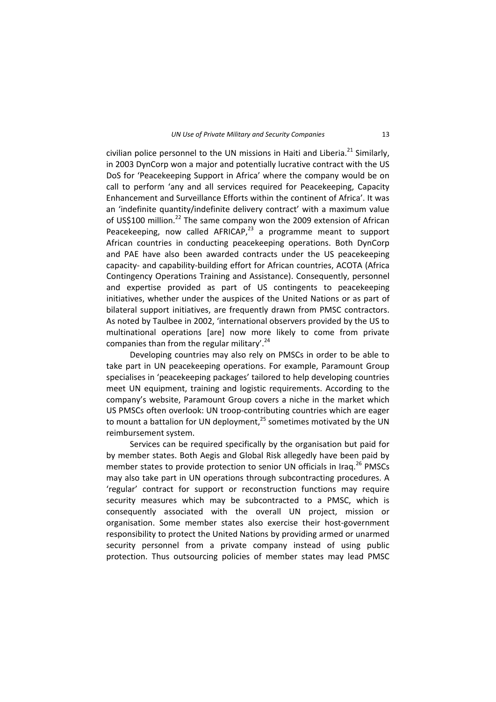civilian police personnel to the UN missions in Haiti and Liberia. $^{21}$  Similarly, in 2003 DynCorp won a major and potentially lucrative contract with the US DoS for 'Peacekeeping Support in Africa' where the company would be on call to perform 'any and all services required for Peacekeeping, Capacity Enhancement and Surveillance Efforts within the continent of Africa'. It was an 'indefinite quantity/indefinite delivery contract' with a maximum value of US\$100 million.<sup>22</sup> The same company won the 2009 extension of African Peacekeeping, now called AFRICAP, $^{23}$  a programme meant to support African countries in conducting peacekeeping operations. Both DynCorp and PAE have also been awarded contracts under the US peacekeeping capacity‐ and capability‐building effort for African countries, ACOTA (Africa Contingency Operations Training and Assistance). Consequently, personnel and expertise provided as part of US contingents to peacekeeping initiatives, whether under the auspices of the United Nations or as part of bilateral support initiatives, are frequently drawn from PMSC contractors. As noted by Taulbee in 2002, 'international observers provided by the US to multinational operations [are] now more likely to come from private companies than from the regular military'.<sup>24</sup>

Developing countries may also rely on PMSCs in order to be able to take part in UN peacekeeping operations. For example, Paramount Group specialises in 'peacekeeping packages' tailored to help developing countries meet UN equipment, training and logistic requirements. According to the company's website, Paramount Group covers a niche in the market which US PMSCs often overlook: UN troop‐contributing countries which are eager to mount a battalion for UN deployment, $^{25}$  sometimes motivated by the UN reimbursement system.

Services can be required specifically by the organisation but paid for by member states. Both Aegis and Global Risk allegedly have been paid by member states to provide protection to senior UN officials in Irag.<sup>26</sup> PMSCs may also take part in UN operations through subcontracting procedures. A 'regular' contract for support or reconstruction functions may require security measures which may be subcontracted to a PMSC, which is consequently associated with the overall UN project, mission or organisation. Some member states also exercise their host‐government responsibility to protect the United Nations by providing armed or unarmed security personnel from a private company instead of using public protection. Thus outsourcing policies of member states may lead PMSC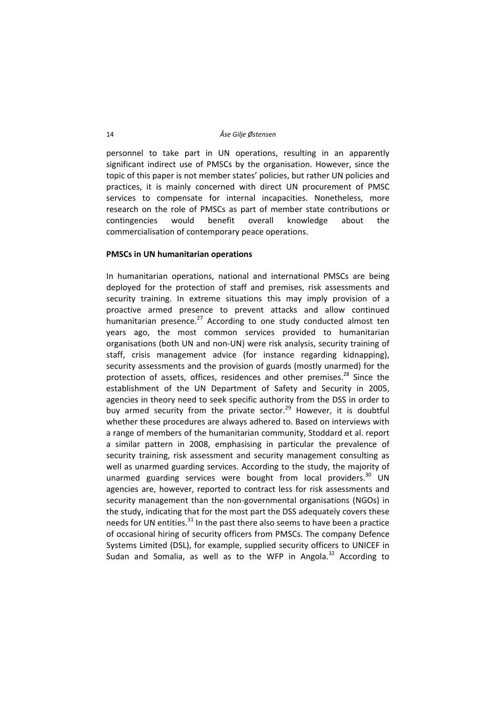personnel to take part in UN operations, resulting in an apparently significant indirect use of PMSCs by the organisation. However, since the topic of this paper is not member states' policies, but rather UN policies and practices, it is mainly concerned with direct UN procurement of PMSC services to compensate for internal incapacities. Nonetheless, more research on the role of PMSCs as part of member state contributions or contingencies would benefit overall knowledge about the commercialisation of contemporary peace operations.

## **PMSCs in UN humanitarian operations**

In humanitarian operations, national and international PMSCs are being deployed for the protection of staff and premises, risk assessments and security training. In extreme situations this may imply provision of a proactive armed presence to prevent attacks and allow continued humanitarian presence. $^{27}$  According to one study conducted almost ten years ago, the most common services provided to humanitarian organisations (both UN and non‐UN) were risk analysis, security training of staff, crisis management advice (for instance regarding kidnapping), security assessments and the provision of guards (mostly unarmed) for the protection of assets, offices, residences and other premises.<sup>28</sup> Since the establishment of the UN Department of Safety and Security in 2005, agencies in theory need to seek specific authority from the DSS in order to buy armed security from the private sector.<sup>29</sup> However, it is doubtful whether these procedures are always adhered to. Based on interviews with a range of members of the humanitarian community, Stoddard et al. report a similar pattern in 2008, emphasising in particular the prevalence of security training, risk assessment and security management consulting as well as unarmed guarding services. According to the study, the majority of unarmed guarding services were bought from local providers. $30$  UN agencies are, however, reported to contract less for risk assessments and security management than the non-governmental organisations (NGOs) in the study, indicating that for the most part the DSS adequately covers these needs for UN entities. $31$  In the past there also seems to have been a practice of occasional hiring of security officers from PMSCs. The company Defence Systems Limited (DSL), for example, supplied security officers to UNICEF in Sudan and Somalia, as well as to the WFP in Angola. $32$  According to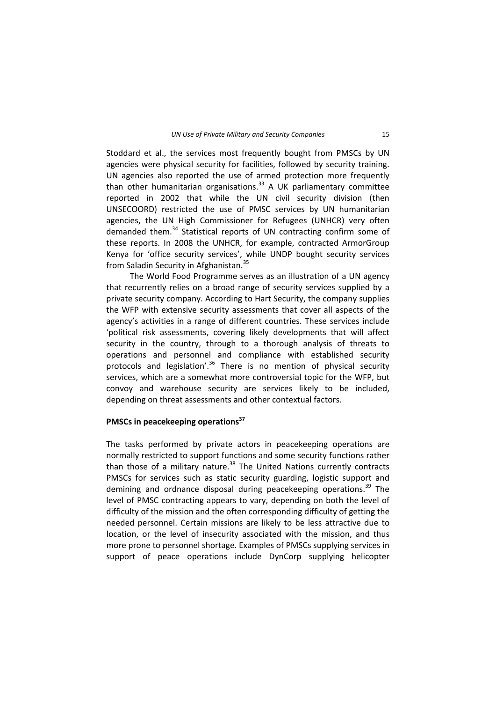Stoddard et al., the services most frequently bought from PMSCs by UN agencies were physical security for facilities, followed by security training. UN agencies also reported the use of armed protection more frequently than other humanitarian organisations.<sup>33</sup> A UK parliamentary committee reported in 2002 that while the UN civil security division (then UNSECOORD) restricted the use of PMSC services by UN humanitarian agencies, the UN High Commissioner for Refugees (UNHCR) very often demanded them.<sup>34</sup> Statistical reports of UN contracting confirm some of these reports. In 2008 the UNHCR, for example, contracted ArmorGroup Kenya for 'office security services', while UNDP bought security services from Saladin Security in Afghanistan.<sup>35</sup>

The World Food Programme serves as an illustration of a UN agency that recurrently relies on a broad range of security services supplied by a private security company. According to Hart Security, the company supplies the WFP with extensive security assessments that cover all aspects of the agency's activities in a range of different countries. These services include 'political risk assessments, covering likely developments that will affect security in the country, through to a thorough analysis of threats to operations and personnel and compliance with established security protocols and legislation<sup>'.36</sup> There is no mention of physical security services, which are a somewhat more controversial topic for the WFP, but convoy and warehouse security are services likely to be included, depending on threat assessments and other contextual factors.

## **PMSCs in peacekeeping operations37**

The tasks performed by private actors in peacekeeping operations are normally restricted to support functions and some security functions rather than those of a military nature. $38$  The United Nations currently contracts PMSCs for services such as static security guarding, logistic support and demining and ordnance disposal during peacekeeping operations.<sup>39</sup> The level of PMSC contracting appears to vary, depending on both the level of difficulty of the mission and the often corresponding difficulty of getting the needed personnel. Certain missions are likely to be less attractive due to location, or the level of insecurity associated with the mission, and thus more prone to personnel shortage. Examples of PMSCs supplying services in support of peace operations include DynCorp supplying helicopter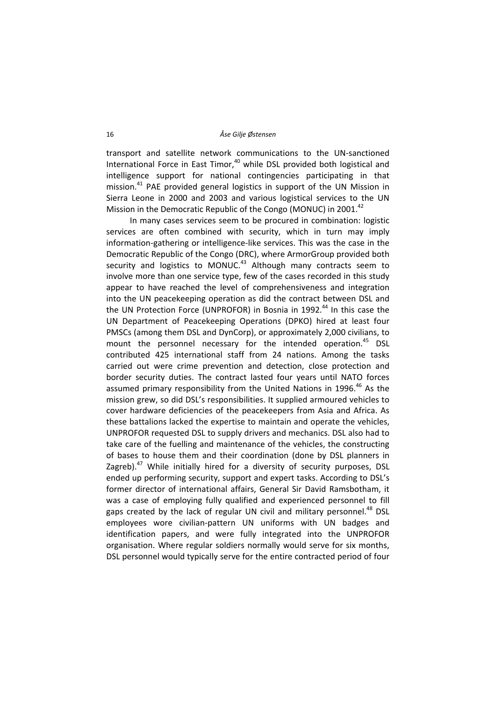transport and satellite network communications to the UN‐sanctioned International Force in East Timor,<sup>40</sup> while DSL provided both logistical and intelligence support for national contingencies participating in that mission.<sup>41</sup> PAE provided general logistics in support of the UN Mission in Sierra Leone in 2000 and 2003 and various logistical services to the UN Mission in the Democratic Republic of the Congo (MONUC) in 2001.<sup>42</sup>

In many cases services seem to be procured in combination: logistic services are often combined with security, which in turn may imply information‐gathering or intelligence‐like services. This was the case in the Democratic Republic of the Congo (DRC), where ArmorGroup provided both security and logistics to MONUC. $43$  Although many contracts seem to involve more than one service type, few of the cases recorded in this study appear to have reached the level of comprehensiveness and integration into the UN peacekeeping operation as did the contract between DSL and the UN Protection Force (UNPROFOR) in Bosnia in 1992.<sup>44</sup> In this case the UN Department of Peacekeeping Operations (DPKO) hired at least four PMSCs (among them DSL and DynCorp), or approximately 2,000 civilians, to mount the personnel necessary for the intended operation.<sup>45</sup> DSL contributed 425 international staff from 24 nations. Among the tasks carried out were crime prevention and detection, close protection and border security duties. The contract lasted four years until NATO forces assumed primary responsibility from the United Nations in 1996.<sup>46</sup> As the mission grew, so did DSL's responsibilities. It supplied armoured vehicles to cover hardware deficiencies of the peacekeepers from Asia and Africa. As these battalions lacked the expertise to maintain and operate the vehicles, UNPROFOR requested DSL to supply drivers and mechanics. DSL also had to take care of the fuelling and maintenance of the vehicles, the constructing of bases to house them and their coordination (done by DSL planners in Zagreb). $47$  While initially hired for a diversity of security purposes, DSL ended up performing security, support and expert tasks. According to DSL's former director of international affairs, General Sir David Ramsbotham, it was a case of employing fully qualified and experienced personnel to fill gaps created by the lack of regular UN civil and military personnel. $48$  DSL employees wore civilian‐pattern UN uniforms with UN badges and identification papers, and were fully integrated into the UNPROFOR organisation. Where regular soldiers normally would serve for six months, DSL personnel would typically serve for the entire contracted period of four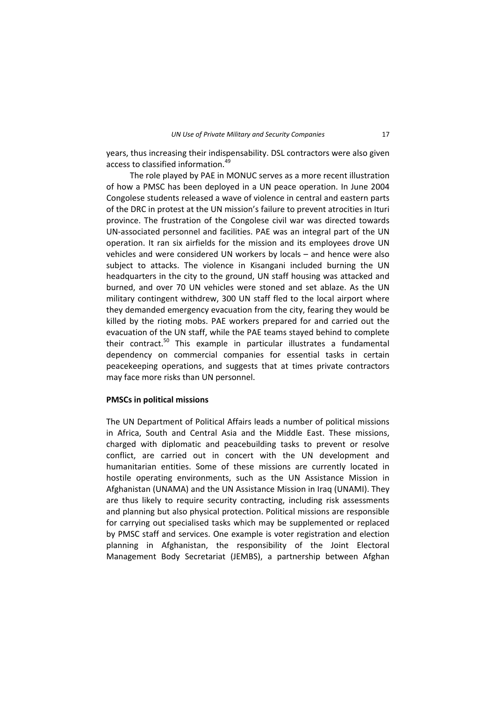years, thus increasing their indispensability. DSL contractors were also given access to classified information.<sup>49</sup>

The role played by PAE in MONUC serves as a more recent illustration of how a PMSC has been deployed in a UN peace operation. In June 2004 Congolese students released a wave of violence in central and eastern parts of the DRC in protest at the UN mission's failure to prevent atrocities in Ituri province. The frustration of the Congolese civil war was directed towards UN‐associated personnel and facilities. PAE was an integral part of the UN operation. It ran six airfields for the mission and its employees drove UN vehicles and were considered UN workers by locals – and hence were also subject to attacks. The violence in Kisangani included burning the UN headquarters in the city to the ground, UN staff housing was attacked and burned, and over 70 UN vehicles were stoned and set ablaze. As the UN military contingent withdrew, 300 UN staff fled to the local airport where they demanded emergency evacuation from the city, fearing they would be killed by the rioting mobs. PAE workers prepared for and carried out the evacuation of the UN staff, while the PAE teams stayed behind to complete their contract.<sup>50</sup> This example in particular illustrates a fundamental dependency on commercial companies for essential tasks in certain peacekeeping operations, and suggests that at times private contractors may face more risks than UN personnel.

#### **PMSCs in political missions**

The UN Department of Political Affairs leads a number of political missions in Africa, South and Central Asia and the Middle East. These missions, charged with diplomatic and peacebuilding tasks to prevent or resolve conflict, are carried out in concert with the UN development and humanitarian entities. Some of these missions are currently located in hostile operating environments, such as the UN Assistance Mission in Afghanistan (UNAMA) and the UN Assistance Mission in Iraq (UNAMI). They are thus likely to require security contracting, including risk assessments and planning but also physical protection. Political missions are responsible for carrying out specialised tasks which may be supplemented or replaced by PMSC staff and services. One example is voter registration and election planning in Afghanistan, the responsibility of the Joint Electoral Management Body Secretariat (JEMBS), a partnership between Afghan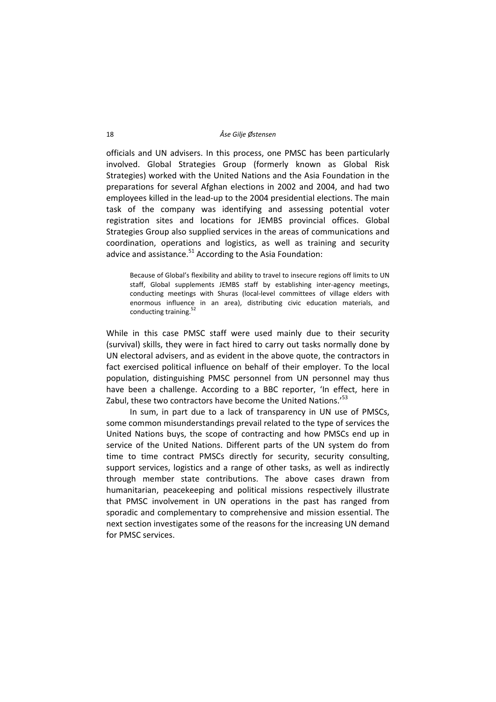officials and UN advisers. In this process, one PMSC has been particularly involved. Global Strategies Group (formerly known as Global Risk Strategies) worked with the United Nations and the Asia Foundation in the preparations for several Afghan elections in 2002 and 2004, and had two employees killed in the lead-up to the 2004 presidential elections. The main task of the company was identifying and assessing potential voter registration sites and locations for JEMBS provincial offices. Global Strategies Group also supplied services in the areas of communications and coordination, operations and logistics, as well as training and security advice and assistance. $51$  According to the Asia Foundation:

Because of Global's flexibility and ability to travel to insecure regions off limits to UN staff, Global supplements JEMBS staff by establishing inter-agency meetings, conducting meetings with Shuras (local-level committees of village elders with enormous influence in an area), distributing civic education materials, and conducting training.<sup>52</sup>

While in this case PMSC staff were used mainly due to their security (survival) skills, they were in fact hired to carry out tasks normally done by UN electoral advisers, and as evident in the above quote, the contractors in fact exercised political influence on behalf of their employer. To the local population, distinguishing PMSC personnel from UN personnel may thus have been a challenge. According to a BBC reporter, 'In effect, here in Zabul, these two contractors have become the United Nations.<sup>53</sup>

In sum, in part due to a lack of transparency in UN use of PMSCs, some common misunderstandings prevail related to the type of services the United Nations buys, the scope of contracting and how PMSCs end up in service of the United Nations. Different parts of the UN system do from time to time contract PMSCs directly for security, security consulting, support services, logistics and a range of other tasks, as well as indirectly through member state contributions. The above cases drawn from humanitarian, peacekeeping and political missions respectively illustrate that PMSC involvement in UN operations in the past has ranged from sporadic and complementary to comprehensive and mission essential. The next section investigates some of the reasons for the increasing UN demand for PMSC services.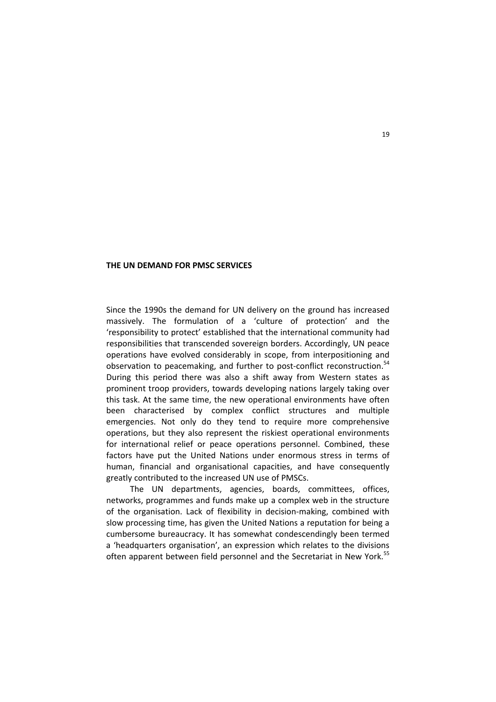#### **THE UN DEMAND FOR PMSC SERVICES**

Since the 1990s the demand for UN delivery on the ground has increased massively. The formulation of a 'culture of protection' and the 'responsibility to protect' established that the international community had responsibilities that transcended sovereign borders. Accordingly, UN peace operations have evolved considerably in scope, from interpositioning and observation to peacemaking, and further to post-conflict reconstruction.<sup>54</sup> During this period there was also a shift away from Western states as prominent troop providers, towards developing nations largely taking over this task. At the same time, the new operational environments have often been characterised by complex conflict structures and multiple emergencies. Not only do they tend to require more comprehensive operations, but they also represent the riskiest operational environments for international relief or peace operations personnel. Combined, these factors have put the United Nations under enormous stress in terms of human, financial and organisational capacities, and have consequently greatly contributed to the increased UN use of PMSCs.

The UN departments, agencies, boards, committees, offices, networks, programmes and funds make up a complex web in the structure of the organisation. Lack of flexibility in decision‐making, combined with slow processing time, has given the United Nations a reputation for being a cumbersome bureaucracy. It has somewhat condescendingly been termed a 'headquarters organisation', an expression which relates to the divisions often apparent between field personnel and the Secretariat in New York.<sup>55</sup>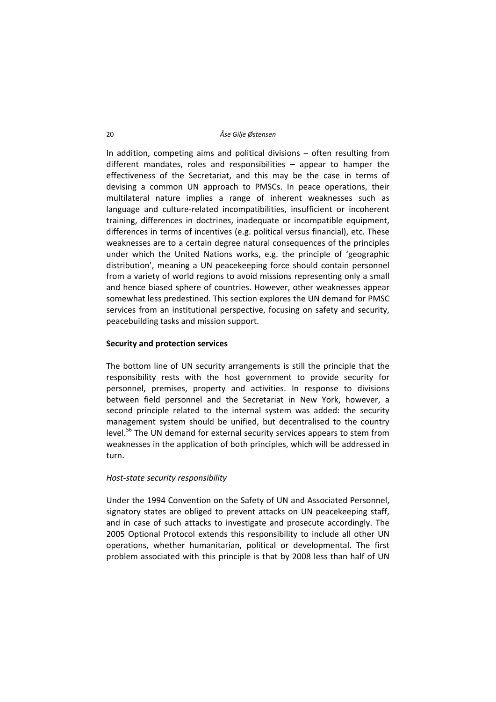In addition, competing aims and political divisions – often resulting from different mandates, roles and responsibilities – appear to hamper the effectiveness of the Secretariat, and this may be the case in terms of devising a common UN approach to PMSCs. In peace operations, their multilateral nature implies a range of inherent weaknesses such as language and culture‐related incompatibilities, insufficient or incoherent training, differences in doctrines, inadequate or incompatible equipment, differences in terms of incentives (e.g. political versus financial), etc. These weaknesses are to a certain degree natural consequences of the principles under which the United Nations works, e.g. the principle of 'geographic distribution', meaning a UN peacekeeping force should contain personnel from a variety of world regions to avoid missions representing only a small and hence biased sphere of countries. However, other weaknesses appear somewhat less predestined. This section explores the UN demand for PMSC services from an institutional perspective, focusing on safety and security, peacebuilding tasks and mission support.

# **Security and protection services**

The bottom line of UN security arrangements is still the principle that the responsibility rests with the host government to provide security for personnel, premises, property and activities. In response to divisions between field personnel and the Secretariat in New York, however, a second principle related to the internal system was added: the security management system should be unified, but decentralised to the country level.<sup>56</sup> The UN demand for external security services appears to stem from weaknesses in the application of both principles, which will be addressed in turn.

# *Host‐state security responsibility*

Under the 1994 Convention on the Safety of UN and Associated Personnel, signatory states are obliged to prevent attacks on UN peacekeeping staff, and in case of such attacks to investigate and prosecute accordingly. The 2005 Optional Protocol extends this responsibility to include all other UN operations, whether humanitarian, political or developmental. The first problem associated with this principle is that by 2008 less than half of UN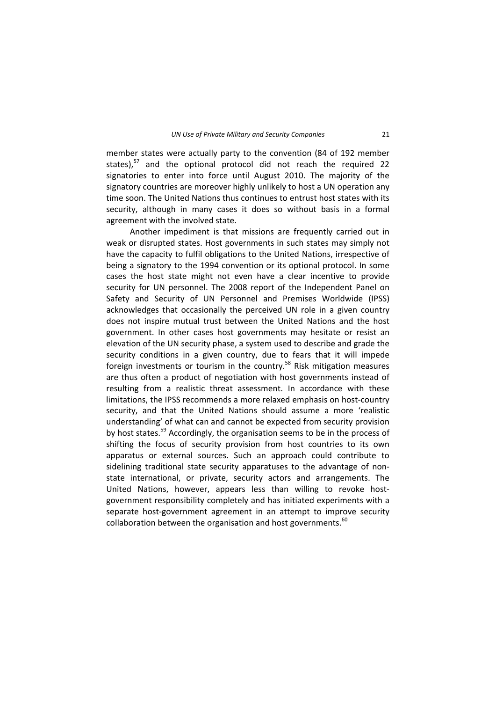member states were actually party to the convention (84 of 192 member states). $57$  and the optional protocol did not reach the required 22 signatories to enter into force until August 2010. The majority of the signatory countries are moreover highly unlikely to host a UN operation any time soon. The United Nations thus continues to entrust host states with its security, although in many cases it does so without basis in a formal agreement with the involved state.

Another impediment is that missions are frequently carried out in weak or disrupted states. Host governments in such states may simply not have the capacity to fulfil obligations to the United Nations, irrespective of being a signatory to the 1994 convention or its optional protocol. In some cases the host state might not even have a clear incentive to provide security for UN personnel. The 2008 report of the Independent Panel on Safety and Security of UN Personnel and Premises Worldwide (IPSS) acknowledges that occasionally the perceived UN role in a given country does not inspire mutual trust between the United Nations and the host government. In other cases host governments may hesitate or resist an elevation of the UN security phase, a system used to describe and grade the security conditions in a given country, due to fears that it will impede foreign investments or tourism in the country.<sup>58</sup> Risk mitigation measures are thus often a product of negotiation with host governments instead of resulting from a realistic threat assessment. In accordance with these limitations, the IPSS recommends a more relaxed emphasis on host‐country security, and that the United Nations should assume a more 'realistic understanding' of what can and cannot be expected from security provision by host states.<sup>59</sup> Accordingly, the organisation seems to be in the process of shifting the focus of security provision from host countries to its own apparatus or external sources. Such an approach could contribute to sidelining traditional state security apparatuses to the advantage of non‐ state international, or private, security actors and arrangements. The United Nations, however, appears less than willing to revoke host‐ government responsibility completely and has initiated experiments with a separate host-government agreement in an attempt to improve security collaboration between the organisation and host governments. $60$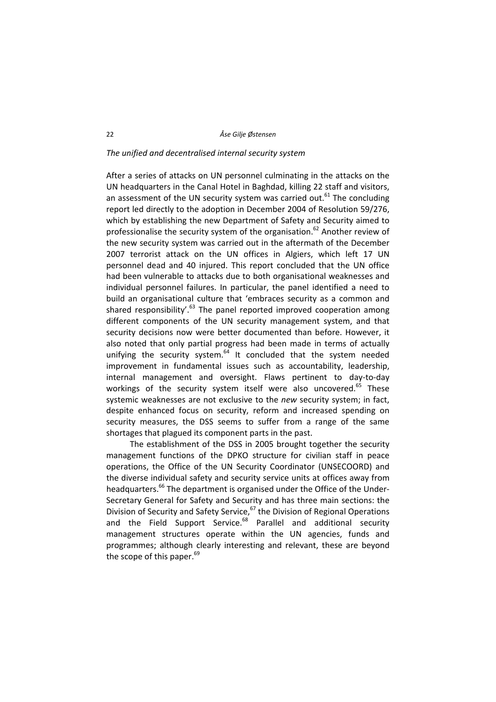#### *The unified and decentralised internal security system*

After a series of attacks on UN personnel culminating in the attacks on the UN headquarters in the Canal Hotel in Baghdad, killing 22 staff and visitors, an assessment of the UN security system was carried out.<sup>61</sup> The concluding report led directly to the adoption in December 2004 of Resolution 59/276, which by establishing the new Department of Safety and Security aimed to professionalise the security system of the organisation.<sup>62</sup> Another review of the new security system was carried out in the aftermath of the December 2007 terrorist attack on the UN offices in Algiers, which left 17 UN personnel dead and 40 injured. This report concluded that the UN office had been vulnerable to attacks due to both organisational weaknesses and individual personnel failures. In particular, the panel identified a need to build an organisational culture that 'embraces security as a common and shared responsibility'. $63$  The panel reported improved cooperation among different components of the UN security management system, and that security decisions now were better documented than before. However, it also noted that only partial progress had been made in terms of actually unifying the security system. $^{64}$  It concluded that the system needed improvement in fundamental issues such as accountability, leadership, internal management and oversight. Flaws pertinent to day‐to‐day workings of the security system itself were also uncovered.<sup>65</sup> These systemic weaknesses are not exclusive to the *new* security system; in fact, despite enhanced focus on security, reform and increased spending on security measures, the DSS seems to suffer from a range of the same shortages that plagued its component parts in the past.

The establishment of the DSS in 2005 brought together the security management functions of the DPKO structure for civilian staff in peace operations, the Office of the UN Security Coordinator (UNSECOORD) and the diverse individual safety and security service units at offices away from headquarters.<sup>66</sup> The department is organised under the Office of the Under-Secretary General for Safety and Security and has three main sections: the Division of Security and Safety Service,  $67$  the Division of Regional Operations and the Field Support Service. $68$  Parallel and additional security management structures operate within the UN agencies, funds and programmes; although clearly interesting and relevant, these are beyond the scope of this paper. $69$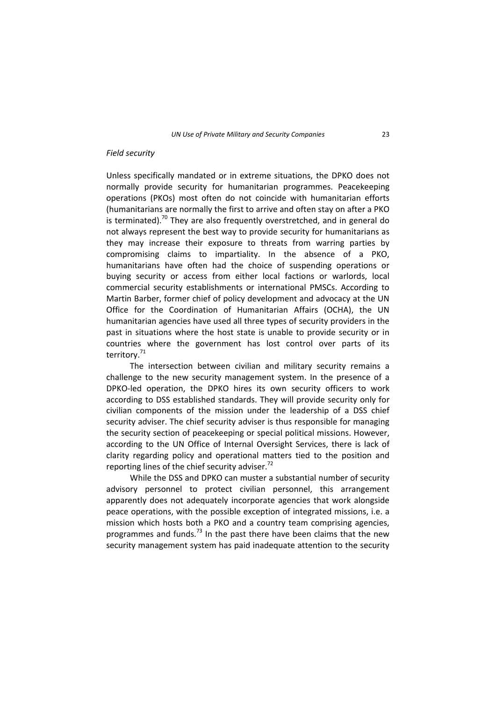#### *Field security*

Unless specifically mandated or in extreme situations, the DPKO does not normally provide security for humanitarian programmes. Peacekeeping operations (PKOs) most often do not coincide with humanitarian efforts (humanitarians are normally the first to arrive and often stay on after a PKO is terminated).<sup>70</sup> They are also frequently overstretched, and in general do not always represent the best way to provide security for humanitarians as they may increase their exposure to threats from warring parties by compromising claims to impartiality. In the absence of a PKO, humanitarians have often had the choice of suspending operations or buying security or access from either local factions or warlords, local commercial security establishments or international PMSCs. According to Martin Barber, former chief of policy development and advocacy at the UN Office for the Coordination of Humanitarian Affairs (OCHA), the UN humanitarian agencies have used all three types of security providers in the past in situations where the host state is unable to provide security or in countries where the government has lost control over parts of its territory.<sup>71</sup>

The intersection between civilian and military security remains a challenge to the new security management system. In the presence of a DPKO‐led operation, the DPKO hires its own security officers to work according to DSS established standards. They will provide security only for civilian components of the mission under the leadership of a DSS chief security adviser. The chief security adviser is thus responsible for managing the security section of peacekeeping or special political missions. However, according to the UN Office of Internal Oversight Services, there is lack of clarity regarding policy and operational matters tied to the position and reporting lines of the chief security adviser.<sup>72</sup>

While the DSS and DPKO can muster a substantial number of security advisory personnel to protect civilian personnel, this arrangement apparently does not adequately incorporate agencies that work alongside peace operations, with the possible exception of integrated missions, i.e. a mission which hosts both a PKO and a country team comprising agencies, programmes and funds.<sup>73</sup> In the past there have been claims that the new security management system has paid inadequate attention to the security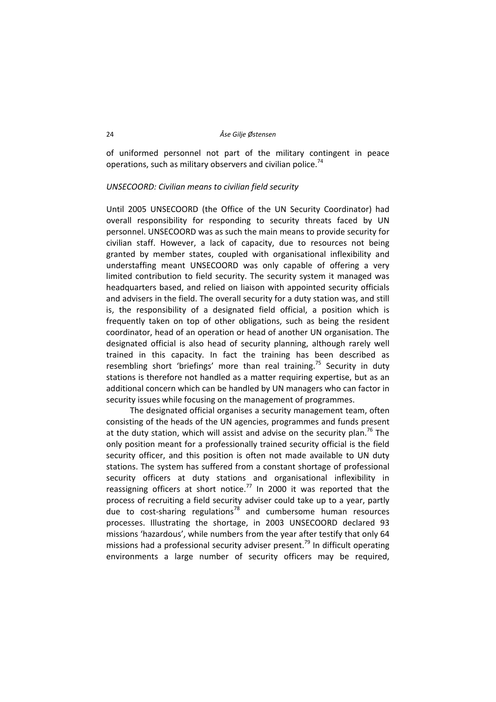of uniformed personnel not part of the military contingent in peace operations, such as military observers and civilian police.<sup>74</sup>

## *UNSECOORD: Civilian means to civilian field security*

Until 2005 UNSECOORD (the Office of the UN Security Coordinator) had overall responsibility for responding to security threats faced by UN personnel. UNSECOORD was as such the main means to provide security for civilian staff. However, a lack of capacity, due to resources not being granted by member states, coupled with organisational inflexibility and understaffing meant UNSECOORD was only capable of offering a very limited contribution to field security. The security system it managed was headquarters based, and relied on liaison with appointed security officials and advisers in the field. The overall security for a duty station was, and still is, the responsibility of a designated field official, a position which is frequently taken on top of other obligations, such as being the resident coordinator, head of an operation or head of another UN organisation. The designated official is also head of security planning, although rarely well trained in this capacity. In fact the training has been described as resembling short 'briefings' more than real training.<sup>75</sup> Security in duty stations is therefore not handled as a matter requiring expertise, but as an additional concern which can be handled by UN managers who can factor in security issues while focusing on the management of programmes.

The designated official organises a security management team, often consisting of the heads of the UN agencies, programmes and funds present at the duty station, which will assist and advise on the security plan.<sup>76</sup> The only position meant for a professionally trained security official is the field security officer, and this position is often not made available to UN duty stations. The system has suffered from a constant shortage of professional security officers at duty stations and organisational inflexibility in reassigning officers at short notice.<sup>77</sup> In 2000 it was reported that the process of recruiting a field security adviser could take up to a year, partly due to cost-sharing regulations $7^8$  and cumbersome human resources processes. Illustrating the shortage, in 2003 UNSECOORD declared 93 missions 'hazardous', while numbers from the year after testify that only 64 missions had a professional security adviser present.<sup>79</sup> In difficult operating environments a large number of security officers may be required,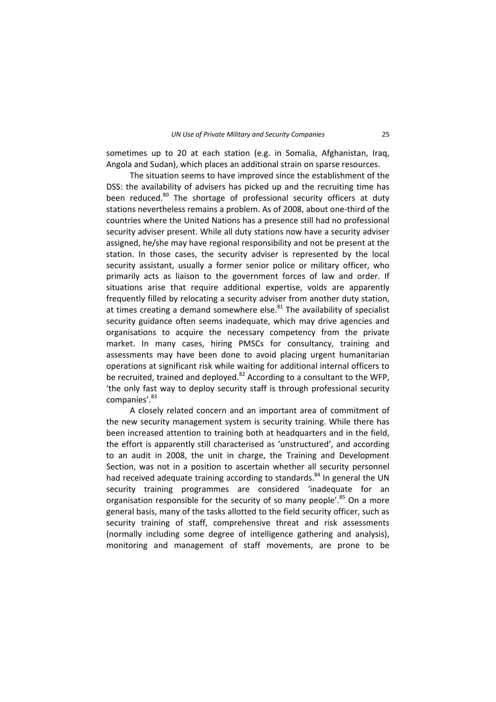sometimes up to 20 at each station (e.g. in Somalia, Afghanistan, Iraq, Angola and Sudan), which places an additional strain on sparse resources.

The situation seems to have improved since the establishment of the DSS: the availability of advisers has picked up and the recruiting time has been reduced.<sup>80</sup> The shortage of professional security officers at duty stations nevertheless remains a problem. As of 2008, about one‐third of the countries where the United Nations has a presence still had no professional security adviser present. While all duty stations now have a security adviser assigned, he/she may have regional responsibility and not be present at the station. In those cases, the security adviser is represented by the local security assistant, usually a former senior police or military officer, who primarily acts as liaison to the government forces of law and order. If situations arise that require additional expertise, voids are apparently frequently filled by relocating a security adviser from another duty station, at times creating a demand somewhere else. $81$  The availability of specialist security guidance often seems inadequate, which may drive agencies and organisations to acquire the necessary competency from the private market. In many cases, hiring PMSCs for consultancy, training and assessments may have been done to avoid placing urgent humanitarian operations at significant risk while waiting for additional internal officers to be recruited, trained and deployed. $82$  According to a consultant to the WFP, 'the only fast way to deploy security staff is through professional security companies'.<sup>83</sup>

A closely related concern and an important area of commitment of the new security management system is security training. While there has been increased attention to training both at headquarters and in the field, the effort is apparently still characterised as 'unstructured', and according to an audit in 2008, the unit in charge, the Training and Development Section, was not in a position to ascertain whether all security personnel had received adequate training according to standards. $84$  In general the UN security training programmes are considered 'inadequate for an organisation responsible for the security of so many people'. $85$  On a more general basis, many of the tasks allotted to the field security officer, such as security training of staff, comprehensive threat and risk assessments (normally including some degree of intelligence gathering and analysis), monitoring and management of staff movements, are prone to be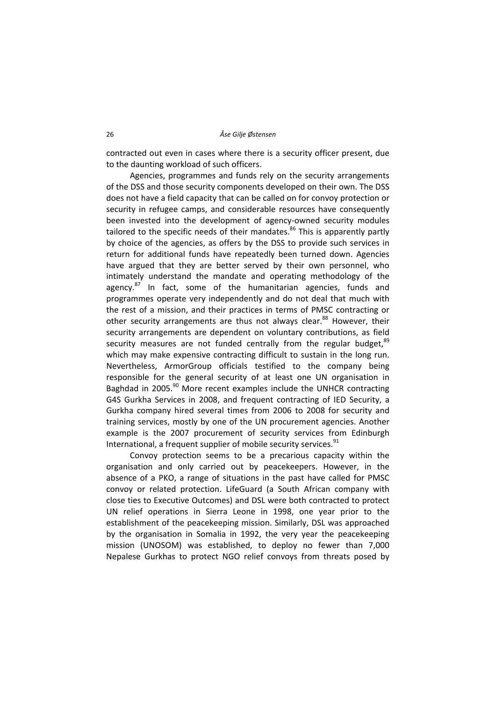contracted out even in cases where there is a security officer present, due to the daunting workload of such officers.

Agencies, programmes and funds rely on the security arrangements of the DSS and those security components developed on their own. The DSS does not have a field capacity that can be called on for convoy protection or security in refugee camps, and considerable resources have consequently been invested into the development of agency-owned security modules tailored to the specific needs of their mandates. $86$  This is apparently partly by choice of the agencies, as offers by the DSS to provide such services in return for additional funds have repeatedly been turned down. Agencies have argued that they are better served by their own personnel, who intimately understand the mandate and operating methodology of the agency. $87$  In fact, some of the humanitarian agencies, funds and programmes operate very independently and do not deal that much with the rest of a mission, and their practices in terms of PMSC contracting or other security arrangements are thus not always clear.<sup>88</sup> However, their security arrangements are dependent on voluntary contributions, as field security measures are not funded centrally from the regular budget. $89$ which may make expensive contracting difficult to sustain in the long run. Nevertheless, ArmorGroup officials testified to the company being responsible for the general security of at least one UN organisation in Baghdad in 2005.<sup>90</sup> More recent examples include the UNHCR contracting G4S Gurkha Services in 2008, and frequent contracting of IED Security, a Gurkha company hired several times from 2006 to 2008 for security and training services, mostly by one of the UN procurement agencies. Another example is the 2007 procurement of security services from Edinburgh International, a frequent supplier of mobile security services.<sup>91</sup>

Convoy protection seems to be a precarious capacity within the organisation and only carried out by peacekeepers. However, in the absence of a PKO, a range of situations in the past have called for PMSC convoy or related protection. LifeGuard (a South African company with close ties to Executive Outcomes) and DSL were both contracted to protect UN relief operations in Sierra Leone in 1998, one year prior to the establishment of the peacekeeping mission. Similarly, DSL was approached by the organisation in Somalia in 1992, the very year the peacekeeping mission (UNOSOM) was established, to deploy no fewer than 7,000 Nepalese Gurkhas to protect NGO relief convoys from threats posed by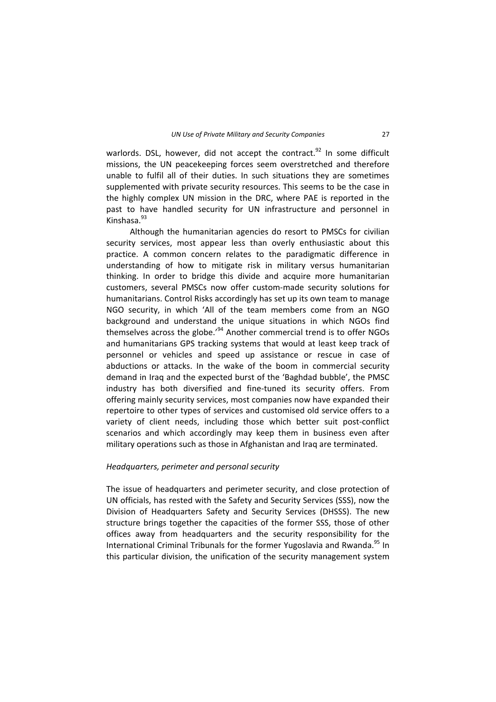warlords. DSL, however, did not accept the contract. $92$  In some difficult missions, the UN peacekeeping forces seem overstretched and therefore unable to fulfil all of their duties. In such situations they are sometimes supplemented with private security resources. This seems to be the case in the highly complex UN mission in the DRC, where PAE is reported in the past to have handled security for UN infrastructure and personnel in Kinshasa. $93$ 

Although the humanitarian agencies do resort to PMSCs for civilian security services, most appear less than overly enthusiastic about this practice. A common concern relates to the paradigmatic difference in understanding of how to mitigate risk in military versus humanitarian thinking. In order to bridge this divide and acquire more humanitarian customers, several PMSCs now offer custom‐made security solutions for humanitarians. Control Risks accordingly has set up its own team to manage NGO security, in which 'All of the team members come from an NGO background and understand the unique situations in which NGOs find themselves across the globe.<sup>'94</sup> Another commercial trend is to offer NGOs and humanitarians GPS tracking systems that would at least keep track of personnel or vehicles and speed up assistance or rescue in case of abductions or attacks. In the wake of the boom in commercial security demand in Iraq and the expected burst of the 'Baghdad bubble', the PMSC industry has both diversified and fine-tuned its security offers. From offering mainly security services, most companies now have expanded their repertoire to other types of services and customised old service offers to a variety of client needs, including those which better suit post-conflict scenarios and which accordingly may keep them in business even after military operations such as those in Afghanistan and Iraq are terminated.

#### *Headquarters, perimeter and personal security*

The issue of headquarters and perimeter security, and close protection of UN officials, has rested with the Safety and Security Services (SSS), now the Division of Headquarters Safety and Security Services (DHSSS). The new structure brings together the capacities of the former SSS, those of other offices away from headquarters and the security responsibility for the International Criminal Tribunals for the former Yugoslavia and Rwanda.<sup>95</sup> In this particular division, the unification of the security management system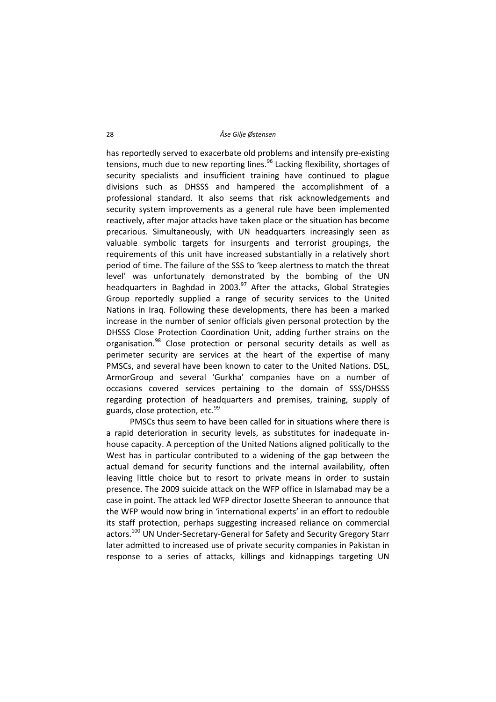has reportedly served to exacerbate old problems and intensify pre‐existing tensions, much due to new reporting lines.<sup>96</sup> Lacking flexibility, shortages of security specialists and insufficient training have continued to plague divisions such as DHSSS and hampered the accomplishment of a professional standard. It also seems that risk acknowledgements and security system improvements as a general rule have been implemented reactively, after major attacks have taken place or the situation has become precarious. Simultaneously, with UN headquarters increasingly seen as valuable symbolic targets for insurgents and terrorist groupings, the requirements of this unit have increased substantially in a relatively short period of time. The failure of the SSS to 'keep alertness to match the threat level' was unfortunately demonstrated by the bombing of the UN headquarters in Baghdad in 2003. $97$  After the attacks, Global Strategies Group reportedly supplied a range of security services to the United Nations in Iraq. Following these developments, there has been a marked increase in the number of senior officials given personal protection by the DHSSS Close Protection Coordination Unit, adding further strains on the organisation.<sup>98</sup> Close protection or personal security details as well as perimeter security are services at the heart of the expertise of many PMSCs, and several have been known to cater to the United Nations. DSL, ArmorGroup and several 'Gurkha' companies have on a number of occasions covered services pertaining to the domain of SSS/DHSSS regarding protection of headquarters and premises, training, supply of guards, close protection, etc.<sup>99</sup>

PMSCs thus seem to have been called for in situations where there is a rapid deterioration in security levels, as substitutes for inadequate in‐ house capacity. A perception of the United Nations aligned politically to the West has in particular contributed to a widening of the gap between the actual demand for security functions and the internal availability, often leaving little choice but to resort to private means in order to sustain presence. The 2009 suicide attack on the WFP office in Islamabad may be a case in point. The attack led WFP director Josette Sheeran to announce that the WFP would now bring in 'international experts' in an effort to redouble its staff protection, perhaps suggesting increased reliance on commercial actors.<sup>100</sup> UN Under-Secretary-General for Safety and Security Gregory Starr later admitted to increased use of private security companies in Pakistan in response to a series of attacks, killings and kidnappings targeting UN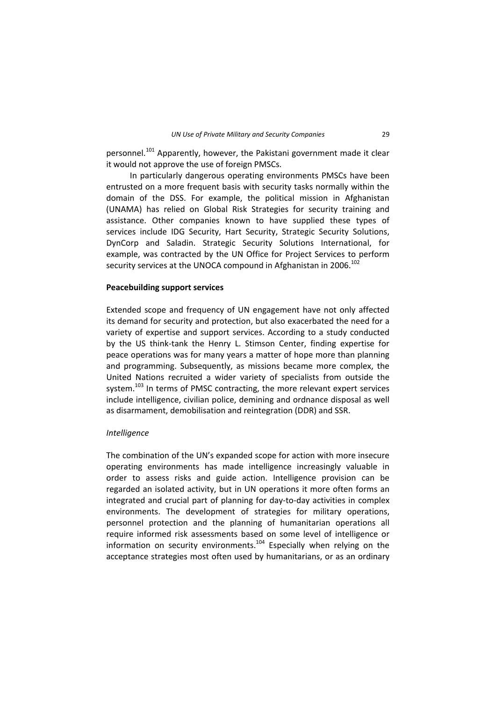personnel.<sup>101</sup> Apparently, however, the Pakistani government made it clear it would not approve the use of foreign PMSCs.

In particularly dangerous operating environments PMSCs have been entrusted on a more frequent basis with security tasks normally within the domain of the DSS. For example, the political mission in Afghanistan (UNAMA) has relied on Global Risk Strategies for security training and assistance. Other companies known to have supplied these types of services include IDG Security, Hart Security, Strategic Security Solutions, DynCorp and Saladin. Strategic Security Solutions International, for example, was contracted by the UN Office for Project Services to perform security services at the UNOCA compound in Afghanistan in 2006.<sup>102</sup>

#### **Peacebuilding support services**

Extended scope and frequency of UN engagement have not only affected its demand for security and protection, but also exacerbated the need for a variety of expertise and support services. According to a study conducted by the US think‐tank the Henry L. Stimson Center, finding expertise for peace operations was for many years a matter of hope more than planning and programming. Subsequently, as missions became more complex, the United Nations recruited a wider variety of specialists from outside the system.<sup>103</sup> In terms of PMSC contracting, the more relevant expert services include intelligence, civilian police, demining and ordnance disposal as well as disarmament, demobilisation and reintegration (DDR) and SSR.

#### *Intelligence*

The combination of the UN's expanded scope for action with more insecure operating environments has made intelligence increasingly valuable in order to assess risks and guide action. Intelligence provision can be regarded an isolated activity, but in UN operations it more often forms an integrated and crucial part of planning for day‐to‐day activities in complex environments. The development of strategies for military operations, personnel protection and the planning of humanitarian operations all require informed risk assessments based on some level of intelligence or information on security environments.<sup>104</sup> Especially when relying on the acceptance strategies most often used by humanitarians, or as an ordinary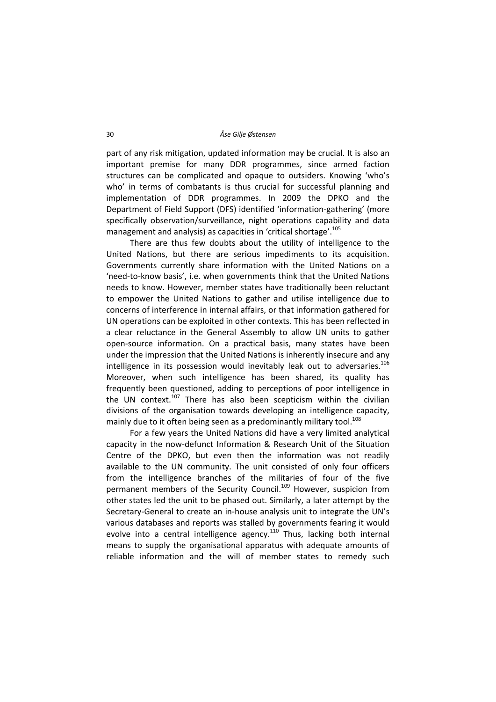part of any risk mitigation, updated information may be crucial. It is also an important premise for many DDR programmes, since armed faction structures can be complicated and opaque to outsiders. Knowing 'who's who' in terms of combatants is thus crucial for successful planning and implementation of DDR programmes. In 2009 the DPKO and the Department of Field Support (DFS) identified 'information‐gathering' (more specifically observation/surveillance, night operations capability and data management and analysis) as capacities in 'critical shortage'.<sup>105</sup>

There are thus few doubts about the utility of intelligence to the United Nations, but there are serious impediments to its acquisition. Governments currently share information with the United Nations on a 'need‐to‐know basis', i.e. when governments think that the United Nations needs to know. However, member states have traditionally been reluctant to empower the United Nations to gather and utilise intelligence due to concerns of interference in internal affairs, or that information gathered for UN operations can be exploited in other contexts. This has been reflected in a clear reluctance in the General Assembly to allow UN units to gather open‐source information. On a practical basis, many states have been under the impression that the United Nations is inherently insecure and any intelligence in its possession would inevitably leak out to adversaries.<sup>106</sup> Moreover, when such intelligence has been shared, its quality has frequently been questioned, adding to perceptions of poor intelligence in the UN context.<sup>107</sup> There has also been scepticism within the civilian divisions of the organisation towards developing an intelligence capacity, mainly due to it often being seen as a predominantly military tool.<sup>108</sup>

For a few years the United Nations did have a very limited analytical capacity in the now‐defunct Information & Research Unit of the Situation Centre of the DPKO, but even then the information was not readily available to the UN community. The unit consisted of only four officers from the intelligence branches of the militaries of four of the five permanent members of the Security Council.<sup>109</sup> However, suspicion from other states led the unit to be phased out. Similarly, a later attempt by the Secretary‐General to create an in‐house analysis unit to integrate the UN's various databases and reports was stalled by governments fearing it would evolve into a central intelligence agency.<sup>110</sup> Thus, lacking both internal means to supply the organisational apparatus with adequate amounts of reliable information and the will of member states to remedy such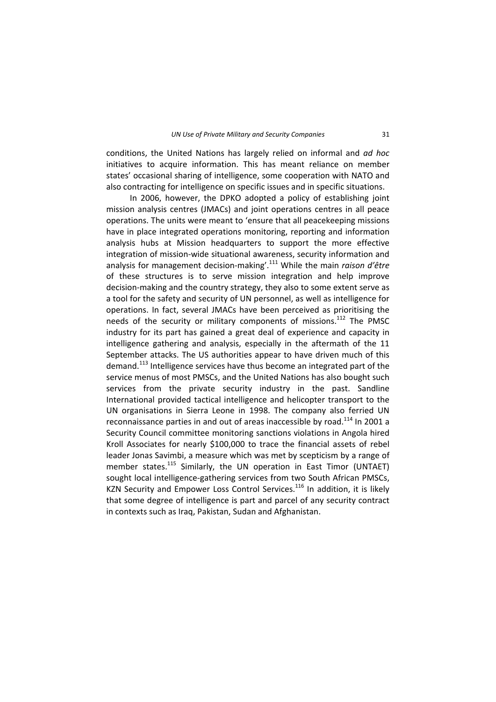conditions, the United Nations has largely relied on informal and *ad hoc* initiatives to acquire information. This has meant reliance on member states' occasional sharing of intelligence, some cooperation with NATO and also contracting for intelligence on specific issues and in specific situations.

In 2006, however, the DPKO adopted a policy of establishing joint mission analysis centres (JMACs) and joint operations centres in all peace operations. The units were meant to 'ensure that all peacekeeping missions have in place integrated operations monitoring, reporting and information analysis hubs at Mission headquarters to support the more effective integration of mission-wide situational awareness, security information and analysis for management decision‐making'.<sup>111</sup> While the main *raison d'être* of these structures is to serve mission integration and help improve decision‐making and the country strategy, they also to some extent serve as a tool for the safety and security of UN personnel, as well as intelligence for operations. In fact, several JMACs have been perceived as prioritising the needs of the security or military components of missions.<sup>112</sup> The PMSC industry for its part has gained a great deal of experience and capacity in intelligence gathering and analysis, especially in the aftermath of the 11 September attacks. The US authorities appear to have driven much of this demand.<sup>113</sup> Intelligence services have thus become an integrated part of the service menus of most PMSCs, and the United Nations has also bought such services from the private security industry in the past. Sandline International provided tactical intelligence and helicopter transport to the UN organisations in Sierra Leone in 1998. The company also ferried UN reconnaissance parties in and out of areas inaccessible by road.<sup>114</sup> In 2001 a Security Council committee monitoring sanctions violations in Angola hired Kroll Associates for nearly \$100,000 to trace the financial assets of rebel leader Jonas Savimbi, a measure which was met by scepticism by a range of member states.<sup>115</sup> Similarly, the UN operation in East Timor (UNTAET) sought local intelligence‐gathering services from two South African PMSCs, KZN Security and Empower Loss Control Services.<sup>116</sup> In addition, it is likely that some degree of intelligence is part and parcel of any security contract in contexts such as Iraq, Pakistan, Sudan and Afghanistan.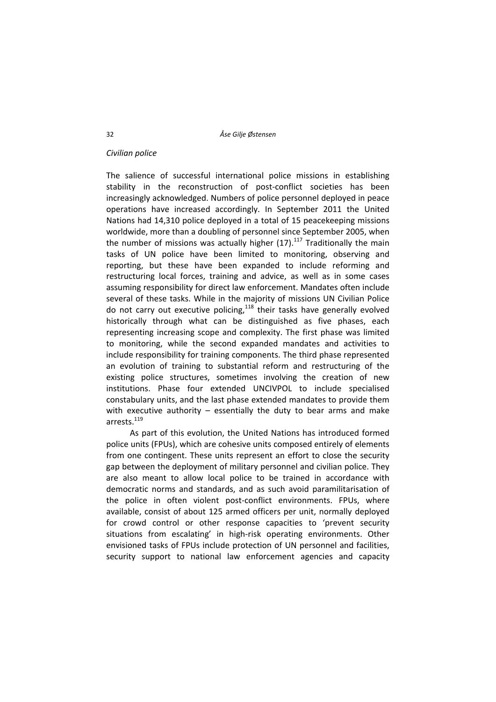#### *Civilian police*

The salience of successful international police missions in establishing stability in the reconstruction of post-conflict societies has been increasingly acknowledged. Numbers of police personnel deployed in peace operations have increased accordingly. In September 2011 the United Nations had 14,310 police deployed in a total of 15 peacekeeping missions worldwide, more than a doubling of personnel since September 2005, when the number of missions was actually higher  $(17)$ .<sup>117</sup> Traditionally the main tasks of UN police have been limited to monitoring, observing and reporting, but these have been expanded to include reforming and restructuring local forces, training and advice, as well as in some cases assuming responsibility for direct law enforcement. Mandates often include several of these tasks. While in the majority of missions UN Civilian Police do not carry out executive policing, $118$  their tasks have generally evolved historically through what can be distinguished as five phases, each representing increasing scope and complexity. The first phase was limited to monitoring, while the second expanded mandates and activities to include responsibility for training components. The third phase represented an evolution of training to substantial reform and restructuring of the existing police structures, sometimes involving the creation of new institutions. Phase four extended UNCIVPOL to include specialised constabulary units, and the last phase extended mandates to provide them with executive authority  $-$  essentially the duty to bear arms and make arrests.<sup>119</sup>

As part of this evolution, the United Nations has introduced formed police units (FPUs), which are cohesive units composed entirely of elements from one contingent. These units represent an effort to close the security gap between the deployment of military personnel and civilian police. They are also meant to allow local police to be trained in accordance with democratic norms and standards, and as such avoid paramilitarisation of the police in often violent post-conflict environments. FPUs, where available, consist of about 125 armed officers per unit, normally deployed for crowd control or other response capacities to 'prevent security situations from escalating' in high-risk operating environments. Other envisioned tasks of FPUs include protection of UN personnel and facilities, security support to national law enforcement agencies and capacity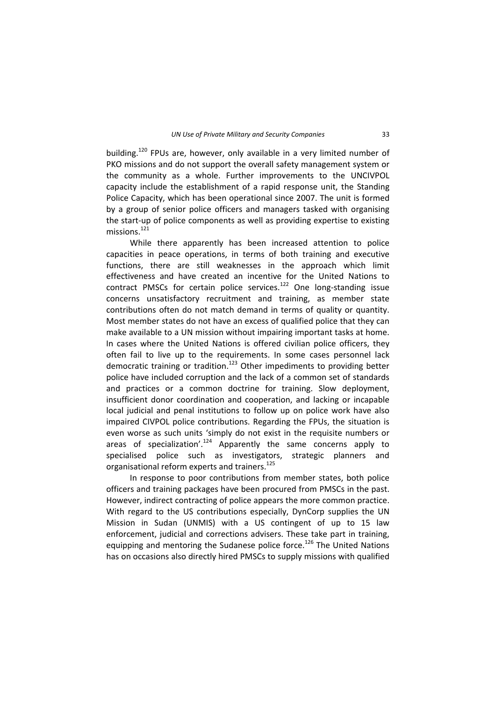building.<sup>120</sup> FPUs are, however, only available in a very limited number of PKO missions and do not support the overall safety management system or the community as a whole. Further improvements to the UNCIVPOL capacity include the establishment of a rapid response unit, the Standing Police Capacity, which has been operational since 2007. The unit is formed by a group of senior police officers and managers tasked with organising the start‐up of police components as well as providing expertise to existing missions.<sup>121</sup>

While there apparently has been increased attention to police capacities in peace operations, in terms of both training and executive functions, there are still weaknesses in the approach which limit effectiveness and have created an incentive for the United Nations to contract PMSCs for certain police services.<sup>122</sup> One long-standing issue concerns unsatisfactory recruitment and training, as member state contributions often do not match demand in terms of quality or quantity. Most member states do not have an excess of qualified police that they can make available to a UN mission without impairing important tasks at home. In cases where the United Nations is offered civilian police officers, they often fail to live up to the requirements. In some cases personnel lack democratic training or tradition.<sup>123</sup> Other impediments to providing better police have included corruption and the lack of a common set of standards and practices or a common doctrine for training. Slow deployment, insufficient donor coordination and cooperation, and lacking or incapable local judicial and penal institutions to follow up on police work have also impaired CIVPOL police contributions. Regarding the FPUs, the situation is even worse as such units 'simply do not exist in the requisite numbers or areas of specialization'.<sup>124</sup> Apparently the same concerns apply to specialised police such as investigators, strategic planners and organisational reform experts and trainers.<sup>125</sup>

In response to poor contributions from member states, both police officers and training packages have been procured from PMSCs in the past. However, indirect contracting of police appears the more common practice. With regard to the US contributions especially, DynCorp supplies the UN Mission in Sudan (UNMIS) with a US contingent of up to 15 law enforcement, judicial and corrections advisers. These take part in training, equipping and mentoring the Sudanese police force.<sup>126</sup> The United Nations has on occasions also directly hired PMSCs to supply missions with qualified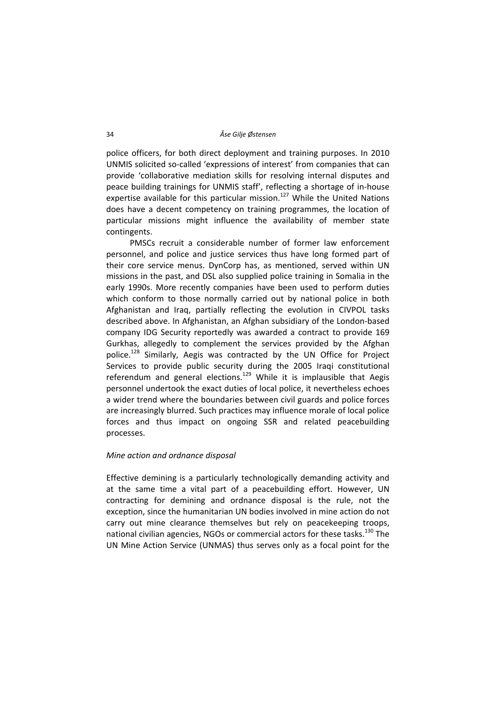police officers, for both direct deployment and training purposes. In 2010 UNMIS solicited so‐called 'expressions of interest' from companies that can provide 'collaborative mediation skills for resolving internal disputes and peace building trainings for UNMIS staff', reflecting a shortage of in‐house expertise available for this particular mission.<sup>127</sup> While the United Nations does have a decent competency on training programmes, the location of particular missions might influence the availability of member state contingents.

PMSCs recruit a considerable number of former law enforcement personnel, and police and justice services thus have long formed part of their core service menus. DynCorp has, as mentioned, served within UN missions in the past, and DSL also supplied police training in Somalia in the early 1990s. More recently companies have been used to perform duties which conform to those normally carried out by national police in both Afghanistan and Iraq, partially reflecting the evolution in CIVPOL tasks described above. In Afghanistan, an Afghan subsidiary of the London‐based company IDG Security reportedly was awarded a contract to provide 169 Gurkhas, allegedly to complement the services provided by the Afghan police.<sup>128</sup> Similarly, Aegis was contracted by the UN Office for Project Services to provide public security during the 2005 Iraqi constitutional referendum and general elections.<sup>129</sup> While it is implausible that Aegis personnel undertook the exact duties of local police, it nevertheless echoes a wider trend where the boundaries between civil guards and police forces are increasingly blurred. Such practices may influence morale of local police forces and thus impact on ongoing SSR and related peacebuilding processes.

# *Mine action and ordnance disposal*

Effective demining is a particularly technologically demanding activity and at the same time a vital part of a peacebuilding effort. However, UN contracting for demining and ordnance disposal is the rule, not the exception, since the humanitarian UN bodies involved in mine action do not carry out mine clearance themselves but rely on peacekeeping troops, national civilian agencies, NGOs or commercial actors for these tasks.<sup>130</sup> The UN Mine Action Service (UNMAS) thus serves only as a focal point for the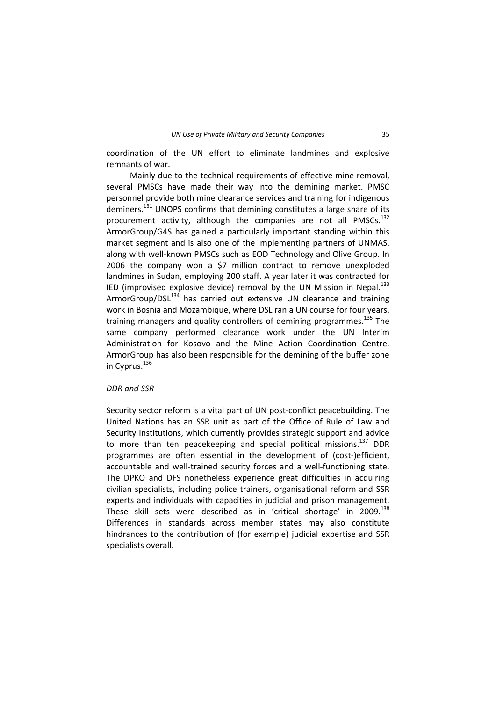coordination of the UN effort to eliminate landmines and explosive remnants of war.

Mainly due to the technical requirements of effective mine removal. several PMSCs have made their way into the demining market. PMSC personnel provide both mine clearance services and training for indigenous deminers.<sup>131</sup> UNOPS confirms that demining constitutes a large share of its procurement activity, although the companies are not all PMSCs. $^{132}$ ArmorGroup/G4S has gained a particularly important standing within this market segment and is also one of the implementing partners of UNMAS, along with well‐known PMSCs such as EOD Technology and Olive Group. In 2006 the company won a \$7 million contract to remove unexploded landmines in Sudan, employing 200 staff. A year later it was contracted for IED (improvised explosive device) removal by the UN Mission in Nepal. $133$ ArmorGroup/DSL<sup>134</sup> has carried out extensive UN clearance and training work in Bosnia and Mozambique, where DSL ran a UN course for four years, training managers and quality controllers of demining programmes.<sup>135</sup> The same company performed clearance work under the UN Interim Administration for Kosovo and the Mine Action Coordination Centre. ArmorGroup has also been responsible for the demining of the buffer zone in Cyprus.<sup>136</sup>

#### *DDR and SSR*

Security sector reform is a vital part of UN post-conflict peacebuilding. The United Nations has an SSR unit as part of the Office of Rule of Law and Security Institutions, which currently provides strategic support and advice to more than ten peacekeeping and special political missions.<sup>137</sup> DDR programmes are often essential in the development of (cost‐)efficient, accountable and well-trained security forces and a well-functioning state. The DPKO and DFS nonetheless experience great difficulties in acquiring civilian specialists, including police trainers, organisational reform and SSR experts and individuals with capacities in judicial and prison management. These skill sets were described as in 'critical shortage' in 2009.<sup>138</sup> Differences in standards across member states may also constitute hindrances to the contribution of (for example) judicial expertise and SSR specialists overall.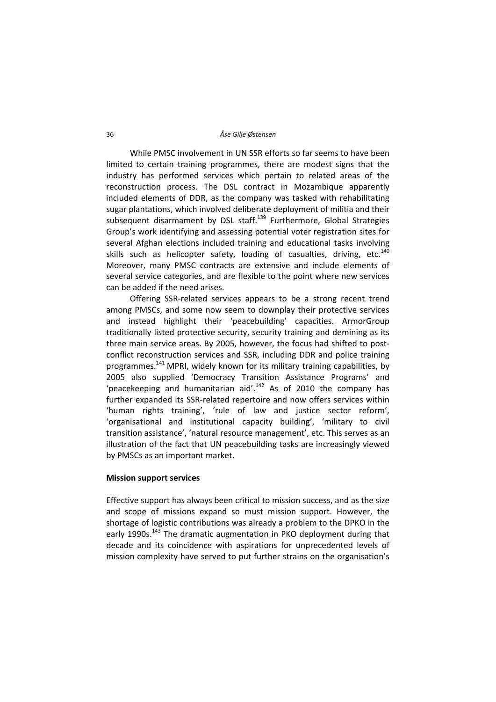While PMSC involvement in UN SSR efforts so far seems to have been limited to certain training programmes, there are modest signs that the industry has performed services which pertain to related areas of the reconstruction process. The DSL contract in Mozambique apparently included elements of DDR, as the company was tasked with rehabilitating sugar plantations, which involved deliberate deployment of militia and their subsequent disarmament by DSL staff.<sup>139</sup> Furthermore, Global Strategies Group's work identifying and assessing potential voter registration sites for several Afghan elections included training and educational tasks involving skills such as helicopter safety, loading of casualties, driving, etc. $140$ Moreover, many PMSC contracts are extensive and include elements of several service categories, and are flexible to the point where new services can be added if the need arises.

Offering SSR‐related services appears to be a strong recent trend among PMSCs, and some now seem to downplay their protective services and instead highlight their 'peacebuilding' capacities. ArmorGroup traditionally listed protective security, security training and demining as its three main service areas. By 2005, however, the focus had shifted to post‐ conflict reconstruction services and SSR, including DDR and police training programmes.<sup>141</sup> MPRI, widely known for its military training capabilities, by 2005 also supplied 'Democracy Transition Assistance Programs' and 'peacekeeping and humanitarian aid'. $142$  As of 2010 the company has further expanded its SSR‐related repertoire and now offers services within 'human rights training', 'rule of law and justice sector reform', 'organisational and institutional capacity building', 'military to civil transition assistance', 'natural resource management', etc. This serves as an illustration of the fact that UN peacebuilding tasks are increasingly viewed by PMSCs as an important market.

# **Mission support services**

Effective support has always been critical to mission success, and as the size and scope of missions expand so must mission support. However, the shortage of logistic contributions was already a problem to the DPKO in the early 1990s.<sup>143</sup> The dramatic augmentation in PKO deployment during that decade and its coincidence with aspirations for unprecedented levels of mission complexity have served to put further strains on the organisation's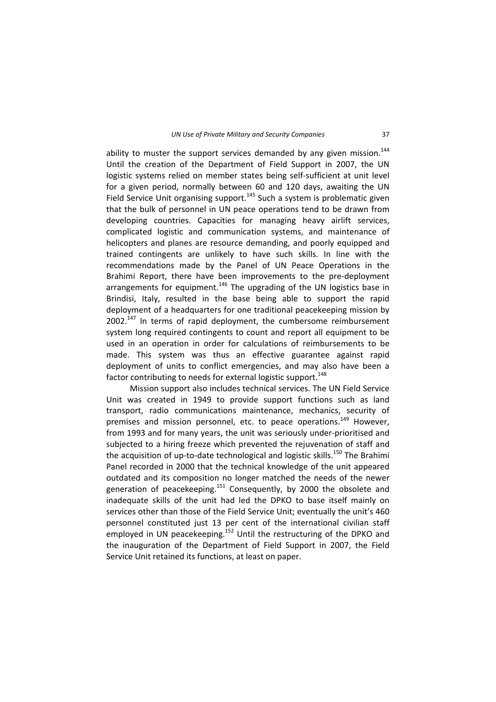ability to muster the support services demanded by any given mission. $144$ Until the creation of the Department of Field Support in 2007, the UN logistic systems relied on member states being self‐sufficient at unit level for a given period, normally between 60 and 120 days, awaiting the UN Field Service Unit organising support.<sup>145</sup> Such a system is problematic given that the bulk of personnel in UN peace operations tend to be drawn from developing countries. Capacities for managing heavy airlift services, complicated logistic and communication systems, and maintenance of helicopters and planes are resource demanding, and poorly equipped and trained contingents are unlikely to have such skills. In line with the recommendations made by the Panel of UN Peace Operations in the Brahimi Report, there have been improvements to the pre‐deployment arrangements for equipment. $146$  The upgrading of the UN logistics base in Brindisi, Italy, resulted in the base being able to support the rapid deployment of a headquarters for one traditional peacekeeping mission by  $2002.<sup>147</sup>$  In terms of rapid deployment, the cumbersome reimbursement system long required contingents to count and report all equipment to be used in an operation in order for calculations of reimbursements to be made. This system was thus an effective guarantee against rapid deployment of units to conflict emergencies, and may also have been a factor contributing to needs for external logistic support.<sup>148</sup>

Mission support also includes technical services. The UN Field Service Unit was created in 1949 to provide support functions such as land transport, radio communications maintenance, mechanics, security of premises and mission personnel, etc. to peace operations.<sup>149</sup> However, from 1993 and for many years, the unit was seriously under‐prioritised and subjected to a hiring freeze which prevented the rejuvenation of staff and the acquisition of up-to-date technological and logistic skills.<sup>150</sup> The Brahimi Panel recorded in 2000 that the technical knowledge of the unit appeared outdated and its composition no longer matched the needs of the newer generation of peacekeeping.<sup>151</sup> Consequently, by 2000 the obsolete and inadequate skills of the unit had led the DPKO to base itself mainly on services other than those of the Field Service Unit; eventually the unit's 460 personnel constituted just 13 per cent of the international civilian staff employed in UN peacekeeping.<sup>152</sup> Until the restructuring of the DPKO and the inauguration of the Department of Field Support in 2007, the Field Service Unit retained its functions, at least on paper.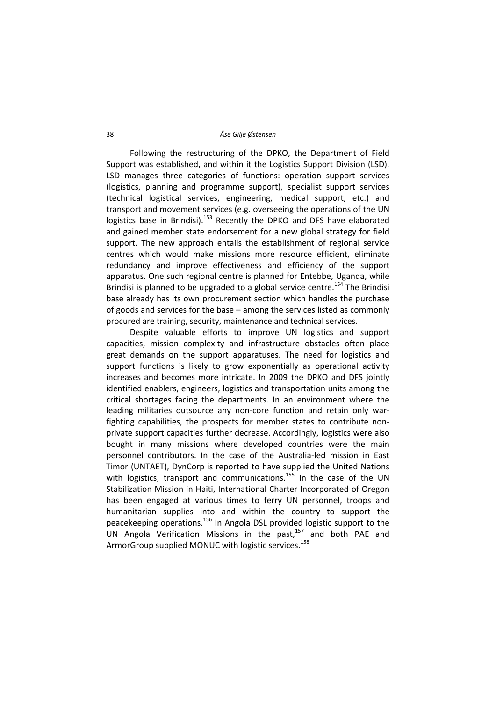Following the restructuring of the DPKO, the Department of Field Support was established, and within it the Logistics Support Division (LSD). LSD manages three categories of functions: operation support services (logistics, planning and programme support), specialist support services (technical logistical services, engineering, medical support, etc.) and transport and movement services (e.g. overseeing the operations of the UN logistics base in Brindisi).<sup>153</sup> Recently the DPKO and DFS have elaborated and gained member state endorsement for a new global strategy for field support. The new approach entails the establishment of regional service centres which would make missions more resource efficient, eliminate redundancy and improve effectiveness and efficiency of the support apparatus. One such regional centre is planned for Entebbe, Uganda, while Brindisi is planned to be upgraded to a global service centre.<sup>154</sup> The Brindisi base already has its own procurement section which handles the purchase of goods and services for the base – among the services listed as commonly procured are training, security, maintenance and technical services.

Despite valuable efforts to improve UN logistics and support capacities, mission complexity and infrastructure obstacles often place great demands on the support apparatuses. The need for logistics and support functions is likely to grow exponentially as operational activity increases and becomes more intricate. In 2009 the DPKO and DFS jointly identified enablers, engineers, logistics and transportation units among the critical shortages facing the departments. In an environment where the leading militaries outsource any non-core function and retain only warfighting capabilities, the prospects for member states to contribute non‐ private support capacities further decrease. Accordingly, logistics were also bought in many missions where developed countries were the main personnel contributors. In the case of the Australia‐led mission in East Timor (UNTAET), DynCorp is reported to have supplied the United Nations with logistics, transport and communications.<sup>155</sup> In the case of the UN Stabilization Mission in Haiti, International Charter Incorporated of Oregon has been engaged at various times to ferry UN personnel, troops and humanitarian supplies into and within the country to support the peacekeeping operations.<sup>156</sup> In Angola DSL provided logistic support to the UN Angola Verification Missions in the past, $157$  and both PAE and ArmorGroup supplied MONUC with logistic services.<sup>158</sup>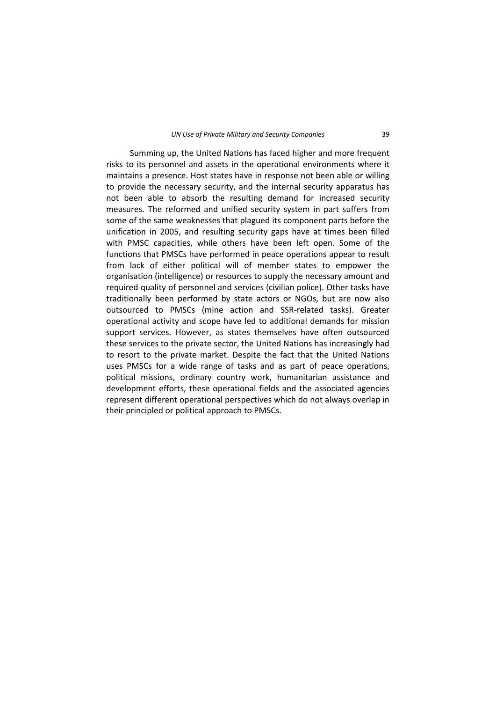Summing up, the United Nations has faced higher and more frequent risks to its personnel and assets in the operational environments where it maintains a presence. Host states have in response not been able or willing to provide the necessary security, and the internal security apparatus has not been able to absorb the resulting demand for increased security measures. The reformed and unified security system in part suffers from some of the same weaknesses that plagued its component parts before the unification in 2005, and resulting security gaps have at times been filled with PMSC capacities, while others have been left open. Some of the functions that PMSCs have performed in peace operations appear to result from lack of either political will of member states to empower the organisation (intelligence) or resources to supply the necessary amount and required quality of personnel and services (civilian police). Other tasks have traditionally been performed by state actors or NGOs, but are now also outsourced to PMSCs (mine action and SSR‐related tasks). Greater operational activity and scope have led to additional demands for mission support services. However, as states themselves have often outsourced these services to the private sector, the United Nations has increasingly had to resort to the private market. Despite the fact that the United Nations uses PMSCs for a wide range of tasks and as part of peace operations, political missions, ordinary country work, humanitarian assistance and development efforts, these operational fields and the associated agencies represent different operational perspectives which do not always overlap in their principled or political approach to PMSCs.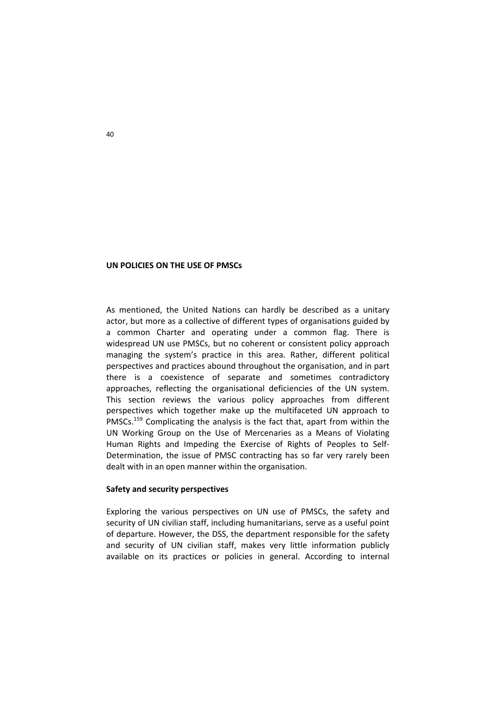#### **UN POLICIES ON THE USE OF PMSCs**

As mentioned, the United Nations can hardly be described as a unitary actor, but more as a collective of different types of organisations guided by a common Charter and operating under a common flag. There is widespread UN use PMSCs, but no coherent or consistent policy approach managing the system's practice in this area. Rather, different political perspectives and practices abound throughout the organisation, and in part there is a coexistence of separate and sometimes contradictory approaches, reflecting the organisational deficiencies of the UN system. This section reviews the various policy approaches from different perspectives which together make up the multifaceted UN approach to PMSCs.<sup>159</sup> Complicating the analysis is the fact that, apart from within the UN Working Group on the Use of Mercenaries as a Means of Violating Human Rights and Impeding the Exercise of Rights of Peoples to Self‐ Determination, the issue of PMSC contracting has so far very rarely been dealt with in an open manner within the organisation.

# **Safety and security perspectives**

Exploring the various perspectives on UN use of PMSCs, the safety and security of UN civilian staff, including humanitarians, serve as a useful point of departure. However, the DSS, the department responsible for the safety and security of UN civilian staff, makes very little information publicly available on its practices or policies in general. According to internal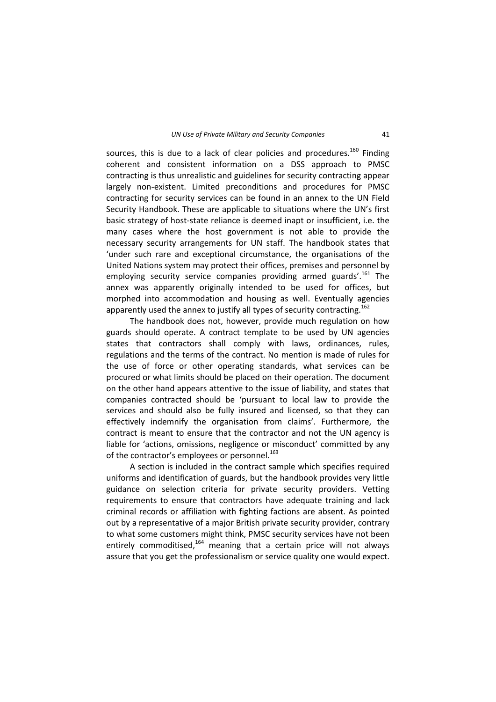sources, this is due to a lack of clear policies and procedures.<sup>160</sup> Finding coherent and consistent information on a DSS approach to PMSC contracting is thus unrealistic and guidelines for security contracting appear largely non‐existent. Limited preconditions and procedures for PMSC contracting for security services can be found in an annex to the UN Field Security Handbook. These are applicable to situations where the UN's first basic strategy of host‐state reliance is deemed inapt or insufficient, i.e. the many cases where the host government is not able to provide the necessary security arrangements for UN staff. The handbook states that 'under such rare and exceptional circumstance, the organisations of the United Nations system may protect their offices, premises and personnel by employing security service companies providing armed guards'.<sup>161</sup> The annex was apparently originally intended to be used for offices, but morphed into accommodation and housing as well. Eventually agencies apparently used the annex to justify all types of security contracting.<sup>162</sup>

The handbook does not, however, provide much regulation on how guards should operate. A contract template to be used by UN agencies states that contractors shall comply with laws, ordinances, rules, regulations and the terms of the contract. No mention is made of rules for the use of force or other operating standards, what services can be procured or what limits should be placed on their operation. The document on the other hand appears attentive to the issue of liability, and states that companies contracted should be 'pursuant to local law to provide the services and should also be fully insured and licensed, so that they can effectively indemnify the organisation from claims'. Furthermore, the contract is meant to ensure that the contractor and not the UN agency is liable for 'actions, omissions, negligence or misconduct' committed by any of the contractor's employees or personnel.<sup>163</sup>

A section is included in the contract sample which specifies required uniforms and identification of guards, but the handbook provides very little guidance on selection criteria for private security providers. Vetting requirements to ensure that contractors have adequate training and lack criminal records or affiliation with fighting factions are absent. As pointed out by a representative of a major British private security provider, contrary to what some customers might think, PMSC security services have not been entirely commoditised, $164$  meaning that a certain price will not always assure that you get the professionalism or service quality one would expect.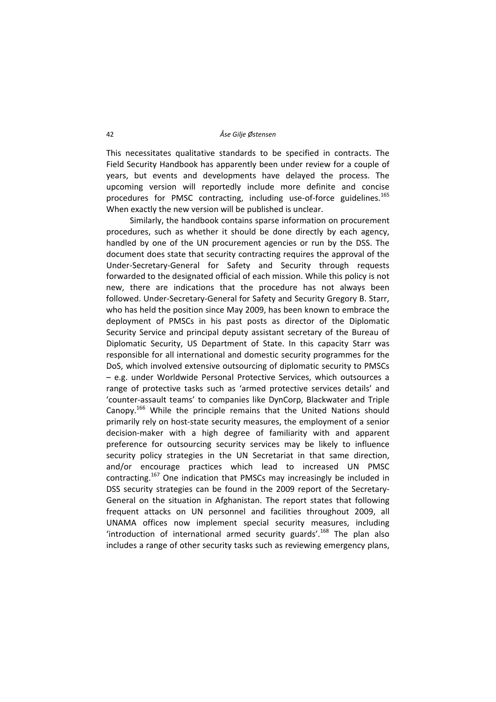This necessitates qualitative standards to be specified in contracts. The Field Security Handbook has apparently been under review for a couple of years, but events and developments have delayed the process. The upcoming version will reportedly include more definite and concise procedures for PMSC contracting, including use-of-force guidelines.<sup>165</sup> When exactly the new version will be published is unclear.

Similarly, the handbook contains sparse information on procurement procedures, such as whether it should be done directly by each agency, handled by one of the UN procurement agencies or run by the DSS. The document does state that security contracting requires the approval of the Under‐Secretary‐General for Safety and Security through requests forwarded to the designated official of each mission. While this policy is not new, there are indications that the procedure has not always been followed. Under‐Secretary‐General for Safety and Security Gregory B. Starr, who has held the position since May 2009, has been known to embrace the deployment of PMSCs in his past posts as director of the Diplomatic Security Service and principal deputy assistant secretary of the Bureau of Diplomatic Security, US Department of State. In this capacity Starr was responsible for all international and domestic security programmes for the DoS, which involved extensive outsourcing of diplomatic security to PMSCs – e.g. under Worldwide Personal Protective Services, which outsources a range of protective tasks such as 'armed protective services details' and 'counter‐assault teams' to companies like DynCorp, Blackwater and Triple Canopy.<sup>166</sup> While the principle remains that the United Nations should primarily rely on host-state security measures, the employment of a senior decision‐maker with a high degree of familiarity with and apparent preference for outsourcing security services may be likely to influence security policy strategies in the UN Secretariat in that same direction, and/or encourage practices which lead to increased UN PMSC contracting.<sup>167</sup> One indication that PMSCs may increasingly be included in DSS security strategies can be found in the 2009 report of the Secretary‐ General on the situation in Afghanistan. The report states that following frequent attacks on UN personnel and facilities throughout 2009, all UNAMA offices now implement special security measures, including 'introduction of international armed security guards'.<sup>168</sup> The plan also includes a range of other security tasks such as reviewing emergency plans,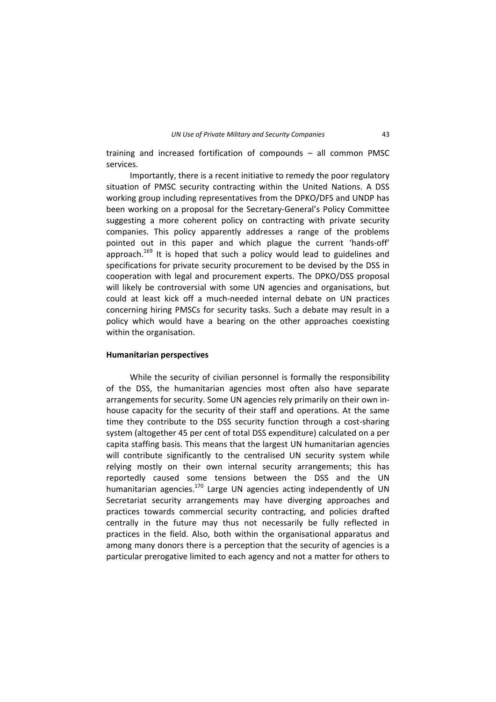training and increased fortification of compounds – all common PMSC services.

Importantly, there is a recent initiative to remedy the poor regulatory situation of PMSC security contracting within the United Nations. A DSS working group including representatives from the DPKO/DFS and UNDP has been working on a proposal for the Secretary‐General's Policy Committee suggesting a more coherent policy on contracting with private security companies. This policy apparently addresses a range of the problems pointed out in this paper and which plague the current 'hands‐off' approach.<sup>169</sup> It is hoped that such a policy would lead to guidelines and specifications for private security procurement to be devised by the DSS in cooperation with legal and procurement experts. The DPKO/DSS proposal will likely be controversial with some UN agencies and organisations, but could at least kick off a much‐needed internal debate on UN practices concerning hiring PMSCs for security tasks. Such a debate may result in a policy which would have a bearing on the other approaches coexisting within the organisation.

#### **Humanitarian perspectives**

While the security of civilian personnel is formally the responsibility of the DSS, the humanitarian agencies most often also have separate arrangements for security. Some UN agencies rely primarily on their own in‐ house capacity for the security of their staff and operations. At the same time they contribute to the DSS security function through a cost-sharing system (altogether 45 per cent of total DSS expenditure) calculated on a per capita staffing basis. This means that the largest UN humanitarian agencies will contribute significantly to the centralised UN security system while relying mostly on their own internal security arrangements; this has reportedly caused some tensions between the DSS and the UN humanitarian agencies.<sup>170</sup> Large UN agencies acting independently of UN Secretariat security arrangements may have diverging approaches and practices towards commercial security contracting, and policies drafted centrally in the future may thus not necessarily be fully reflected in practices in the field. Also, both within the organisational apparatus and among many donors there is a perception that the security of agencies is a particular prerogative limited to each agency and not a matter for others to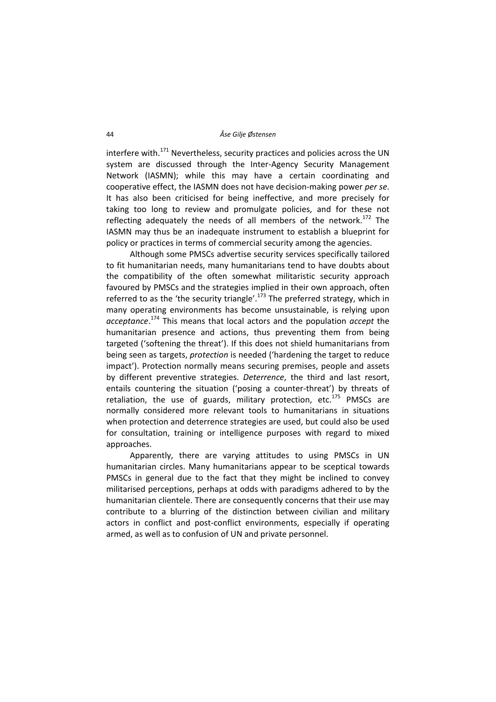interfere with. $171$  Nevertheless, security practices and policies across the UN system are discussed through the Inter-Agency Security Management Network (IASMN); while this may have a certain coordinating and cooperative effect, the IASMN does not have decision‐making power *per se*. It has also been criticised for being ineffective, and more precisely for taking too long to review and promulgate policies, and for these not reflecting adequately the needs of all members of the network.<sup>172</sup> The IASMN may thus be an inadequate instrument to establish a blueprint for policy or practices in terms of commercial security among the agencies.

Although some PMSCs advertise security services specifically tailored to fit humanitarian needs, many humanitarians tend to have doubts about the compatibility of the often somewhat militaristic security approach favoured by PMSCs and the strategies implied in their own approach, often referred to as the 'the security triangle'.<sup>173</sup> The preferred strategy, which in many operating environments has become unsustainable, is relying upon *acceptance*. <sup>174</sup> This means that local actors and the population *accept* the humanitarian presence and actions, thus preventing them from being targeted ('softening the threat'). If this does not shield humanitarians from being seen as targets, *protection* is needed ('hardening the target to reduce impact'). Protection normally means securing premises, people and assets by different preventive strategies. *Deterrence*, the third and last resort, entails countering the situation ('posing a counter-threat') by threats of retaliation, the use of guards, military protection, etc. $175$  PMSCs are normally considered more relevant tools to humanitarians in situations when protection and deterrence strategies are used, but could also be used for consultation, training or intelligence purposes with regard to mixed approaches.

Apparently, there are varying attitudes to using PMSCs in UN humanitarian circles. Many humanitarians appear to be sceptical towards PMSCs in general due to the fact that they might be inclined to convey militarised perceptions, perhaps at odds with paradigms adhered to by the humanitarian clientele. There are consequently concerns that their use may contribute to a blurring of the distinction between civilian and military actors in conflict and post‐conflict environments, especially if operating armed, as well as to confusion of UN and private personnel.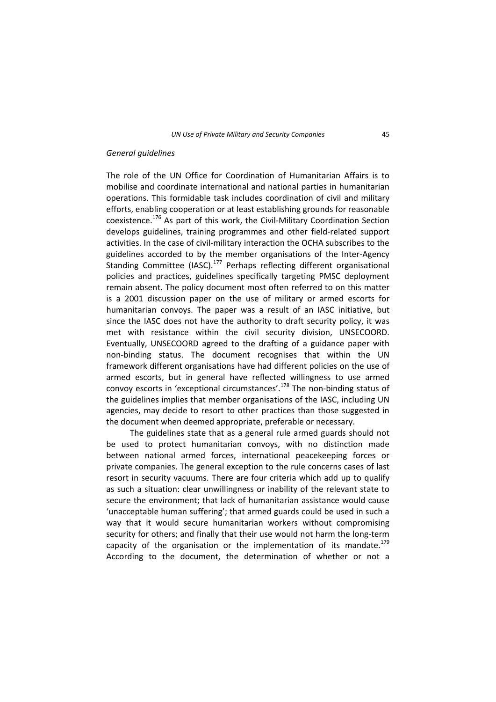## *General guidelines*

The role of the UN Office for Coordination of Humanitarian Affairs is to mobilise and coordinate international and national parties in humanitarian operations. This formidable task includes coordination of civil and military efforts, enabling cooperation or at least establishing grounds for reasonable coexistence.<sup>176</sup> As part of this work, the Civil-Military Coordination Section develops guidelines, training programmes and other field‐related support activities. In the case of civil‐military interaction the OCHA subscribes to the guidelines accorded to by the member organisations of the Inter‐Agency Standing Committee (IASC).<sup>177</sup> Perhaps reflecting different organisational policies and practices, guidelines specifically targeting PMSC deployment remain absent. The policy document most often referred to on this matter is a 2001 discussion paper on the use of military or armed escorts for humanitarian convoys. The paper was a result of an IASC initiative, but since the IASC does not have the authority to draft security policy, it was met with resistance within the civil security division, UNSECOORD. Eventually, UNSECOORD agreed to the drafting of a guidance paper with non‐binding status. The document recognises that within the UN framework different organisations have had different policies on the use of armed escorts, but in general have reflected willingness to use armed convoy escorts in 'exceptional circumstances'.<sup>178</sup> The non-binding status of the guidelines implies that member organisations of the IASC, including UN agencies, may decide to resort to other practices than those suggested in the document when deemed appropriate, preferable or necessary.

The guidelines state that as a general rule armed guards should not be used to protect humanitarian convoys, with no distinction made between national armed forces, international peacekeeping forces or private companies. The general exception to the rule concerns cases of last resort in security vacuums. There are four criteria which add up to qualify as such a situation: clear unwillingness or inability of the relevant state to secure the environment; that lack of humanitarian assistance would cause 'unacceptable human suffering'; that armed guards could be used in such a way that it would secure humanitarian workers without compromising security for others; and finally that their use would not harm the long-term capacity of the organisation or the implementation of its mandate. $^{179}$ According to the document, the determination of whether or not a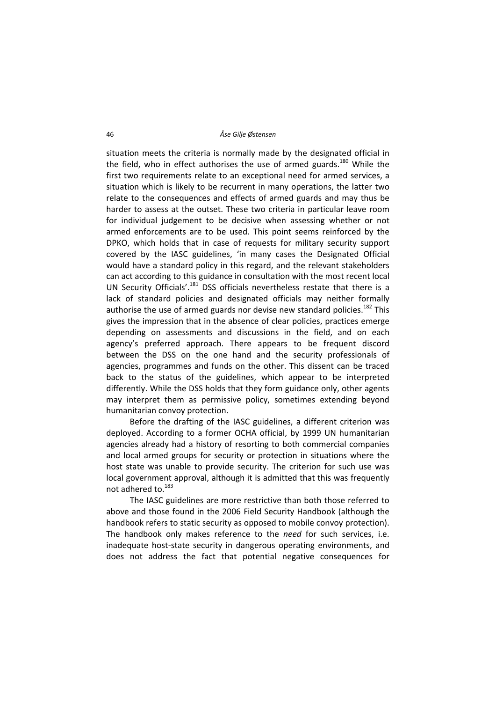situation meets the criteria is normally made by the designated official in the field, who in effect authorises the use of armed guards.<sup>180</sup> While the first two requirements relate to an exceptional need for armed services, a situation which is likely to be recurrent in many operations, the latter two relate to the consequences and effects of armed guards and may thus be harder to assess at the outset. These two criteria in particular leave room for individual judgement to be decisive when assessing whether or not armed enforcements are to be used. This point seems reinforced by the DPKO, which holds that in case of requests for military security support covered by the IASC guidelines, 'in many cases the Designated Official would have a standard policy in this regard, and the relevant stakeholders can act according to this guidance in consultation with the most recent local UN Security Officials'.<sup>181</sup> DSS officials nevertheless restate that there is a lack of standard policies and designated officials may neither formally authorise the use of armed guards nor devise new standard policies.<sup>182</sup> This gives the impression that in the absence of clear policies, practices emerge depending on assessments and discussions in the field, and on each agency's preferred approach. There appears to be frequent discord between the DSS on the one hand and the security professionals of agencies, programmes and funds on the other. This dissent can be traced back to the status of the guidelines, which appear to be interpreted differently. While the DSS holds that they form guidance only, other agents may interpret them as permissive policy, sometimes extending beyond humanitarian convoy protection.

Before the drafting of the IASC guidelines, a different criterion was deployed. According to a former OCHA official, by 1999 UN humanitarian agencies already had a history of resorting to both commercial companies and local armed groups for security or protection in situations where the host state was unable to provide security. The criterion for such use was local government approval, although it is admitted that this was frequently not adhered to.183

The IASC guidelines are more restrictive than both those referred to above and those found in the 2006 Field Security Handbook (although the handbook refers to static security as opposed to mobile convoy protection). The handbook only makes reference to the *need* for such services, i.e. inadequate host‐state security in dangerous operating environments, and does not address the fact that potential negative consequences for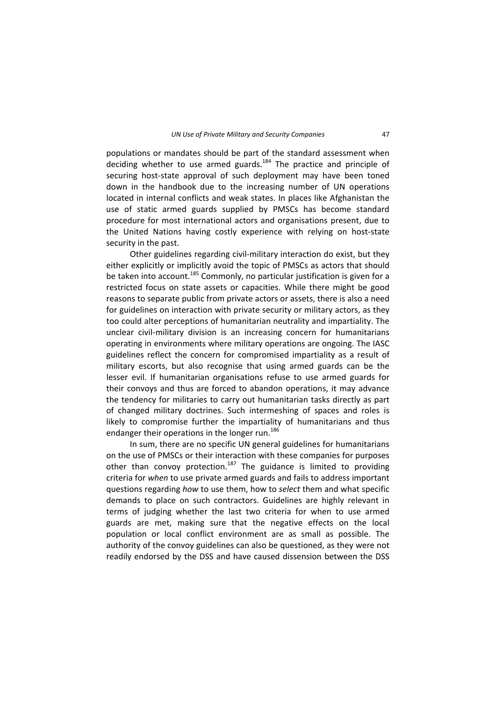populations or mandates should be part of the standard assessment when deciding whether to use armed guards. $184$  The practice and principle of securing host-state approval of such deployment may have been toned down in the handbook due to the increasing number of UN operations located in internal conflicts and weak states. In places like Afghanistan the use of static armed guards supplied by PMSCs has become standard procedure for most international actors and organisations present, due to the United Nations having costly experience with relying on host-state security in the past.

Other guidelines regarding civil‐military interaction do exist, but they either explicitly or implicitly avoid the topic of PMSCs as actors that should be taken into account.<sup>185</sup> Commonly, no particular justification is given for a restricted focus on state assets or capacities. While there might be good reasons to separate public from private actors or assets, there is also a need for guidelines on interaction with private security or military actors, as they too could alter perceptions of humanitarian neutrality and impartiality. The unclear civil‐military division is an increasing concern for humanitarians operating in environments where military operations are ongoing. The IASC guidelines reflect the concern for compromised impartiality as a result of military escorts, but also recognise that using armed guards can be the lesser evil. If humanitarian organisations refuse to use armed guards for their convoys and thus are forced to abandon operations, it may advance the tendency for militaries to carry out humanitarian tasks directly as part of changed military doctrines. Such intermeshing of spaces and roles is likely to compromise further the impartiality of humanitarians and thus endanger their operations in the longer run.<sup>186</sup>

In sum, there are no specific UN general guidelines for humanitarians on the use of PMSCs or their interaction with these companies for purposes other than convoy protection.<sup>187</sup> The guidance is limited to providing criteria for *when* to use private armed guards and fails to address important questions regarding *how* to use them, how to *select* them and what specific demands to place on such contractors. Guidelines are highly relevant in terms of judging whether the last two criteria for when to use armed guards are met, making sure that the negative effects on the local population or local conflict environment are as small as possible. The authority of the convoy guidelines can also be questioned, as they were not readily endorsed by the DSS and have caused dissension between the DSS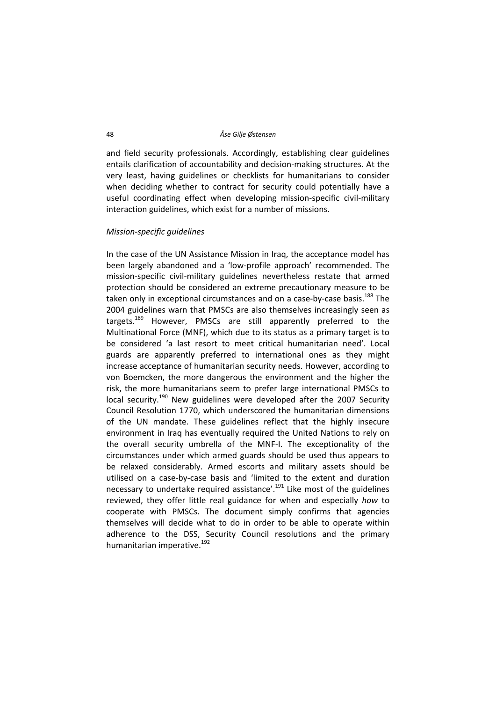and field security professionals. Accordingly, establishing clear guidelines entails clarification of accountability and decision‐making structures. At the very least, having guidelines or checklists for humanitarians to consider when deciding whether to contract for security could potentially have a useful coordinating effect when developing mission‐specific civil‐military interaction guidelines, which exist for a number of missions.

## *Mission‐specific guidelines*

In the case of the UN Assistance Mission in Iraq, the acceptance model has been largely abandoned and a 'low‐profile approach' recommended. The mission‐specific civil‐military guidelines nevertheless restate that armed protection should be considered an extreme precautionary measure to be taken only in exceptional circumstances and on a case-by-case basis.<sup>188</sup> The 2004 guidelines warn that PMSCs are also themselves increasingly seen as targets.<sup>189</sup> However, PMSCs are still apparently preferred to the Multinational Force (MNF), which due to its status as a primary target is to be considered 'a last resort to meet critical humanitarian need'. Local guards are apparently preferred to international ones as they might increase acceptance of humanitarian security needs. However, according to von Boemcken, the more dangerous the environment and the higher the risk, the more humanitarians seem to prefer large international PMSCs to local security.<sup>190</sup> New guidelines were developed after the 2007 Security Council Resolution 1770, which underscored the humanitarian dimensions of the UN mandate. These guidelines reflect that the highly insecure environment in Iraq has eventually required the United Nations to rely on the overall security umbrella of the MNF‐I. The exceptionality of the circumstances under which armed guards should be used thus appears to be relaxed considerably. Armed escorts and military assets should be utilised on a case‐by‐case basis and 'limited to the extent and duration necessary to undertake required assistance'.<sup>191</sup> Like most of the guidelines reviewed, they offer little real guidance for when and especially *how* to cooperate with PMSCs. The document simply confirms that agencies themselves will decide what to do in order to be able to operate within adherence to the DSS, Security Council resolutions and the primary humanitarian imperative.<sup>192</sup>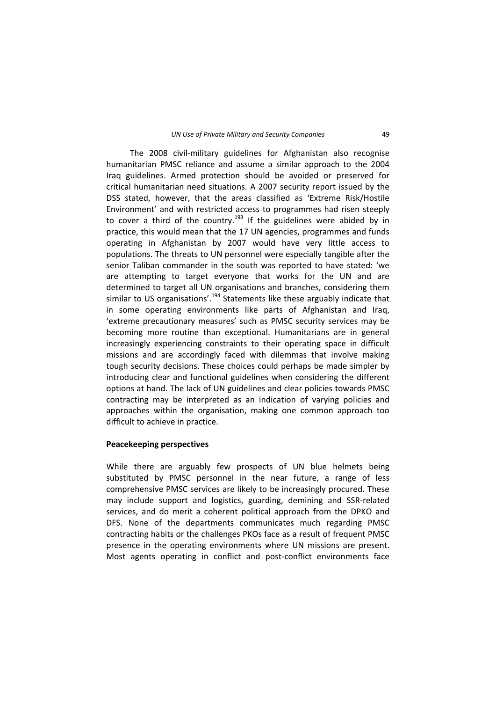The 2008 civil‐military guidelines for Afghanistan also recognise humanitarian PMSC reliance and assume a similar approach to the 2004 Iraq guidelines. Armed protection should be avoided or preserved for critical humanitarian need situations. A 2007 security report issued by the DSS stated, however, that the areas classified as 'Extreme Risk/Hostile Environment' and with restricted access to programmes had risen steeply to cover a third of the country.<sup>193</sup> If the guidelines were abided by in practice, this would mean that the 17 UN agencies, programmes and funds operating in Afghanistan by 2007 would have very little access to populations. The threats to UN personnel were especially tangible after the senior Taliban commander in the south was reported to have stated: 'we are attempting to target everyone that works for the UN and are determined to target all UN organisations and branches, considering them similar to US organisations'.<sup>194</sup> Statements like these arguably indicate that in some operating environments like parts of Afghanistan and Iraq, 'extreme precautionary measures' such as PMSC security services may be becoming more routine than exceptional. Humanitarians are in general increasingly experiencing constraints to their operating space in difficult missions and are accordingly faced with dilemmas that involve making tough security decisions. These choices could perhaps be made simpler by introducing clear and functional guidelines when considering the different options at hand. The lack of UN guidelines and clear policies towards PMSC contracting may be interpreted as an indication of varying policies and approaches within the organisation, making one common approach too difficult to achieve in practice.

## **Peacekeeping perspectives**

While there are arguably few prospects of UN blue helmets being substituted by PMSC personnel in the near future, a range of less comprehensive PMSC services are likely to be increasingly procured. These may include support and logistics, guarding, demining and SSR‐related services, and do merit a coherent political approach from the DPKO and DFS. None of the departments communicates much regarding PMSC contracting habits or the challenges PKOs face as a result of frequent PMSC presence in the operating environments where UN missions are present. Most agents operating in conflict and post-conflict environments face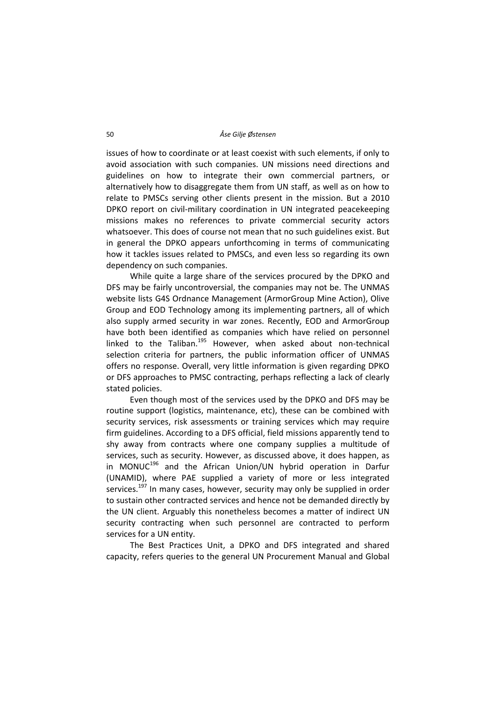issues of how to coordinate or at least coexist with such elements, if only to avoid association with such companies. UN missions need directions and guidelines on how to integrate their own commercial partners, or alternatively how to disaggregate them from UN staff, as well as on how to relate to PMSCs serving other clients present in the mission. But a 2010 DPKO report on civil-military coordination in UN integrated peacekeeping missions makes no references to private commercial security actors whatsoever. This does of course not mean that no such guidelines exist. But in general the DPKO appears unforthcoming in terms of communicating how it tackles issues related to PMSCs, and even less so regarding its own dependency on such companies.

While quite a large share of the services procured by the DPKO and DFS may be fairly uncontroversial, the companies may not be. The UNMAS website lists G4S Ordnance Management (ArmorGroup Mine Action), Olive Group and EOD Technology among its implementing partners, all of which also supply armed security in war zones. Recently, EOD and ArmorGroup have both been identified as companies which have relied on personnel linked to the Taliban.<sup>195</sup> However, when asked about non-technical selection criteria for partners, the public information officer of UNMAS offers no response. Overall, very little information is given regarding DPKO or DFS approaches to PMSC contracting, perhaps reflecting a lack of clearly stated policies.

Even though most of the services used by the DPKO and DFS may be routine support (logistics, maintenance, etc), these can be combined with security services, risk assessments or training services which may require firm guidelines. According to a DFS official, field missions apparently tend to shy away from contracts where one company supplies a multitude of services, such as security. However, as discussed above, it does happen, as in MONUC<sup>196</sup> and the African Union/UN hybrid operation in Darfur (UNAMID), where PAE supplied a variety of more or less integrated services.<sup>197</sup> In many cases, however, security may only be supplied in order to sustain other contracted services and hence not be demanded directly by the UN client. Arguably this nonetheless becomes a matter of indirect UN security contracting when such personnel are contracted to perform services for a UN entity.

The Best Practices Unit, a DPKO and DFS integrated and shared capacity, refers queries to the general UN Procurement Manual and Global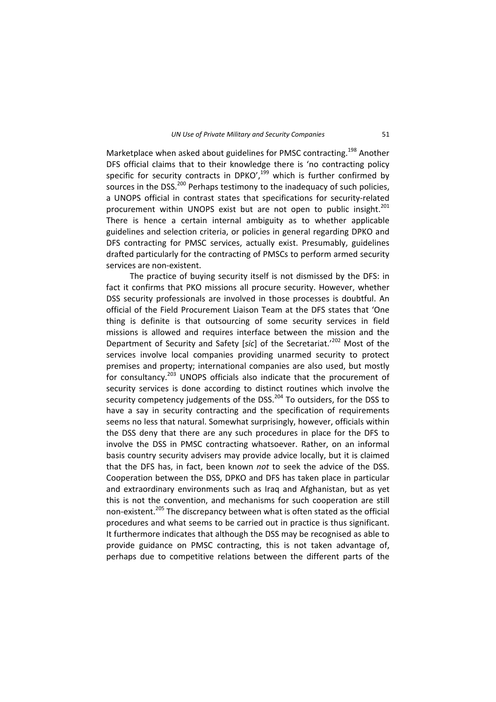Marketplace when asked about guidelines for PMSC contracting.<sup>198</sup> Another DFS official claims that to their knowledge there is 'no contracting policy specific for security contracts in DPKO', $199$  which is further confirmed by sources in the DSS.<sup>200</sup> Perhaps testimony to the inadequacy of such policies, a UNOPS official in contrast states that specifications for security‐related procurement within UNOPS exist but are not open to public insight.<sup>201</sup> There is hence a certain internal ambiguity as to whether applicable guidelines and selection criteria, or policies in general regarding DPKO and DFS contracting for PMSC services, actually exist. Presumably, guidelines drafted particularly for the contracting of PMSCs to perform armed security services are non-existent.

The practice of buying security itself is not dismissed by the DFS: in fact it confirms that PKO missions all procure security. However, whether DSS security professionals are involved in those processes is doubtful. An official of the Field Procurement Liaison Team at the DFS states that 'One thing is definite is that outsourcing of some security services in field missions is allowed and requires interface between the mission and the Department of Security and Safety [*sic*] of the Secretariat.'<sup>202</sup> Most of the services involve local companies providing unarmed security to protect premises and property; international companies are also used, but mostly for consultancy.<sup>203</sup> UNOPS officials also indicate that the procurement of security services is done according to distinct routines which involve the security competency judgements of the DSS.<sup>204</sup> To outsiders, for the DSS to have a say in security contracting and the specification of requirements seems no less that natural. Somewhat surprisingly, however, officials within the DSS deny that there are any such procedures in place for the DFS to involve the DSS in PMSC contracting whatsoever. Rather, on an informal basis country security advisers may provide advice locally, but it is claimed that the DFS has, in fact, been known *not* to seek the advice of the DSS. Cooperation between the DSS, DPKO and DFS has taken place in particular and extraordinary environments such as Iraq and Afghanistan, but as yet this is not the convention, and mechanisms for such cooperation are still non-existent.<sup>205</sup> The discrepancy between what is often stated as the official procedures and what seems to be carried out in practice is thus significant. It furthermore indicates that although the DSS may be recognised as able to provide guidance on PMSC contracting, this is not taken advantage of, perhaps due to competitive relations between the different parts of the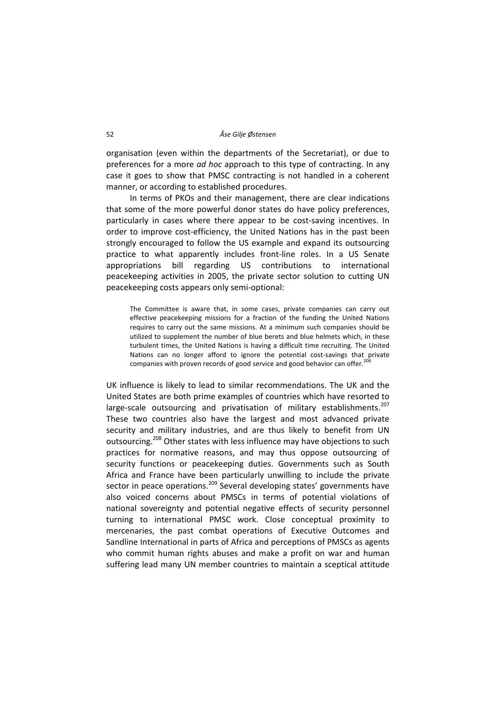organisation (even within the departments of the Secretariat), or due to preferences for a more *ad hoc* approach to this type of contracting. In any case it goes to show that PMSC contracting is not handled in a coherent manner, or according to established procedures.

In terms of PKOs and their management, there are clear indications that some of the more powerful donor states do have policy preferences, particularly in cases where there appear to be cost-saving incentives. In order to improve cost-efficiency, the United Nations has in the past been strongly encouraged to follow the US example and expand its outsourcing practice to what apparently includes front‐line roles. In a US Senate appropriations bill regarding US contributions to international peacekeeping activities in 2005, the private sector solution to cutting UN peacekeeping costs appears only semi‐optional:

The Committee is aware that, in some cases, private companies can carry out effective peacekeeping missions for a fraction of the funding the United Nations requires to carry out the same missions. At a minimum such companies should be utilized to supplement the number of blue berets and blue helmets which, in these turbulent times, the United Nations is having a difficult time recruiting. The United Nations can no longer afford to ignore the potential cost-savings that private companies with proven records of good service and good behavior can offer.<sup>206</sup>

UK influence is likely to lead to similar recommendations. The UK and the United States are both prime examples of countries which have resorted to large-scale outsourcing and privatisation of military establishments.<sup>207</sup> These two countries also have the largest and most advanced private security and military industries, and are thus likely to benefit from UN outsourcing.<sup>208</sup> Other states with less influence may have objections to such practices for normative reasons, and may thus oppose outsourcing of security functions or peacekeeping duties. Governments such as South Africa and France have been particularly unwilling to include the private sector in peace operations.<sup>209</sup> Several developing states' governments have also voiced concerns about PMSCs in terms of potential violations of national sovereignty and potential negative effects of security personnel turning to international PMSC work. Close conceptual proximity to mercenaries, the past combat operations of Executive Outcomes and Sandline International in parts of Africa and perceptions of PMSCs as agents who commit human rights abuses and make a profit on war and human suffering lead many UN member countries to maintain a sceptical attitude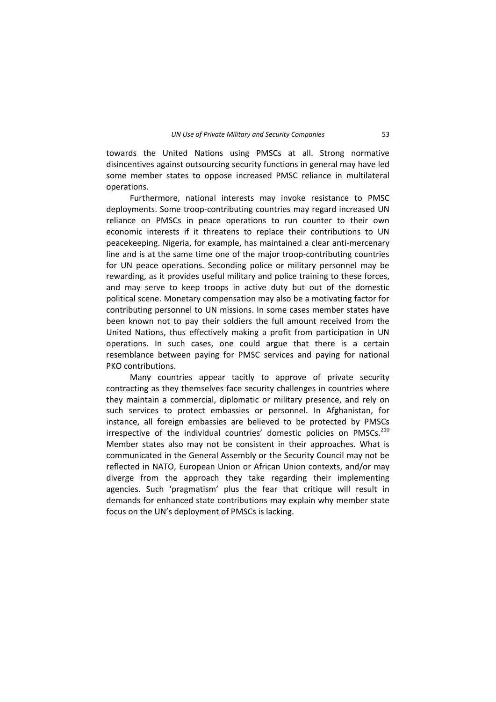towards the United Nations using PMSCs at all. Strong normative disincentives against outsourcing security functions in general may have led some member states to oppose increased PMSC reliance in multilateral operations.

Furthermore, national interests may invoke resistance to PMSC deployments. Some troop‐contributing countries may regard increased UN reliance on PMSCs in peace operations to run counter to their own economic interests if it threatens to replace their contributions to UN peacekeeping. Nigeria, for example, has maintained a clear anti‐mercenary line and is at the same time one of the major troop‐contributing countries for UN peace operations. Seconding police or military personnel may be rewarding, as it provides useful military and police training to these forces, and may serve to keep troops in active duty but out of the domestic political scene. Monetary compensation may also be a motivating factor for contributing personnel to UN missions. In some cases member states have been known not to pay their soldiers the full amount received from the United Nations, thus effectively making a profit from participation in UN operations. In such cases, one could argue that there is a certain resemblance between paying for PMSC services and paying for national PKO contributions.

Many countries appear tacitly to approve of private security contracting as they themselves face security challenges in countries where they maintain a commercial, diplomatic or military presence, and rely on such services to protect embassies or personnel. In Afghanistan, for instance, all foreign embassies are believed to be protected by PMSCs irrespective of the individual countries' domestic policies on PMSCs.<sup>210</sup> Member states also may not be consistent in their approaches. What is communicated in the General Assembly or the Security Council may not be reflected in NATO, European Union or African Union contexts, and/or may diverge from the approach they take regarding their implementing agencies. Such 'pragmatism' plus the fear that critique will result in demands for enhanced state contributions may explain why member state focus on the UN's deployment of PMSCs is lacking.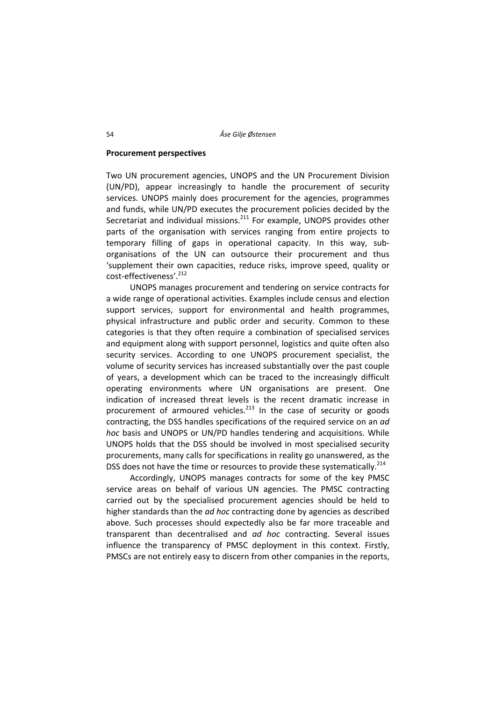## **Procurement perspectives**

Two UN procurement agencies, UNOPS and the UN Procurement Division (UN/PD), appear increasingly to handle the procurement of security services. UNOPS mainly does procurement for the agencies, programmes and funds, while UN/PD executes the procurement policies decided by the Secretariat and individual missions. $211$  For example, UNOPS provides other parts of the organisation with services ranging from entire projects to temporary filling of gaps in operational capacity. In this way, sub‐ organisations of the UN can outsource their procurement and thus 'supplement their own capacities, reduce risks, improve speed, quality or cost‐effectiveness'.212

UNOPS manages procurement and tendering on service contracts for a wide range of operational activities. Examples include census and election support services, support for environmental and health programmes, physical infrastructure and public order and security. Common to these categories is that they often require a combination of specialised services and equipment along with support personnel, logistics and quite often also security services. According to one UNOPS procurement specialist, the volume of security services has increased substantially over the past couple of years, a development which can be traced to the increasingly difficult operating environments where UN organisations are present. One indication of increased threat levels is the recent dramatic increase in procurement of armoured vehicles. $^{213}$  In the case of security or goods contracting, the DSS handles specifications of the required service on an *ad hoc* basis and UNOPS or UN/PD handles tendering and acquisitions. While UNOPS holds that the DSS should be involved in most specialised security procurements, many calls for specifications in reality go unanswered, as the DSS does not have the time or resources to provide these systematically.<sup>214</sup>

Accordingly, UNOPS manages contracts for some of the key PMSC service areas on behalf of various UN agencies. The PMSC contracting carried out by the specialised procurement agencies should be held to higher standards than the *ad hoc* contracting done by agencies as described above. Such processes should expectedly also be far more traceable and transparent than decentralised and *ad hoc* contracting. Several issues influence the transparency of PMSC deployment in this context. Firstly, PMSCs are not entirely easy to discern from other companies in the reports,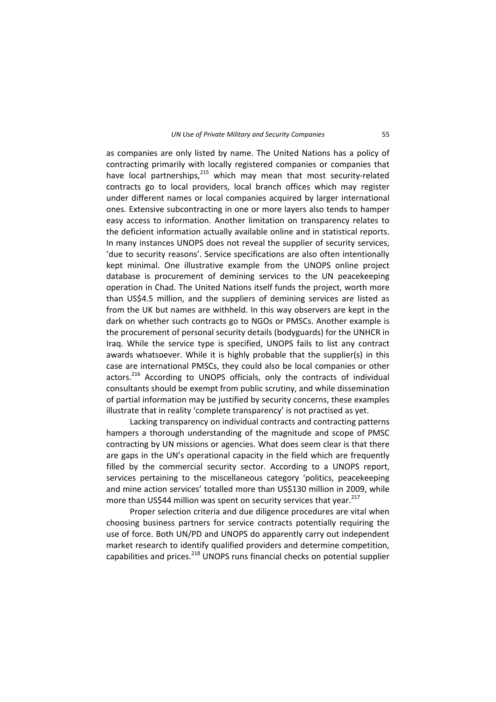as companies are only listed by name. The United Nations has a policy of contracting primarily with locally registered companies or companies that have local partnerships,<sup>215</sup> which may mean that most security-related contracts go to local providers, local branch offices which may register under different names or local companies acquired by larger international ones. Extensive subcontracting in one or more layers also tends to hamper easy access to information. Another limitation on transparency relates to the deficient information actually available online and in statistical reports. In many instances UNOPS does not reveal the supplier of security services, 'due to security reasons'. Service specifications are also often intentionally kept minimal. One illustrative example from the UNOPS online project database is procurement of demining services to the UN peacekeeping operation in Chad. The United Nations itself funds the project, worth more than US\$4.5 million, and the suppliers of demining services are listed as from the UK but names are withheld. In this way observers are kept in the dark on whether such contracts go to NGOs or PMSCs. Another example is the procurement of personal security details (bodyguards) for the UNHCR in Iraq. While the service type is specified, UNOPS fails to list any contract awards whatsoever. While it is highly probable that the supplier(s) in this case are international PMSCs, they could also be local companies or other actors.<sup>216</sup> According to UNOPS officials, only the contracts of individual consultants should be exempt from public scrutiny, and while dissemination of partial information may be justified by security concerns, these examples illustrate that in reality 'complete transparency' is not practised as yet.

Lacking transparency on individual contracts and contracting patterns hampers a thorough understanding of the magnitude and scope of PMSC contracting by UN missions or agencies. What does seem clear is that there are gaps in the UN's operational capacity in the field which are frequently filled by the commercial security sector. According to a UNOPS report, services pertaining to the miscellaneous category 'politics, peacekeeping and mine action services' totalled more than US\$130 million in 2009, while more than US\$44 million was spent on security services that year. $^{217}$ 

Proper selection criteria and due diligence procedures are vital when choosing business partners for service contracts potentially requiring the use of force. Both UN/PD and UNOPS do apparently carry out independent market research to identify qualified providers and determine competition, capabilities and prices.<sup>218</sup> UNOPS runs financial checks on potential supplier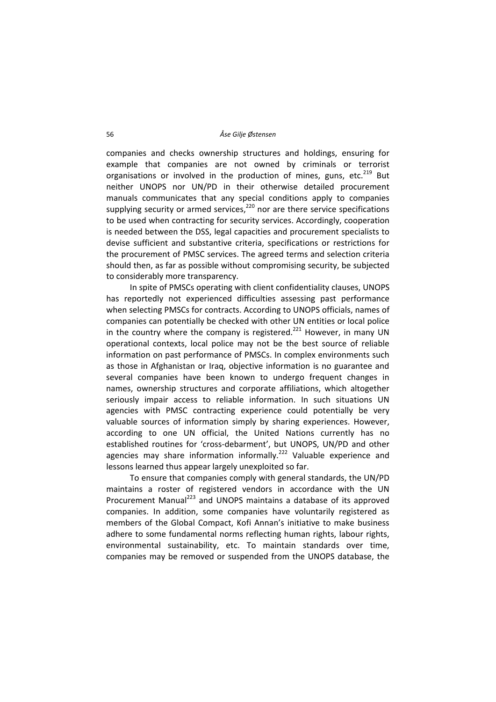companies and checks ownership structures and holdings, ensuring for example that companies are not owned by criminals or terrorist organisations or involved in the production of mines, guns, etc.<sup>219</sup> But neither UNOPS nor UN/PD in their otherwise detailed procurement manuals communicates that any special conditions apply to companies supplying security or armed services, $220$  nor are there service specifications to be used when contracting for security services. Accordingly, cooperation is needed between the DSS, legal capacities and procurement specialists to devise sufficient and substantive criteria, specifications or restrictions for the procurement of PMSC services. The agreed terms and selection criteria should then, as far as possible without compromising security, be subjected to considerably more transparency.

In spite of PMSCs operating with client confidentiality clauses, UNOPS has reportedly not experienced difficulties assessing past performance when selecting PMSCs for contracts. According to UNOPS officials, names of companies can potentially be checked with other UN entities or local police in the country where the company is registered.<sup>221</sup> However, in many UN operational contexts, local police may not be the best source of reliable information on past performance of PMSCs. In complex environments such as those in Afghanistan or Iraq, objective information is no guarantee and several companies have been known to undergo frequent changes in names, ownership structures and corporate affiliations, which altogether seriously impair access to reliable information. In such situations UN agencies with PMSC contracting experience could potentially be very valuable sources of information simply by sharing experiences. However, according to one UN official, the United Nations currently has no established routines for 'cross‐debarment', but UNOPS, UN/PD and other agencies may share information informally.<sup>222</sup> Valuable experience and lessons learned thus appear largely unexploited so far.

To ensure that companies comply with general standards, the UN/PD maintains a roster of registered vendors in accordance with the UN Procurement Manual<sup>223</sup> and UNOPS maintains a database of its approved companies. In addition, some companies have voluntarily registered as members of the Global Compact, Kofi Annan's initiative to make business adhere to some fundamental norms reflecting human rights, labour rights, environmental sustainability, etc. To maintain standards over time, companies may be removed or suspended from the UNOPS database, the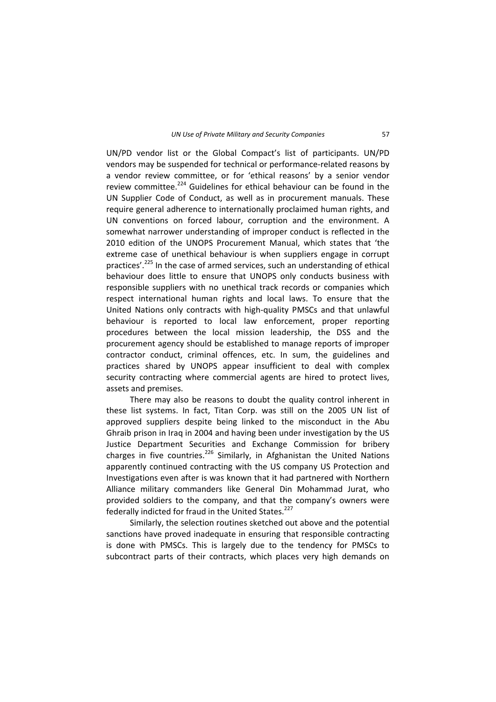UN/PD vendor list or the Global Compact's list of participants. UN/PD vendors may be suspended for technical or performance-related reasons by a vendor review committee, or for 'ethical reasons' by a senior vendor review committee.<sup>224</sup> Guidelines for ethical behaviour can be found in the UN Supplier Code of Conduct, as well as in procurement manuals. These require general adherence to internationally proclaimed human rights, and UN conventions on forced labour, corruption and the environment. A somewhat narrower understanding of improper conduct is reflected in the 2010 edition of the UNOPS Procurement Manual, which states that 'the extreme case of unethical behaviour is when suppliers engage in corrupt practices'.<sup>225</sup> In the case of armed services, such an understanding of ethical behaviour does little to ensure that UNOPS only conducts business with responsible suppliers with no unethical track records or companies which respect international human rights and local laws. To ensure that the United Nations only contracts with high‐quality PMSCs and that unlawful behaviour is reported to local law enforcement, proper reporting procedures between the local mission leadership, the DSS and the procurement agency should be established to manage reports of improper contractor conduct, criminal offences, etc. In sum, the guidelines and practices shared by UNOPS appear insufficient to deal with complex security contracting where commercial agents are hired to protect lives, assets and premises.

There may also be reasons to doubt the quality control inherent in these list systems. In fact, Titan Corp. was still on the 2005 UN list of approved suppliers despite being linked to the misconduct in the Abu Ghraib prison in Iraq in 2004 and having been under investigation by the US Justice Department Securities and Exchange Commission for bribery charges in five countries.<sup>226</sup> Similarly, in Afghanistan the United Nations apparently continued contracting with the US company US Protection and Investigations even after is was known that it had partnered with Northern Alliance military commanders like General Din Mohammad Jurat, who provided soldiers to the company, and that the company's owners were federally indicted for fraud in the United States.<sup>227</sup>

Similarly, the selection routines sketched out above and the potential sanctions have proved inadequate in ensuring that responsible contracting is done with PMSCs. This is largely due to the tendency for PMSCs to subcontract parts of their contracts, which places very high demands on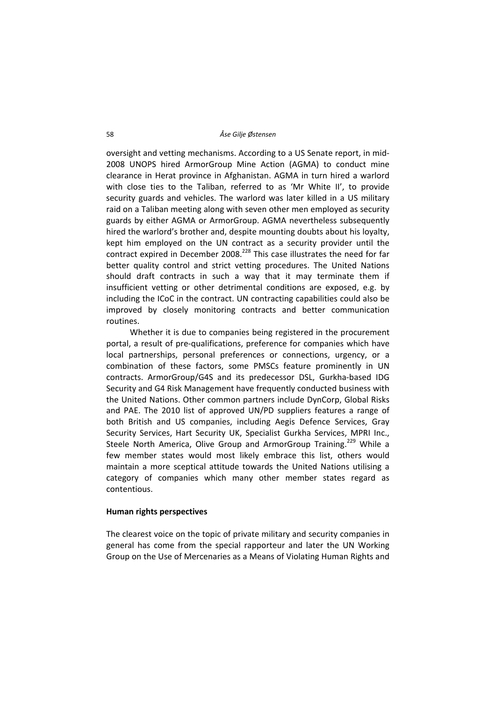oversight and vetting mechanisms. According to a US Senate report, in mid‐ 2008 UNOPS hired ArmorGroup Mine Action (AGMA) to conduct mine clearance in Herat province in Afghanistan. AGMA in turn hired a warlord with close ties to the Taliban, referred to as 'Mr White II', to provide security guards and vehicles. The warlord was later killed in a US military raid on a Taliban meeting along with seven other men employed as security guards by either AGMA or ArmorGroup. AGMA nevertheless subsequently hired the warlord's brother and, despite mounting doubts about his loyalty, kept him employed on the UN contract as a security provider until the contract expired in December 2008.<sup>228</sup> This case illustrates the need for far better quality control and strict vetting procedures. The United Nations should draft contracts in such a way that it may terminate them if insufficient vetting or other detrimental conditions are exposed, e.g. by including the ICoC in the contract. UN contracting capabilities could also be improved by closely monitoring contracts and better communication routines.

Whether it is due to companies being registered in the procurement portal, a result of pre‐qualifications, preference for companies which have local partnerships, personal preferences or connections, urgency, or a combination of these factors, some PMSCs feature prominently in UN contracts. ArmorGroup/G4S and its predecessor DSL, Gurkha‐based IDG Security and G4 Risk Management have frequently conducted business with the United Nations. Other common partners include DynCorp, Global Risks and PAE. The 2010 list of approved UN/PD suppliers features a range of both British and US companies, including Aegis Defence Services, Gray Security Services, Hart Security UK, Specialist Gurkha Services, MPRI Inc., Steele North America, Olive Group and ArmorGroup Training.<sup>229</sup> While a few member states would most likely embrace this list, others would maintain a more sceptical attitude towards the United Nations utilising a category of companies which many other member states regard as contentious.

# **Human rights perspectives**

The clearest voice on the topic of private military and security companies in general has come from the special rapporteur and later the UN Working Group on the Use of Mercenaries as a Means of Violating Human Rights and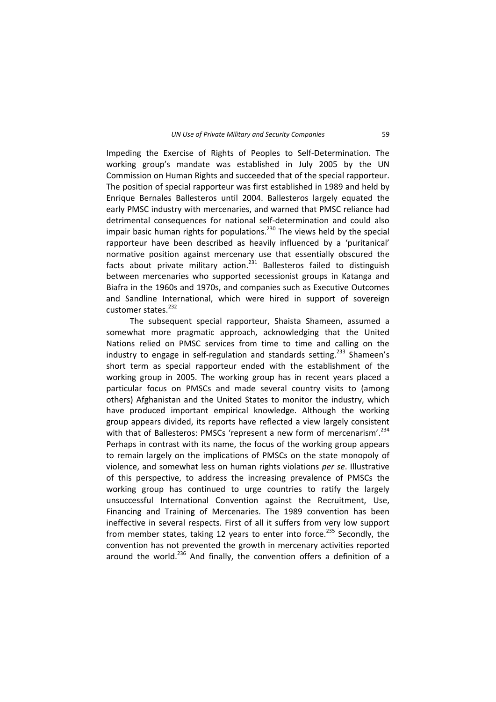Impeding the Exercise of Rights of Peoples to Self‐Determination. The working group's mandate was established in July 2005 by the UN Commission on Human Rights and succeeded that of the special rapporteur. The position of special rapporteur was first established in 1989 and held by Enrique Bernales Ballesteros until 2004. Ballesteros largely equated the early PMSC industry with mercenaries, and warned that PMSC reliance had detrimental consequences for national self‐determination and could also impair basic human rights for populations.<sup>230</sup> The views held by the special rapporteur have been described as heavily influenced by a 'puritanical' normative position against mercenary use that essentially obscured the facts about private military action.<sup>231</sup> Ballesteros failed to distinguish between mercenaries who supported secessionist groups in Katanga and Biafra in the 1960s and 1970s, and companies such as Executive Outcomes and Sandline International, which were hired in support of sovereign customer states.<sup>232</sup>

The subsequent special rapporteur, Shaista Shameen, assumed a somewhat more pragmatic approach, acknowledging that the United Nations relied on PMSC services from time to time and calling on the industry to engage in self-regulation and standards setting.<sup>233</sup> Shameen's short term as special rapporteur ended with the establishment of the working group in 2005. The working group has in recent years placed a particular focus on PMSCs and made several country visits to (among others) Afghanistan and the United States to monitor the industry, which have produced important empirical knowledge. Although the working group appears divided, its reports have reflected a view largely consistent with that of Ballesteros: PMSCs 'represent a new form of mercenarism'.<sup>234</sup> Perhaps in contrast with its name, the focus of the working group appears to remain largely on the implications of PMSCs on the state monopoly of violence, and somewhat less on human rights violations *per se*. Illustrative of this perspective, to address the increasing prevalence of PMSCs the working group has continued to urge countries to ratify the largely unsuccessful International Convention against the Recruitment, Use, Financing and Training of Mercenaries. The 1989 convention has been ineffective in several respects. First of all it suffers from very low support from member states, taking 12 years to enter into force.<sup>235</sup> Secondly, the convention has not prevented the growth in mercenary activities reported around the world.<sup>236</sup> And finally, the convention offers a definition of a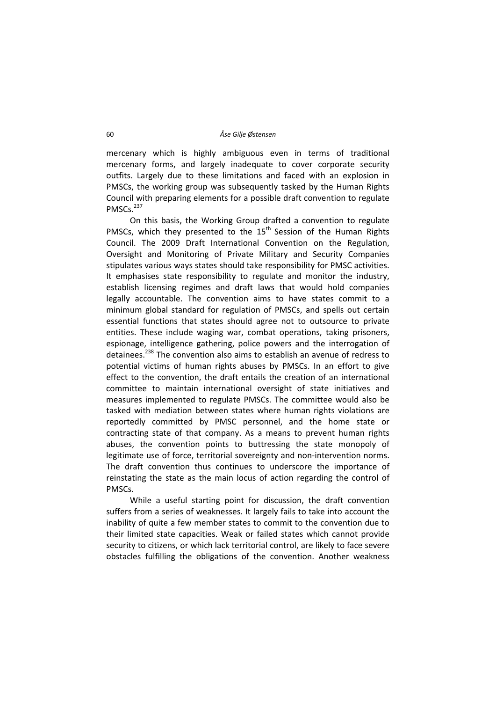mercenary which is highly ambiguous even in terms of traditional mercenary forms, and largely inadequate to cover corporate security outfits. Largely due to these limitations and faced with an explosion in PMSCs, the working group was subsequently tasked by the Human Rights Council with preparing elements for a possible draft convention to regulate PMSCs.<sup>237</sup>

On this basis, the Working Group drafted a convention to regulate PMSCs, which they presented to the  $15<sup>th</sup>$  Session of the Human Rights Council. The 2009 Draft International Convention on the Regulation, Oversight and Monitoring of Private Military and Security Companies stipulates various ways states should take responsibility for PMSC activities. It emphasises state responsibility to regulate and monitor the industry, establish licensing regimes and draft laws that would hold companies legally accountable. The convention aims to have states commit to a minimum global standard for regulation of PMSCs, and spells out certain essential functions that states should agree not to outsource to private entities. These include waging war, combat operations, taking prisoners, espionage, intelligence gathering, police powers and the interrogation of detainees.<sup>238</sup> The convention also aims to establish an avenue of redress to potential victims of human rights abuses by PMSCs. In an effort to give effect to the convention, the draft entails the creation of an international committee to maintain international oversight of state initiatives and measures implemented to regulate PMSCs. The committee would also be tasked with mediation between states where human rights violations are reportedly committed by PMSC personnel, and the home state or contracting state of that company. As a means to prevent human rights abuses, the convention points to buttressing the state monopoly of legitimate use of force, territorial sovereignty and non‐intervention norms. The draft convention thus continues to underscore the importance of reinstating the state as the main locus of action regarding the control of PMSCs.

While a useful starting point for discussion, the draft convention suffers from a series of weaknesses. It largely fails to take into account the inability of quite a few member states to commit to the convention due to their limited state capacities. Weak or failed states which cannot provide security to citizens, or which lack territorial control, are likely to face severe obstacles fulfilling the obligations of the convention. Another weakness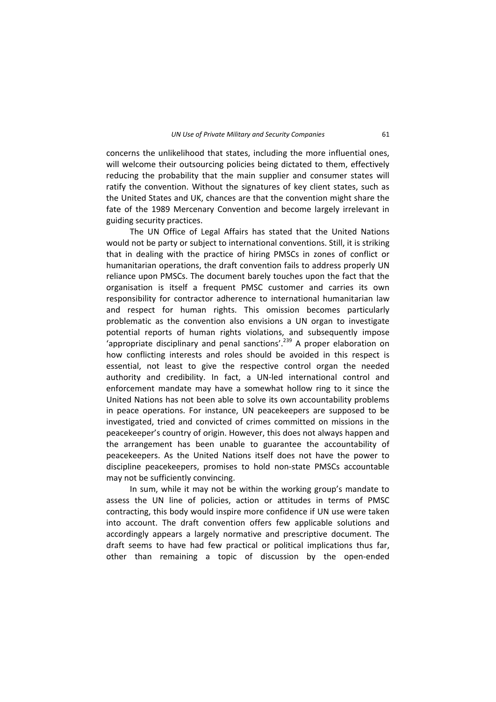concerns the unlikelihood that states, including the more influential ones, will welcome their outsourcing policies being dictated to them, effectively reducing the probability that the main supplier and consumer states will ratify the convention. Without the signatures of key client states, such as the United States and UK, chances are that the convention might share the fate of the 1989 Mercenary Convention and become largely irrelevant in guiding security practices.

The UN Office of Legal Affairs has stated that the United Nations would not be party or subject to international conventions. Still, it is striking that in dealing with the practice of hiring PMSCs in zones of conflict or humanitarian operations, the draft convention fails to address properly UN reliance upon PMSCs. The document barely touches upon the fact that the organisation is itself a frequent PMSC customer and carries its own responsibility for contractor adherence to international humanitarian law and respect for human rights. This omission becomes particularly problematic as the convention also envisions a UN organ to investigate potential reports of human rights violations, and subsequently impose 'appropriate disciplinary and penal sanctions'.<sup>239</sup> A proper elaboration on how conflicting interests and roles should be avoided in this respect is essential, not least to give the respective control organ the needed authority and credibility. In fact, a UN‐led international control and enforcement mandate may have a somewhat hollow ring to it since the United Nations has not been able to solve its own accountability problems in peace operations. For instance, UN peacekeepers are supposed to be investigated, tried and convicted of crimes committed on missions in the peacekeeper's country of origin. However, this does not always happen and the arrangement has been unable to guarantee the accountability of peacekeepers. As the United Nations itself does not have the power to discipline peacekeepers, promises to hold non‐state PMSCs accountable may not be sufficiently convincing.

In sum, while it may not be within the working group's mandate to assess the UN line of policies, action or attitudes in terms of PMSC contracting, this body would inspire more confidence if UN use were taken into account. The draft convention offers few applicable solutions and accordingly appears a largely normative and prescriptive document. The draft seems to have had few practical or political implications thus far, other than remaining a topic of discussion by the open‐ended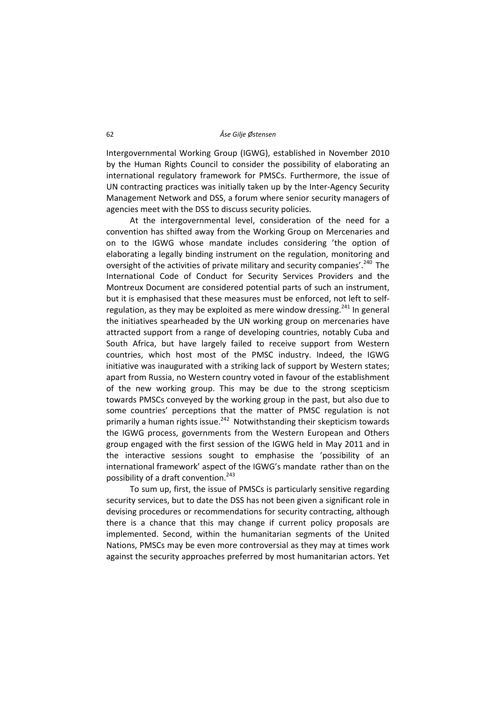Intergovernmental Working Group (IGWG), established in November 2010 by the Human Rights Council to consider the possibility of elaborating an international regulatory framework for PMSCs. Furthermore, the issue of UN contracting practices was initially taken up by the Inter‐Agency Security Management Network and DSS, a forum where senior security managers of agencies meet with the DSS to discuss security policies.

At the intergovernmental level, consideration of the need for a convention has shifted away from the Working Group on Mercenaries and on to the IGWG whose mandate includes considering 'the option of elaborating a legally binding instrument on the regulation, monitoring and oversight of the activities of private military and security companies'.<sup>240</sup> The International Code of Conduct for Security Services Providers and the Montreux Document are considered potential parts of such an instrument, but it is emphasised that these measures must be enforced, not left to self‐ regulation, as they may be exploited as mere window dressing.<sup>241</sup> In general the initiatives spearheaded by the UN working group on mercenaries have attracted support from a range of developing countries, notably Cuba and South Africa, but have largely failed to receive support from Western countries, which host most of the PMSC industry. Indeed, the IGWG initiative was inaugurated with a striking lack of support by Western states; apart from Russia, no Western country voted in favour of the establishment of the new working group. This may be due to the strong scepticism towards PMSCs conveyed by the working group in the past, but also due to some countries' perceptions that the matter of PMSC regulation is not primarily a human rights issue.<sup>242</sup> Notwithstanding their skepticism towards the IGWG process, governments from the Western European and Others group engaged with the first session of the IGWG held in May 2011 and in the interactive sessions sought to emphasise the 'possibility of an international framework' aspect of the IGWG's mandate rather than on the possibility of a draft convention.<sup>243</sup>

To sum up, first, the issue of PMSCs is particularly sensitive regarding security services, but to date the DSS has not been given a significant role in devising procedures or recommendations for security contracting, although there is a chance that this may change if current policy proposals are implemented. Second, within the humanitarian segments of the United Nations, PMSCs may be even more controversial as they may at times work against the security approaches preferred by most humanitarian actors. Yet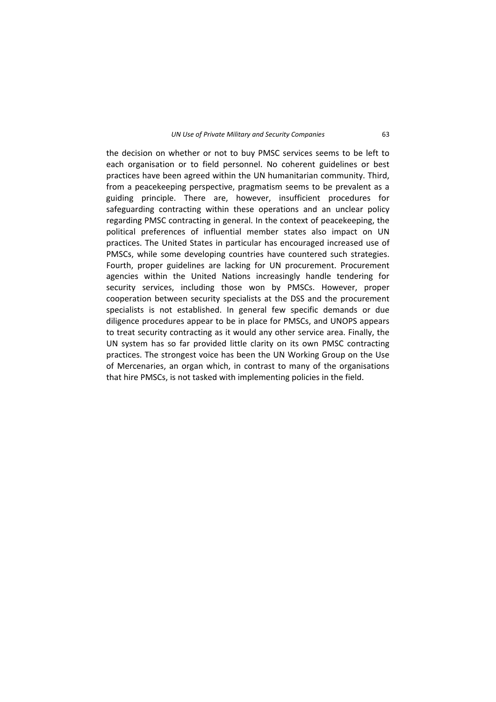the decision on whether or not to buy PMSC services seems to be left to each organisation or to field personnel. No coherent guidelines or best practices have been agreed within the UN humanitarian community. Third, from a peacekeeping perspective, pragmatism seems to be prevalent as a guiding principle. There are, however, insufficient procedures for safeguarding contracting within these operations and an unclear policy regarding PMSC contracting in general. In the context of peacekeeping, the political preferences of influential member states also impact on UN practices. The United States in particular has encouraged increased use of PMSCs, while some developing countries have countered such strategies. Fourth, proper guidelines are lacking for UN procurement. Procurement agencies within the United Nations increasingly handle tendering for security services, including those won by PMSCs. However, proper cooperation between security specialists at the DSS and the procurement specialists is not established. In general few specific demands or due diligence procedures appear to be in place for PMSCs, and UNOPS appears to treat security contracting as it would any other service area. Finally, the UN system has so far provided little clarity on its own PMSC contracting practices. The strongest voice has been the UN Working Group on the Use of Mercenaries, an organ which, in contrast to many of the organisations that hire PMSCs, is not tasked with implementing policies in the field.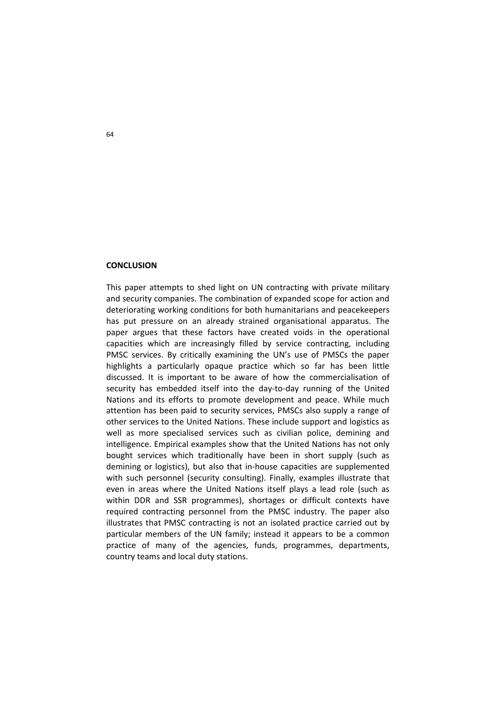#### **CONCLUSION**

This paper attempts to shed light on UN contracting with private military and security companies. The combination of expanded scope for action and deteriorating working conditions for both humanitarians and peacekeepers has put pressure on an already strained organisational apparatus. The paper argues that these factors have created voids in the operational capacities which are increasingly filled by service contracting, including PMSC services. By critically examining the UN's use of PMSCs the paper highlights a particularly opaque practice which so far has been little discussed. It is important to be aware of how the commercialisation of security has embedded itself into the day-to-day running of the United Nations and its efforts to promote development and peace. While much attention has been paid to security services, PMSCs also supply a range of other services to the United Nations. These include support and logistics as well as more specialised services such as civilian police, demining and intelligence. Empirical examples show that the United Nations has not only bought services which traditionally have been in short supply (such as demining or logistics), but also that in‐house capacities are supplemented with such personnel (security consulting). Finally, examples illustrate that even in areas where the United Nations itself plays a lead role (such as within DDR and SSR programmes), shortages or difficult contexts have required contracting personnel from the PMSC industry. The paper also illustrates that PMSC contracting is not an isolated practice carried out by particular members of the UN family; instead it appears to be a common practice of many of the agencies, funds, programmes, departments, country teams and local duty stations.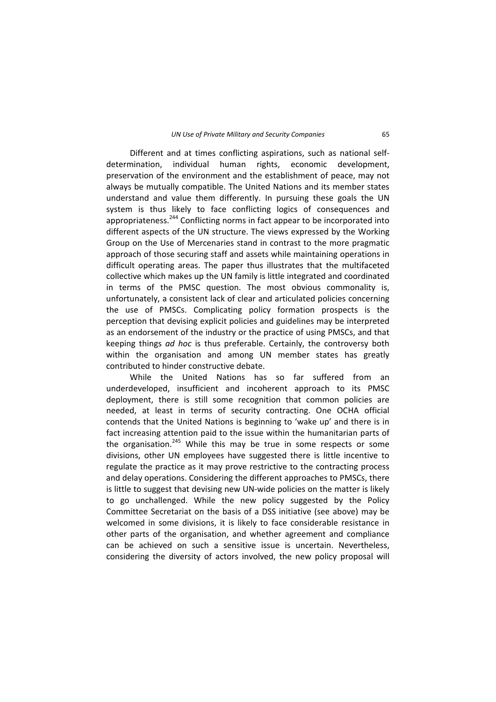Different and at times conflicting aspirations, such as national self‐ determination, individual human rights, economic development, preservation of the environment and the establishment of peace, may not always be mutually compatible. The United Nations and its member states understand and value them differently. In pursuing these goals the UN system is thus likely to face conflicting logics of consequences and appropriateness.<sup>244</sup> Conflicting norms in fact appear to be incorporated into different aspects of the UN structure. The views expressed by the Working Group on the Use of Mercenaries stand in contrast to the more pragmatic approach of those securing staff and assets while maintaining operations in difficult operating areas. The paper thus illustrates that the multifaceted collective which makes up the UN family is little integrated and coordinated in terms of the PMSC question. The most obvious commonality is, unfortunately, a consistent lack of clear and articulated policies concerning the use of PMSCs. Complicating policy formation prospects is the perception that devising explicit policies and guidelines may be interpreted as an endorsement of the industry or the practice of using PMSCs, and that keeping things *ad hoc* is thus preferable. Certainly, the controversy both within the organisation and among UN member states has greatly contributed to hinder constructive debate.

While the United Nations has so far suffered from an underdeveloped, insufficient and incoherent approach to its PMSC deployment, there is still some recognition that common policies are needed, at least in terms of security contracting. One OCHA official contends that the United Nations is beginning to 'wake up' and there is in fact increasing attention paid to the issue within the humanitarian parts of the organisation. $245$  While this may be true in some respects or some divisions, other UN employees have suggested there is little incentive to regulate the practice as it may prove restrictive to the contracting process and delay operations. Considering the different approaches to PMSCs, there is little to suggest that devising new UN‐wide policies on the matter is likely to go unchallenged. While the new policy suggested by the Policy Committee Secretariat on the basis of a DSS initiative (see above) may be welcomed in some divisions, it is likely to face considerable resistance in other parts of the organisation, and whether agreement and compliance can be achieved on such a sensitive issue is uncertain. Nevertheless, considering the diversity of actors involved, the new policy proposal will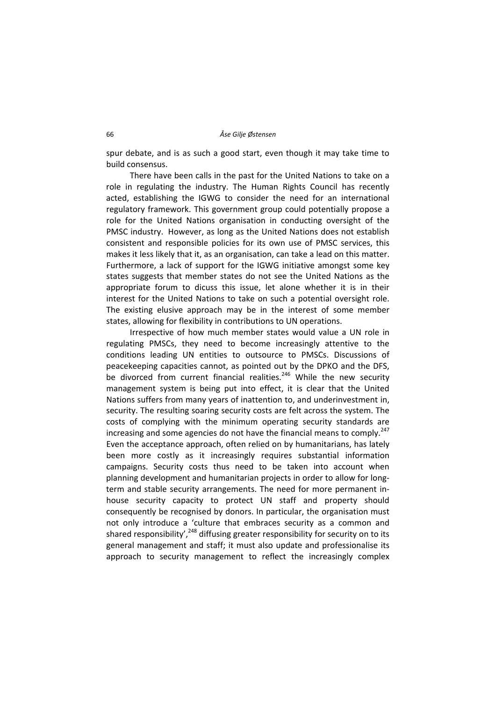spur debate, and is as such a good start, even though it may take time to build consensus.

There have been calls in the past for the United Nations to take on a role in regulating the industry. The Human Rights Council has recently acted, establishing the IGWG to consider the need for an international regulatory framework. This government group could potentially propose a role for the United Nations organisation in conducting oversight of the PMSC industry. However, as long as the United Nations does not establish consistent and responsible policies for its own use of PMSC services, this makes it less likely that it, as an organisation, can take a lead on this matter. Furthermore, a lack of support for the IGWG initiative amongst some key states suggests that member states do not see the United Nations as the appropriate forum to dicuss this issue, let alone whether it is in their interest for the United Nations to take on such a potential oversight role. The existing elusive approach may be in the interest of some member states, allowing for flexibility in contributions to UN operations.

Irrespective of how much member states would value a UN role in regulating PMSCs, they need to become increasingly attentive to the conditions leading UN entities to outsource to PMSCs. Discussions of peacekeeping capacities cannot, as pointed out by the DPKO and the DFS, be divorced from current financial realities. $246$  While the new security management system is being put into effect, it is clear that the United Nations suffers from many years of inattention to, and underinvestment in, security. The resulting soaring security costs are felt across the system. The costs of complying with the minimum operating security standards are increasing and some agencies do not have the financial means to comply.<sup>247</sup> Even the acceptance approach, often relied on by humanitarians, has lately been more costly as it increasingly requires substantial information campaigns. Security costs thus need to be taken into account when planning development and humanitarian projects in order to allow for long‐ term and stable security arrangements. The need for more permanent in‐ house security capacity to protect UN staff and property should consequently be recognised by donors. In particular, the organisation must not only introduce a 'culture that embraces security as a common and shared responsibility',  $248$  diffusing greater responsibility for security on to its general management and staff; it must also update and professionalise its approach to security management to reflect the increasingly complex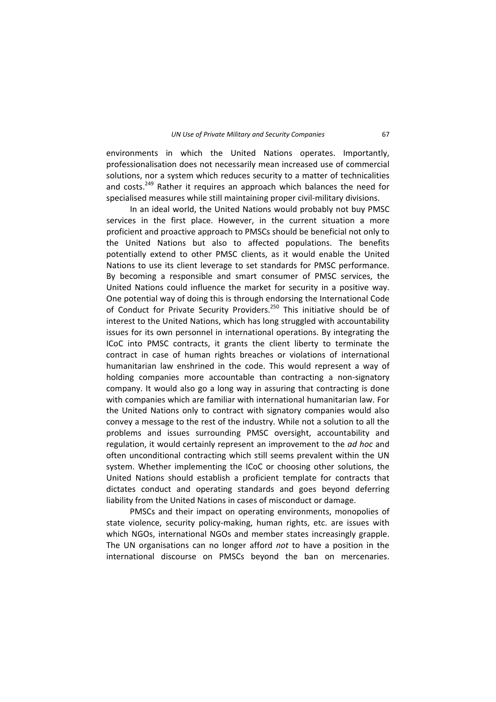environments in which the United Nations operates. Importantly, professionalisation does not necessarily mean increased use of commercial solutions, nor a system which reduces security to a matter of technicalities and costs.<sup>249</sup> Rather it requires an approach which balances the need for specialised measures while still maintaining proper civil-military divisions.

In an ideal world, the United Nations would probably not buy PMSC services in the first place. However, in the current situation a more proficient and proactive approach to PMSCs should be beneficial not only to the United Nations but also to affected populations. The benefits potentially extend to other PMSC clients, as it would enable the United Nations to use its client leverage to set standards for PMSC performance. By becoming a responsible and smart consumer of PMSC services, the United Nations could influence the market for security in a positive way. One potential way of doing this is through endorsing the International Code of Conduct for Private Security Providers.<sup>250</sup> This initiative should be of interest to the United Nations, which has long struggled with accountability issues for its own personnel in international operations. By integrating the ICoC into PMSC contracts, it grants the client liberty to terminate the contract in case of human rights breaches or violations of international humanitarian law enshrined in the code. This would represent a way of holding companies more accountable than contracting a non-signatory company. It would also go a long way in assuring that contracting is done with companies which are familiar with international humanitarian law. For the United Nations only to contract with signatory companies would also convey a message to the rest of the industry. While not a solution to all the problems and issues surrounding PMSC oversight, accountability and regulation, it would certainly represent an improvement to the *ad hoc* and often unconditional contracting which still seems prevalent within the UN system. Whether implementing the ICoC or choosing other solutions, the United Nations should establish a proficient template for contracts that dictates conduct and operating standards and goes beyond deferring liability from the United Nations in cases of misconduct or damage.

PMSCs and their impact on operating environments, monopolies of state violence, security policy-making, human rights, etc. are issues with which NGOs, international NGOs and member states increasingly grapple. The UN organisations can no longer afford *not* to have a position in the international discourse on PMSCs beyond the ban on mercenaries.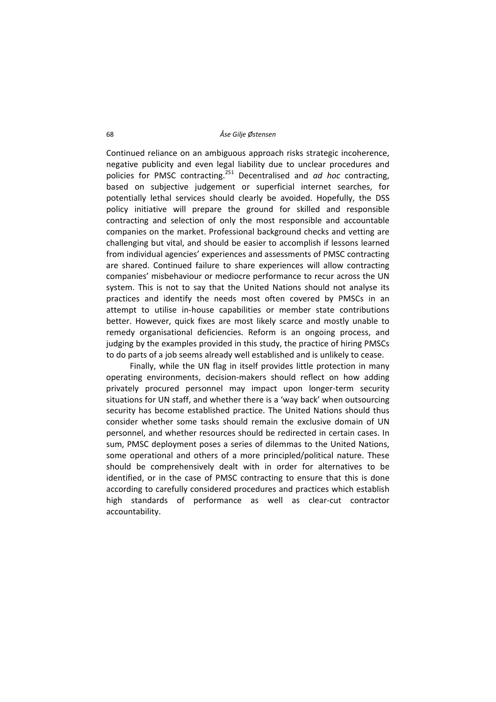Continued reliance on an ambiguous approach risks strategic incoherence, negative publicity and even legal liability due to unclear procedures and policies for PMSC contracting.<sup>251</sup> Decentralised and *ad hoc* contracting, based on subjective judgement or superficial internet searches, for potentially lethal services should clearly be avoided. Hopefully, the DSS policy initiative will prepare the ground for skilled and responsible contracting and selection of only the most responsible and accountable companies on the market. Professional background checks and vetting are challenging but vital, and should be easier to accomplish if lessons learned from individual agencies' experiences and assessments of PMSC contracting are shared. Continued failure to share experiences will allow contracting companies' misbehaviour or mediocre performance to recur across the UN system. This is not to say that the United Nations should not analyse its practices and identify the needs most often covered by PMSCs in an attempt to utilise in‐house capabilities or member state contributions better. However, quick fixes are most likely scarce and mostly unable to remedy organisational deficiencies. Reform is an ongoing process, and judging by the examples provided in this study, the practice of hiring PMSCs to do parts of a job seems already well established and is unlikely to cease.

Finally, while the UN flag in itself provides little protection in many operating environments, decision‐makers should reflect on how adding privately procured personnel may impact upon longer‐term security situations for UN staff, and whether there is a 'way back' when outsourcing security has become established practice. The United Nations should thus consider whether some tasks should remain the exclusive domain of UN personnel, and whether resources should be redirected in certain cases. In sum, PMSC deployment poses a series of dilemmas to the United Nations, some operational and others of a more principled/political nature. These should be comprehensively dealt with in order for alternatives to be identified, or in the case of PMSC contracting to ensure that this is done according to carefully considered procedures and practices which establish high standards of performance as well as clear-cut contractor accountability.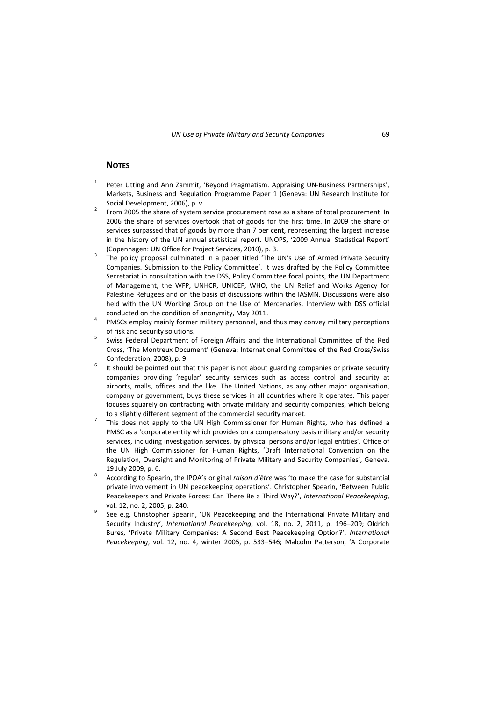### **NOTES**

- <sup>1</sup> Peter Utting and Ann Zammit. 'Bevond Pragmatism. Appraising UN-Business Partnerships'. Markets, Business and Regulation Programme Paper 1 (Geneva: UN Research Institute for Social Development, 2006), p. v.<br><sup>2</sup> From 2005 the share of system service procurement rose as a share of total procurement. In
- 2006 the share of services overtook that of goods for the first time. In 2009 the share of services surpassed that of goods by more than 7 per cent, representing the largest increase in the history of the UN annual statistical report. UNOPS, '2009 Annual Statistical Report'
- (Copenhagen: UN Office for Project Services, 2010), p. 3.<br><sup>3</sup> The policy proposal culminated in a paper titled 'The UN's Use of Armed Private Security Companies. Submission to the Policy Committee'. It was drafted by the Policy Committee Secretariat in consultation with the DSS, Policy Committee focal points, the UN Department of Management, the WFP, UNHCR, UNICEF, WHO, the UN Relief and Works Agency for Palestine Refugees and on the basis of discussions within the IASMN. Discussions were also held with the UN Working Group on the Use of Mercenaries. Interview with DSS official
- conducted on the condition of anonymity, May 2011. <sup>4</sup> PMSCs employ mainly former military personnel, and thus may convey military perceptions
- of risk and security solutions.<br><sup>5</sup> Swiss Federal Department of Foreign Affairs and the International Committee of the Red Cross, 'The Montreux Document' (Geneva: International Committee of the Red Cross/Swiss Confederation, 2008), p. 9.<br><sup>6</sup> It should be pointed out that this paper is not about guarding companies or private security
- companies providing 'regular' security services such as access control and security at airports, malls, offices and the like. The United Nations, as any other major organisation, company or government, buys these services in all countries where it operates. This paper focuses squarely on contracting with private military and security companies, which belong
- to a slightly different segment of the commercial security market.<br><sup>7</sup> This does not apply to the UN High Commissioner for Human Rights, who has defined a PMSC as a 'corporate entity which provides on a compensatory basis military and/or security services, including investigation services, by physical persons and/or legal entities'. Office of the UN High Commissioner for Human Rights, 'Draft International Convention on the Regulation, Oversight and Monitoring of Private Military and Security Companies', Geneva,
- <sup>19</sup> July 2009, p. 6. <sup>8</sup> According to Spearin, the IPOA's original *raison d'être* was 'to make the case for substantial private involvement in UN peacekeeping operations'. Christopher Spearin, 'Between Public Peacekeepers and Private Forces: Can There Be a Third Way?', *International Peacekeeping*,
- vol. 12, no. 2, 2005, p. 240.<br><sup>9</sup> See e.g. Christopher Spearin, 'UN Peacekeeping and the International Private Military and Security Industry', *International Peacekeeping*, vol. 18, no. 2, 2011, p. 196–209; Oldrich Bures, 'Private Military Companies: A Second Best Peacekeeping Option?', *International Peacekeeping*, vol. 12, no. 4, winter 2005, p. 533–546; Malcolm Patterson, 'A Corporate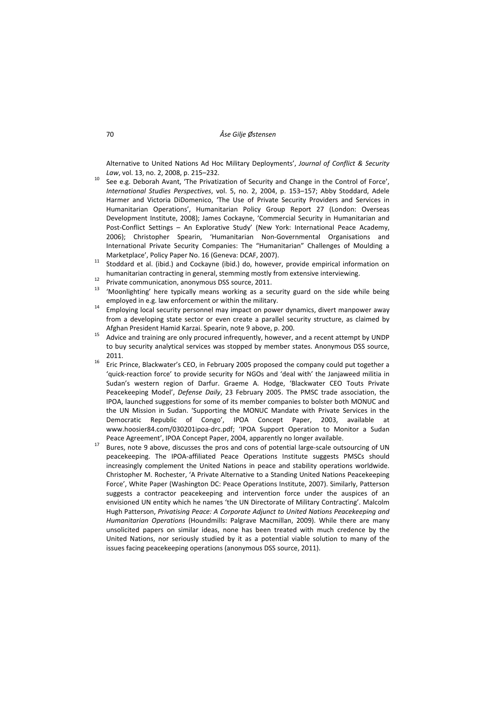Alternative to United Nations Ad Hoc Military Deployments', *Journal of Conflict & Security Law*, vol. 13, no. 2, 2008, p. 215–232.<br><sup>10</sup> See e.g. Deborah Avant, 'The Privatization of Security and Change in the Control of Force',

- *International Studies Perspectives*, vol. 5, no. 2, 2004, p. 153–157; Abby Stoddard, Adele Harmer and Victoria DiDomenico, 'The Use of Private Security Providers and Services in Humanitarian Operations', Humanitarian Policy Group Report 27 (London: Overseas Development Institute, 2008); James Cockayne, 'Commercial Security in Humanitarian and Post-Conflict Settings – An Explorative Study' (New York: International Peace Academy, 2006); Christopher Spearin, 'Humanitarian Non‐Governmental Organisations and International Private Security Companies: The "Humanitarian" Challenges of Moulding a
- Marketplace', Policy Paper No. 16 (Geneva: DCAF, 2007).<br><sup>11</sup> Stoddard et al. (ibid.) and Cockayne (ibid.) do, however, provide empirical information on humanitarian contracting in general, stemming mostly from extensive interviewing.<br><sup>12</sup> Private communication, anonymous DSS source, 2011.<br><sup>13</sup> 'Moonlighting' here typically means working as a security guard on the side whi
- 
- employed in e.g. law enforcement or within the military.<br><sup>14</sup> Employing local security personnel may impact on power dynamics, divert manpower away
- from a developing state sector or even create a parallel security structure, as claimed by Afghan President Hamid Karzai. Spearin, note 9 above, p. 200.<br><sup>15</sup> Advice and training are only procured infrequently, however, and a recent attempt by UNDP
- to buy security analytical services was stopped by member states. Anonymous DSS source, 2011.<br><sup>16</sup> Eric Prince, Blackwater's CEO, in February 2005 proposed the company could put together a
- 'quick‐reaction force' to provide security for NGOs and 'deal with' the Janjaweed militia in Sudan's western region of Darfur. Graeme A. Hodge, 'Blackwater CEO Touts Private Peacekeeping Model', *Defense Daily*, 23 February 2005. The PMSC trade association, the IPOA, launched suggestions for some of its member companies to bolster both MONUC and the UN Mission in Sudan. 'Supporting the MONUC Mandate with Private Services in the Democratic Republic of Congo', IPOA Concept Paper, 2003, available at www.hoosier84.com/030201ipoa‐drc.pdf; 'IPOA Support Operation to Monitor a Sudan Peace Agreement', IPOA Concept Paper, 2004, apparently no longer available.<br><sup>17</sup> Bures, note 9 above, discusses the pros and cons of potential large-scale outsourcing of UN
- peacekeeping. The IPOA‐affiliated Peace Operations Institute suggests PMSCs should increasingly complement the United Nations in peace and stability operations worldwide. Christopher M. Rochester, 'A Private Alternative to a Standing United Nations Peacekeeping Force', White Paper (Washington DC: Peace Operations Institute, 2007). Similarly, Patterson suggests a contractor peacekeeping and intervention force under the auspices of an envisioned UN entity which he names 'the UN Directorate of Military Contracting'. Malcolm Hugh Patterson, *Privatising Peace: A Corporate Adjunct to United Nations Peacekeeping and Humanitarian Operations* (Houndmills: Palgrave Macmillan, 2009). While there are many unsolicited papers on similar ideas, none has been treated with much credence by the United Nations, nor seriously studied by it as a potential viable solution to many of the issues facing peacekeeping operations (anonymous DSS source, 2011).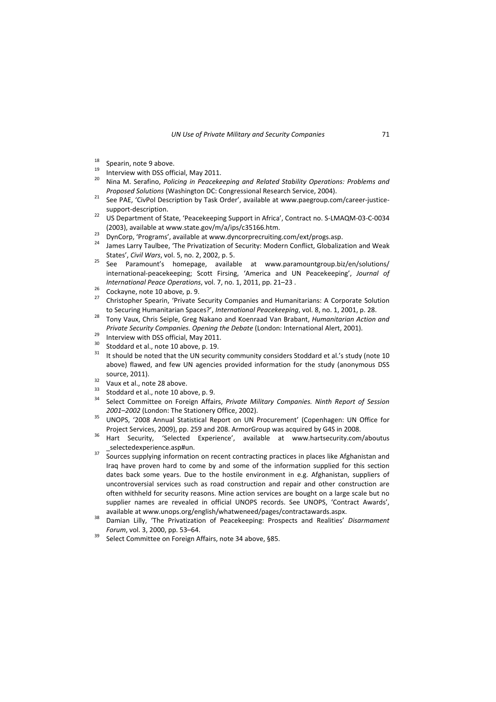- 
- 
- 18 Spearin, note 9 above.<br><sup>19</sup> Interview with DSS official, May 2011.<br><sup>20</sup> Nina M. Serafino, *Policing in Peacekeeping and Related Stability Operations: <i>Problems and Proposed Solutions* (Washington DC: Congressional Research Service, 2004). <sup>21</sup> See PAE, 'CivPol Description by Task Order', available at www.paegroup.com/career‐justice‐
- support-description. 22 use port-description.<br>22 US Department of State, 'Peacekeeping Support in Africa', Contract no. S-LMAQM-03-C-0034
- (2003), available at www.state.gov/m/a/ips/c35166.htm.<br><sup>23</sup> DynCorp, 'Programs', available at www.dyncorprecruiting.com/ext/progs.asp.<br><sup>24</sup> James Larry Taulbee, 'The Privatization of Security: Modern Conflict, Globalizati
- 
- States', *Civil Wars*, vol. 5, no. 2, 2002, p. 5.<br><sup>25</sup> See Paramount's homepage, available at www.paramountgroup.biz/en/solutions/
- international‐peacekeeping; Scott Firsing, 'America and UN Peacekeeping', *Journal of*
- 
- *International Peace Operations, vol. 7, no. 1, 2011, pp. 21–23 .* <br><sup>26</sup> Cockayne, note 10 above, p. 9. <sup>27</sup> Christopher Spearin, 'Private Security Companies and Humanitarians: A Corporate Solution to Securing Humanitarian Spaces?', *International Peacekeeping*, vol. 8, no. 1, 2001, p. 28. <sup>28</sup> Tony Vaux, Chris Seiple, Greg Nakano and Koenraad Van Brabant, *Humanitarian Action and*
- Private Security Companies. Opening the Debate (London: International Alert, 2001).<br>
<sup>29</sup> Interview with DSS official, May 2011.<br>
<sup>30</sup> Stoddard et al., note 10 above, p. 19.<br>
<sup>31</sup> It should be noted that the UN security c
- 
- 
- above) flawed, and few UN agencies provided information for the study (anonymous DSS source, 2011).<br><sup>32</sup> Vaux et al., note 28 above.<br><sup>33</sup> Stoddard et al., note 10 above, p. 9.<br><sup>34</sup> Select Committee on Foreign Affairs, *Private Military Companies. Ninth Report of Session*
- 
- 
- *2001–2002* (London: The Stationery Office, 2002). <sup>35</sup> UNOPS, '2008 Annual Statistical Report on UN Procurement' (Copenhagen: UN Office for
- Project Services, 2009), pp. 259 and 208. ArmorGroup was acquired by G4S in 2008.<br><sup>36</sup> Hart Security, 'Selected Experience', available at www.hartsecurity.com/aboutus
- \_selectedexperience.asp#un. <sup>37</sup> Sources supplying information on recent contracting practices in places like Afghanistan and
- Iraq have proven hard to come by and some of the information supplied for this section dates back some years. Due to the hostile environment in e.g. Afghanistan, suppliers of uncontroversial services such as road construction and repair and other construction are often withheld for security reasons. Mine action services are bought on a large scale but no supplier names are revealed in official UNOPS records. See UNOPS, 'Contract Awards',
- available at www.unops.org/english/whatweneed/pages/contractawards.aspx. <sup>38</sup> Damian Lilly, 'The Privatization of Peacekeeping: Prospects and Realities' *Disarmament Forum*, vol. 3, 2000, pp. 53–64.<br><sup>39</sup> Select Committee on Foreign Affairs, note 34 above, §85.
-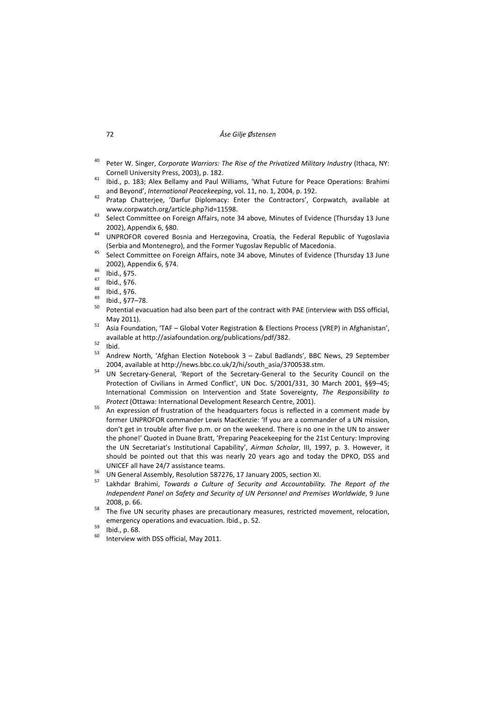## 72 *Åse Gilje Østensen*

- <sup>40</sup> Peter W. Singer, *Corporate Warriors: The Rise of the Privatized Military Industry* (Ithaca, NY:
- Cornell University Press, 2003), p. 182. <sup>41</sup> Ibid., p. 183; Alex Bellamy and Paul Williams, 'What Future for Peace Operations: Brahimi
- and Beyond', *International Peacekeeping*, vol. 11, no. 1, 2004, p. 192. <sup>42</sup> Pratap Chatterjee, 'Darfur Diplomacy: Enter the Contractors', Corpwatch, available at www.corpwatch.org/article.php?id=11598. <sup>43</sup> Select Committee on Foreign Affairs, note <sup>34</sup> above*,* Minutes of Evidence (Thursday <sup>13</sup> June
- 
- 2002), Appendix 6, §80.<br><sup>44</sup> UNPROFOR covered Bosnia and Herzegovina, Croatia, the Federal Republic of Yugoslavia
- (Serbia and Montenegro), and the Former Yugoslav Republic of Macedonia. <sup>45</sup> Select Committee on Foreign Affairs, note <sup>34</sup> above*,* Minutes of Evidence (Thursday <sup>13</sup> June 2002), Appendix 6, §74.<br>
46 Ibid., §75.<br>
47 Ibid., §76.<br>
48 Ibid., §76.<br>
49 Ibid., §77–78.<br>
50 Potential evacuation had also been part of the contract with PAE (interview with DSS official,
- 
- 
- 
- 
- May 2011).<br><sup>51</sup> Asia Foundation, 'TAF Global Voter Registration & Elections Process (VREP) in Afghanistan',
- 
- 
- available at http://asiafoundation.org/publications/pdf/382.<br>
<sup>52</sup> Ibid.<br>
53 Andrew North, 'Afghan Election Notebook 3 Zabul Badlands', BBC News, 29 September
- 2004, available at http://news.bbc.co.uk/2/hi/south\_asia/3700538.stm.<br><sup>54</sup> UN Secretary-General, 'Report of the Secretary-General to the Security Council on the Protection of Civilians in Armed Conflict', UN Doc. S/2001/331, 30 March 2001, §§9–45; International Commission on Intervention and State Sovereignty, *The Responsibility to Protect* (Ottawa: International Development Research Centre, 2001).<br><sup>55</sup> An expression of frustration of the headquarters focus is reflected in a comment made by
- former UNPROFOR commander Lewis MacKenzie: 'If you are a commander of a UN mission, don't get in trouble after five p.m. or on the weekend. There is no one in the UN to answer the phone!' Quoted in Duane Bratt, 'Preparing Peacekeeping for the 21st Century: Improving the UN Secretariat's Institutional Capability', *Airman Scholar*, III, 1997, p. 3. However, it should be pointed out that this was nearly 20 years ago and today the DPKO, DSS and UNICEF all have 24/7 assistance teams.<br><sup>56</sup> UN General Assembly, Resolution 587276, 17 January 2005, section XI.<br><sup>57</sup> Lakhdar Brahimi, *Towards a Culture of Security and Accountability. The Report of the*
- 
- *Independent Panel on Safety and Security of UN Personnel and Premises Worldwide*, 9 June 2008, p. 66. **58 The five UN** security phases are precautionary measures, restricted movement, relocation,
- emergency operations and evacuation. Ibid., p. 52.<br><sup>59</sup> Ibid., p. 68.<br><sup>60</sup> Interview with DSS official, May 2011.
- 
-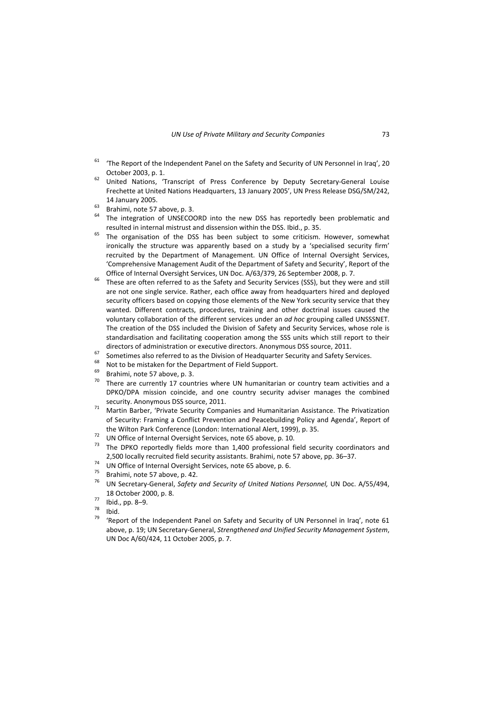- $61$  'The Report of the Independent Panel on the Safety and Security of UN Personnel in Iraq', 20 October 2003, p. 1.<br><sup>62</sup> United Nations, 'Transcript of Press Conference by Deputy Secretary-General Louise
- Frechette at United Nations Headquarters, 13 January 2005', UN Press Release DSG/SM/242,
- 
- 14 January 2005.<br>
<sup>63</sup> Brahimi, note 57 above, p. 3.<br>
<sup>64</sup> The integration of UNSECOORD into the new DSS has reportedly been problematic and
- resulted in internal mistrust and dissension within the DSS. Ibid., p. 35.<br><sup>65</sup> The organisation of the DSS has been subject to some criticism. However, somewhat ironically the structure was apparently based on a study by a 'specialised security firm' recruited by the Department of Management. UN Office of Internal Oversight Services, 'Comprehensive Management Audit of the Department of Safety and Security', Report of the
- Office of Internal Oversight Services, UN Doc. A/63/379, 26 September 2008, p. 7.<br><sup>66</sup> These are often referred to as the Safety and Security Services (SSS), but they were and still are not one single service. Rather, each office away from headquarters hired and deployed security officers based on copying those elements of the New York security service that they wanted. Different contracts, procedures, training and other doctrinal issues caused the voluntary collaboration of the different services under an *ad hoc* grouping called UNSSSNET. The creation of the DSS included the Division of Safety and Security Services, whose role is standardisation and facilitating cooperation among the SSS units which still report to their directors of administration or executive directors. Anonymous DSS source, 2011.<br>
Sometimes also referred to as the Division of Headquarter Security and Safety Services.<br>
Not to be mistaken for the Department of Field Supp
- 
- 
- 
- DPKO/DPA mission coincide, and one country security adviser manages the combined security. Anonymous DSS source, 2011.<br><sup>71</sup> Martin Barber, 'Private Security Companies and Humanitarian Assistance. The Privatization
- of Security: Framing a Conflict Prevention and Peacebuilding Policy and Agenda', Report of the Wilton Park Conference (London: International Alert, 1999), p. 35.<br><sup>72</sup> UN Office of Internal Oversight Services, note 65 above, p. 10.<br><sup>73</sup> The DPKO reportedly fields more than 1.400 professional field security coordi
- 
- 2,500 locally recruited field security assistants. Brahimi, note 57 above, pp. 36–37.<br>
UN Office of Internal Oversight Services, note 65 above, p. 6.<br>
Brahimi, note 57 above, p. 42.<br>
<sup>75</sup> UN Secretary-General, *Safety and*
- 
- 
- 18 October 2000, p. 8.<br>
<sup>77</sup> Ibid., pp. 8–9.<br>
<sup>78</sup> Ibid.<br>
<sup>79</sup> 'Report of the Independent Panel on Safety and Security of UN Personnel in Iraq', note 61
- 
- 
- above, p. 19; UN Secretary‐General, *Strengthened and Unified Security Management System*, UN Doc A/60/424, 11 October 2005, p. 7.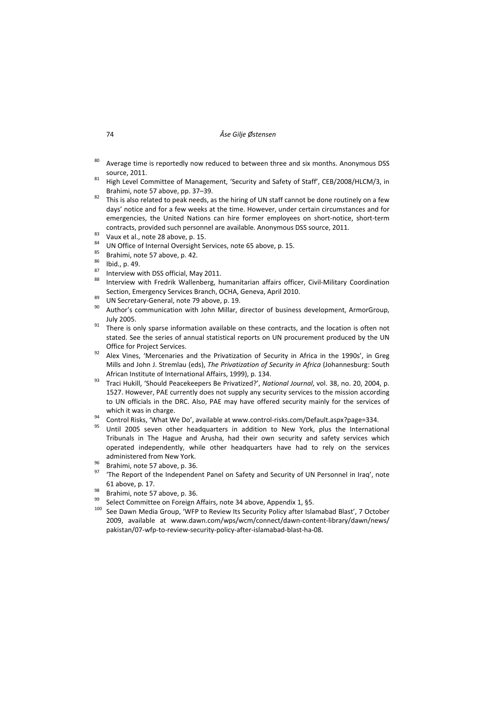- <sup>80</sup> Average time is reportedly now reduced to between three and six months. Anonymous DSS
- source, 2011.<br><sup>81</sup> High Level Committee of Management, 'Security and Safety of Staff', CEB/2008/HLCM/3, in Brahimi, note 57 above, pp. 37–39.<br><sup>82</sup> This is also related to peak needs, as the hiring of UN staff cannot be done routinely on a few
- days' notice and for a few weeks at the time. However, under certain circumstances and for emergencies, the United Nations can hire former employees on short‐notice, short‐term
- 
- 
- 
- 
- 
- contracts, provided such personnel are available. Anonymous DSS source, 2011.<br>
<sup>83</sup> Vaux et al., note 28 above, p. 15.<br>
<sup>84</sup> UN Office of Internal Oversight Services, note 65 above, p. 15.<br>
<sup>85</sup> Brahimi, note 57 above, p.
- 
- Section, Emergency Services Branch, OCHA, Geneva, April 2010.<br>
 <sup>89</sup> UN Secretary‐General, note 79 above, p. 19.<br>
 <sup>90</sup> Author's communication with John Millar, director of business development, ArmorGroup,
- July 2005.<br><sup>91</sup> There is only sparse information available on these contracts, and the location is often not stated. See the series of annual statistical reports on UN procurement produced by the UN
- Office for Project Services.<br><sup>92</sup> Alex Vines, 'Mercenaries and the Privatization of Security in Africa in the 1990s', in Greg Mills and John J. Stremlau (eds), *The Privatization of Security in Africa* (Johannesburg: South African Institute of International Affairs, 1999), p. 134. <sup>93</sup> Traci Hukill, 'Should Peacekeepers Be Privatized?', *National Journal*, vol. 38, no. 20, 2004, p.
- 1527. However, PAE currently does not supply any security services to the mission according to UN officials in the DRC. Also, PAE may have offered security mainly for the services of
- which it was in charge.<br><sup>94</sup> Control Risks, 'What We Do', available at www.control-risks.com/Default.aspx?page=334.<br><sup>95</sup> Until 2005 seven other headquarters in addition to New York, plus the International
- Tribunals in The Hague and Arusha, had their own security and safety services which operated independently, while other headquarters have had to rely on the services
- 
- administered from New York.<br><sup>96</sup> Brahimi, note 57 above, p. 36.<br><sup>97</sup> 'The Report of the Independent Panel on Safety and Security of UN Personnel in Iraq', note 61 above, p. 17.<br><sup>98</sup> Brahimi, note 57 above, p. 36.<br><sup>99</sup> Select Committee on Foreign Affairs, note 34 above, Appendix 1, §5.<br><sup>100</sup> See Dawn Media Group, 'WFP to Review Its Security Policy after Islamabad Blast', 7 Octobe
- 
- 
- 2009, available at www.dawn.com/wps/wcm/connect/dawn‐content‐library/dawn/news/ pakistan/07‐wfp‐to‐review‐security‐policy‐after‐islamabad‐blast‐ha‐08.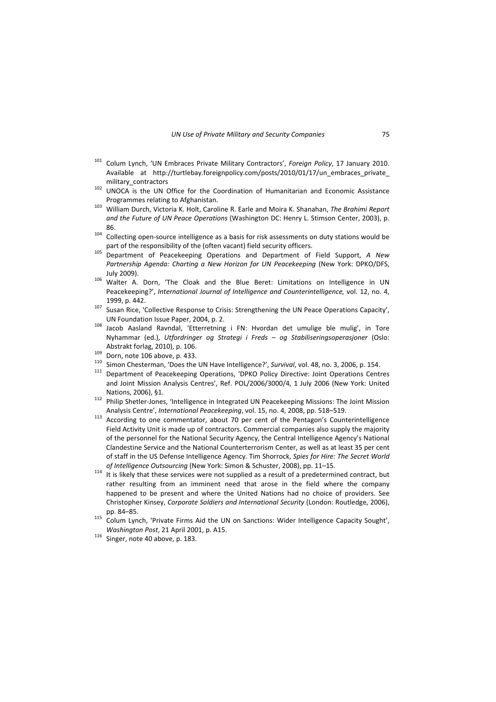- <sup>101</sup> Colum Lynch, 'UN Embraces Private Military Contractors', *Foreign Policy*, 17 January 2010. Available at http://turtlebay.foreignpolicy.com/posts/2010/01/17/un\_embraces\_private\_ military\_contractors 102 unitary\_contractors 102 UNOCA is the UN Office for the Coordination of Humanitarian and Economic Assistance
- 
- Programmes relating to Afghanistan. <sup>103</sup> William Durch, Victoria K. Holt, Caroline R. Earle and Moira K. Shanahan, *The Brahimi Report and the Future of UN Peace Operations* (Washington DC: Henry L. Stimson Center, 2003), p. 86.<br><sup>104</sup> Collecting open-source intelligence as a basis for risk assessments on duty stations would be
- part of the responsibility of the (often vacant) field security officers. <sup>105</sup> Department of Peacekeeping Operations and Department of Field Support, *<sup>A</sup> New*
- *Partnership Agenda: Charting a New Horizon for UN Peacekeeping* (New York: DPKO/DFS, July 2009).<br><sup>106</sup> Walter A. Dorn, 'The Cloak and the Blue Beret: Limitations on Intelligence in UN
- Peacekeeping?', *International Journal of Intelligence and Counterintelligence,* vol. 12, no. 4, 1999, p. 442. <sup>107</sup> Susan Rice, 'Collective Response to Crisis: Strengthening the UN Peace Operations Capacity',
- UN Foundation Issue Paper, 2004, p. 2.<br><sup>108</sup> Jacob Aasland Ravndal, 'Etterretning i FN: Hvordan det umulige ble mulig', in Tore
- Nyhammar (ed.), *Utfordringer og Strategi i Freds – og Stabiliseringsoperasjoner* (Oslo: Abstrakt forlag, 2010), p. 106.<br>
<sup>109</sup> Dorn, note 106 above, p. 433.<br>
<sup>109</sup> Simon Chesterman, 'Does the UN Have Intelligence?', Survival, vol. 48, no. 3, 2006, p. 154.<br>
<sup>110</sup> Simon Chesterman, 'Does the UN Have Intelligenc
- 
- 
- and Joint Mission Analysis Centres', Ref. POL/2006/3000/4, 1 July 2006 (New York: United
- Nations, 2006), §1.<br><sup>112</sup> Philip Shetler-Jones, 'Intelligence in Integrated UN Peacekeeping Missions: The Joint Mission
- Analysis Centre', *International Peacekeeping*, vol. 15, no. 4, 2008, pp. 518–519.<br><sup>113</sup> According to one commentator, about 70 per cent of the Pentagon's Counterintelligence Field Activity Unit is made up of contractors. Commercial companies also supply the majority of the personnel for the National Security Agency, the Central Intelligence Agency's National Clandestine Service and the National Counterterrorism Center, as well as at least 35 per cent of staff in the US Defense Intelligence Agency. Tim Shorrock, *Spies for Hire: The Secret World*
- *of Intelligence Outsourcing* (New York: Simon & Schuster, 2008), pp. 11–15.<br><sup>114</sup> It is likely that these services were not supplied as a result of a predetermined contract, but rather resulting from an imminent need that arose in the field where the company happened to be present and where the United Nations had no choice of providers. See Christopher Kinsey, *Corporate Soldiers and International Security* (London: Routledge, 2006),
- pp. 84–85. <sup>115</sup> Colum Lynch, 'Private Firms Aid the UN on Sanctions: Wider Intelligence Capacity Sought', *Washington Post*, <sup>21</sup> April 2001, p. A15. <sup>116</sup> Singer, note <sup>40</sup> above, p. 183.
-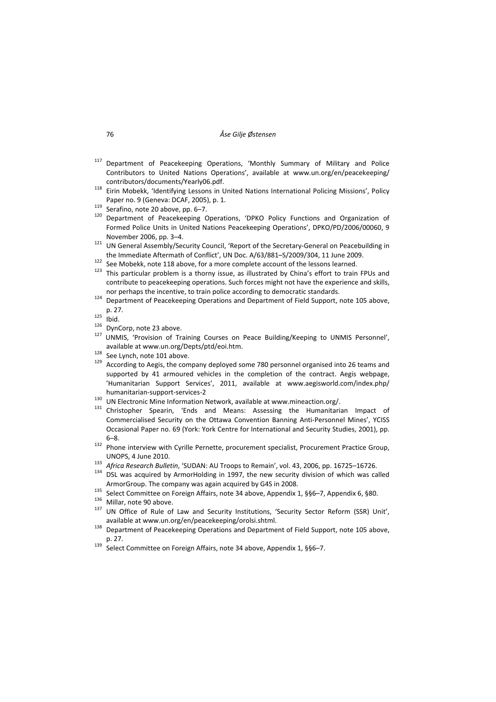- <sup>117</sup> Department of Peacekeeping Operations, 'Monthly Summary of Military and Police Contributors to United Nations Operations', available at www.un.org/en/peacekeeping/ contributors/documents/Yearly06.pdf.<br><sup>118</sup> Eirin Mobekk, 'Identifying Lessons in United Nations International Policing Missions', Policy
- 
- 
- Paper no. 9 (Geneva: DCAF, 2005), p. 1.<br>
<sup>119</sup> Serafino, note 20 above, pp. 6–7.<br>
<sup>120</sup> Department of Peacekeeping Operations, 'DPKO Policy Functions and Organization of Formed Police Units in United Nations Peacekeeping Operations', DPKO/PD/2006/00060, 9
- November 2006, pp. 3–4.<br><sup>121</sup> UN General Assembly/Security Council, 'Report of the Secretary-General on Peacebuilding in
- 
- the Immediate Aftermath of Conflict', UN Doc. A/63/881-S/2009/304, 11 June 2009.<br>
<sup>122</sup> See Mobekk, note 118 above, for a more complete account of the lessons learned.<br>
<sup>123</sup> This particular problem is a thorny issue, as i contribute to peacekeeping operations. Such forces might not have the experience and skills, nor perhaps the incentive, to train police according to democratic standards.
- $124$  Department of Peacekeeping Operations and Department of Field Support, note 105 above,
- 
- 
- p. 27.<br><sup>125</sup> Ibid.<br><sup>126</sup> DynCorp, note 23 above.<br><sup>127</sup> UNMIS, 'Provision of Training Courses on Peace Building/Keeping to UNMIS Personnel', available at www.un.org/Depts/ptd/eoi.htm.<br><sup>128</sup> See Lynch, note 101 above.<br><sup>129</sup> According to Aegis, the company deployed some 780 personnel organised into 26 teams and
- 
- supported by 41 armoured vehicles in the completion of the contract. Aegis webpage, 'Humanitarian Support Services', 2011, available at www.aegisworld.com/index.php/ humanitarian-support-services-2<br><sup>130</sup> UN Electronic Mine Information Network, available at www.mineaction.org/.<br><sup>131</sup> Christopher Spearin, 'Ends and Means: Assessing the Humanitarian Impact of
- 
- Commercialised Security on the Ottawa Convention Banning Anti‐Personnel Mines', YCISS Occasional Paper no. 69 (York: York Centre for International and Security Studies, 2001), pp.
- 6–8. <sup>132</sup> Phone interview with Cyrille Pernette, procurement specialist, Procurement Practice Group,
- 
- UNOPS, 4 June 2010.<br><sup>133</sup> *Africa Research Bulletin*, 'SUDAN: AU Troops to Remain', vol. 43, 2006, pp. 16725–16726.<br><sup>134</sup> DSL was acquired by ArmorHolding in 1997, the new security division of which was called
- ArmorGroup. The company was again acquired by G4S in 2008.<br>
<sup>135</sup> Select Committee on Foreign Affairs, note 34 above, Appendix 1, §§6–7, Appendix 6, §80.<br>
<sup>136</sup> Millar, note 90 above.<br>
<sup>137</sup> UN Office of Rule of Law and Se
- 
- available at www.un.org/en/peacekeeping/orolsi.shtml.<br><sup>138</sup> Department of Peacekeeping Operations and Department of Field Support, note 105 above,
- 
- p. 27.<br>
139 Select Committee on Foreign Affairs, note 34 above, Appendix 1, §§6–7.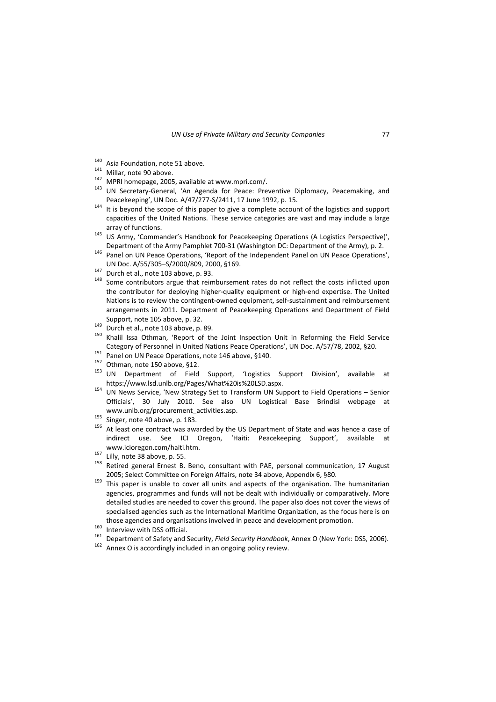- 
- 
- 
- <sup>140</sup> Asia Foundation, note 51 above.<br><sup>141</sup> Millar, note 90 above.<br><sup>142</sup> MPRI homepage, 2005, available at www.mpri.com/.<br><sup>143</sup> UN Secretary‐General, 'An Agenda for Peace: Preventive Diplomacy, Peacemaking, and Peacekeeping', UN Doc. A/47/277-S/2411, 17 June 1992, p. 15.<br><sup>144</sup> It is beyond the scope of this paper to give a complete account of the logistics and support
- capacities of the United Nations. These service categories are vast and may include a large array of functions.<br><sup>145</sup> US Army, 'Commander's Handbook for Peacekeeping Operations (A Logistics Perspective)',
- 
- Department of the Army Pamphlet 700-31 (Washington DC: Department of the Army), p. 2.<br><sup>146</sup> Panel on UN Peace Operations, 'Report of the Independent Panel on UN Peace Operations', UN Doc. A/55/305–S/2000/809, 2000, §169.<br><sup>147</sup> Durch et al., note 103 above, p. 93.<br><sup>148</sup> Some contributors argue that reimbursement rates do not reflect the costs inflicted upon
- 
- the contributor for deploying higher‐quality equipment or high‐end expertise. The United Nations is to review the contingent‐owned equipment, self‐sustainment and reimbursement arrangements in 2011. Department of Peacekeeping Operations and Department of Field
- 
- Support, note 105 above, p. 32.<br>
<sup>149</sup> Durch et al., note 103 above, p. 89.<br>
<sup>150</sup> Khalil Issa Othman, 'Report of the Joint Inspection Unit in Reforming the Field Service Category of Personnel in United Nations Peace Operations', UN Doc. A/57/78, 2002, §20.<br>
<sup>151</sup> Panel on UN Peace Operations, note 146 above, §140.<br>
<sup>152</sup> Othman, note 150 above, §12.<br>
<sup>153</sup> UN Department of Field Support, '
- 
- 
- 
- https://www.lsd.unlb.org/Pages/What%20is%20LSD.aspx. <sup>154</sup> UN News Service, 'New Strategy Set to Transform UN Support to Field Operations Senior Officials', 30 July 2010. See also UN Logistical Base Brindisi webpage at www.unlb.org/procurement\_activities.asp.<br>
<sup>155</sup> Singer, note 40 above, p. 183.<br>
<sup>156</sup> At least one contract was awarded by the US Department of State and was hence a case of
- 
- indirect use. See ICI Oregon, 'Haiti: Peacekeeping Support', available at www.icioregon.com/haiti.htm.<br><sup>157</sup> Lilly, note 38 above, p. 55.<br><sup>158</sup> Retired general Ernest B. Beno, consultant with PAE, personal communication, 17 August
- 
- 
- 2005; Select Committee on Foreign Affairs, note 34 above, Appendix 6, §80.<br><sup>159</sup> This paper is unable to cover all units and aspects of the organisation. The humanitarian agencies, programmes and funds will not be dealt with individually or comparatively. More detailed studies are needed to cover this ground. The paper also does not cover the views of specialised agencies such as the International Maritime Organization, as the focus here is on those agencies and organisations involved in peace and development promotion.<br>
<sup>160</sup> Interview with DSS official.<br>
Department of Safety and Security, *Field Security Handbook*, Annex O (New York: DSS, 2006).<br>
<sup>162</sup> Annex O
- 
- 
-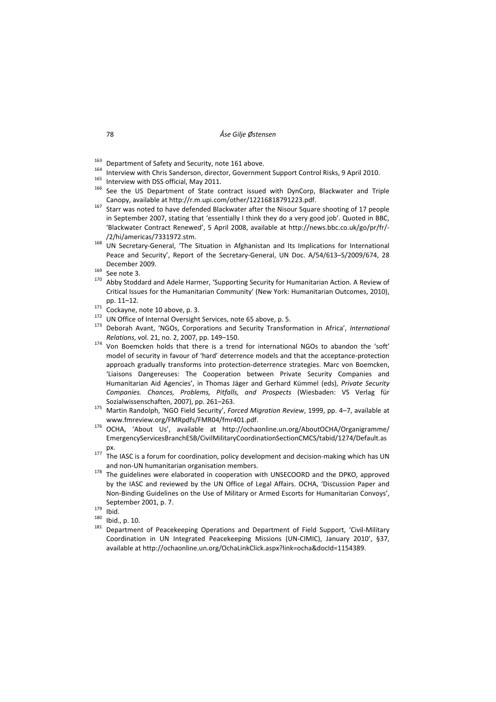- 
- <sup>163</sup> Department of Safety and Security, note 161 above.<br><sup>164</sup> Interview with Chris Sanderson, director, Government Support Control Risks, 9 April 2010.<br><sup>165</sup> Interview with DSS official, May 2011.<br><sup>166</sup> See the US Depart
- 
- Canopy, available at http://r.m.upi.com/other/12216818791223.pdf.<br><sup>167</sup> Starr was noted to have defended Blackwater after the Nisour Square shooting of 17 people
- in September 2007, stating that 'essentially I think they do a very good job'. Quoted in BBC, 'Blackwater Contract Renewed', 5 April 2008, available at http://news.bbc.co.uk/go/pr/fr/‐
- /2/hi/americas/7331972.stm.<br><sup>168</sup> UN Secretary-General, 'The Situation in Afghanistan and Its Implications for International Peace and Security', Report of the Secretary‐General, UN Doc. A/54/613–S/2009/674, 28
- 
- December 2009.<br><sup>169</sup> See note 3.<br><sup>170</sup> Abby Stoddard and Adele Harmer, 'Supporting Security for Humanitarian Action. A Review of Critical Issues for the Humanitarian Community' (New York: Humanitarian Outcomes, 2010),
- 
- 
- pp. 11–12.<br><sup>171</sup> Cockayne, note 10 above, p. 3.<br><sup>172</sup> UN Office of Internal Oversight Services, note 65 above, p. 5.<br><sup>173</sup> Deborah Avant, 'NGOs, Corporations and Security Transformation in Africa', *International*
- *Relations*, vol. 21, no. 2, 2007, pp. 149–150.<br><sup>174</sup> Von Boemcken holds that there is a trend for international NGOs to abandon the 'soft' model of security in favour of 'hard' deterrence models and that the acceptance‐protection approach gradually transforms into protection‐deterrence strategies. Marc von Boemcken, 'Liaisons Dangereuses: The Cooperation between Private Security Companies and Humanitarian Aid Agencies', in Thomas Jäger and Gerhard Kümmel (eds), *Private Security Companies. Chances, Problems, Pitfalls, and Prospects* (Wiesbaden: VS Verlag für Sozialwissenschaften, 2007), pp. 261–263. <sup>175</sup> Martin Randolph, 'NGO Field Security', *Forced Migration Review*, 1999, pp. 4–7, available at
- www.fmreview.org/FMRpdfs/FMR04/fmr401.pdf. <sup>176</sup> OCHA, 'About Us', available at http://ochaonline.un.org/AboutOCHA/Organigramme/
- EmergencyServicesBranchESB/CivilMilitaryCoordinationSectionCMCS/tabid/1274/Default.as
- px.<br><sup>177</sup> The IASC is a forum for coordination, policy development and decision-making which has UN
- and non-UN humanitarian organisation members.<br><sup>178</sup> The guidelines were elaborated in cooperation with UNSECOORD and the DPKO, approved by the IASC and reviewed by the UN Office of Legal Affairs. OCHA, 'Discussion Paper and Non‐Binding Guidelines on the Use of Military or Armed Escorts for Humanitarian Convoys',
- 
- 
- September 2001, p. 7.<br>
<sup>179</sup> Ibid.<br><sup>180</sup> Ibid., p. 10.<br>
<sup>181</sup> Department of Peacekeeping Operations and Department of Field Support, 'Civil-Military Coordination in UN Integrated Peacekeeping Missions (UN‐CIMIC), January 2010', §37, available at http://ochaonline.un.org/OchaLinkClick.aspx?link=ocha&docId=1154389.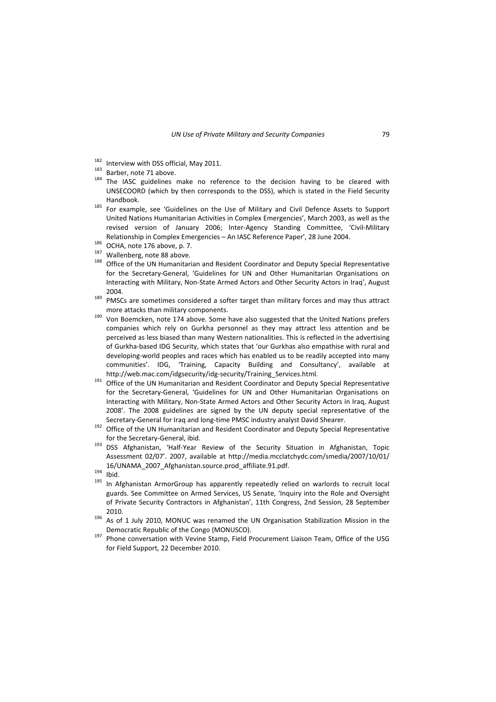- 
- 
- <sup>182</sup> Interview with DSS official, May 2011.<br><sup>183</sup> Barber, note 71 above.<br><sup>184</sup> The IASC guidelines make no reference to the decision having to be cleared with UNSECOORD (which by then corresponds to the DSS), which is stated in the Field Security Handbook. <sup>185</sup> For example, see 'Guidelines on the Use of Military and Civil Defence Assets to Support
- United Nations Humanitarian Activities in Complex Emergencies', March 2003, as well as the revised version of January 2006; Inter‐Agency Standing Committee, 'Civil‐Military Relationship in Complex Emergencies – An IASC Reference Paper', 28 June 2004.<br><sup>186</sup> OCHA, note 176 above, p. 7.<br><sup>187</sup> Wallenberg, note 88 above.<br><sup>187</sup> Wallenberg, note 88 above.<br><sup>188</sup> Office of the UN Humanitarian and Resi
- 
- 
- for the Secretary‐General, 'Guidelines for UN and Other Humanitarian Organisations on Interacting with Military, Non‐State Armed Actors and Other Security Actors in Iraq', August 2004.<br><sup>189</sup> PMSCs are sometimes considered a softer target than military forces and may thus attract
- more attacks than military components.<br><sup>190</sup> Von Boemcken, note 174 above. Some have also suggested that the United Nations prefers
- companies which rely on Gurkha personnel as they may attract less attention and be perceived as less biased than many Western nationalities. This is reflected in the advertising of Gurkha‐based IDG Security, which states that 'our Gurkhas also empathise with rural and developing‐world peoples and races which has enabled us to be readily accepted into many communities'. IDG, 'Training, Capacity Building and Consultancy', available at
- http://web.mac.com/idgsecurity/idg-security/Training\_Services.html.<br><sup>191</sup> Office of the UN Humanitarian and Resident Coordinator and Deputy Special Representative for the Secretary‐General, 'Guidelines for UN and Other Humanitarian Organisations on Interacting with Military, Non‐State Armed Actors and Other Security Actors in Iraq, August 2008'. The 2008 guidelines are signed by the UN deputy special representative of the Secretary‐General for Iraq and long‐time PMSC industry analyst David Shearer.<br><sup>192</sup> Office of the UN Humanitarian and Resident Coordinator and Deputy Special Representative
- 
- for the Secretary‐General, ibid. 193 DSS Afghanistan, 'Half‐Year Review of the Security Situation in Afghanistan, Topic Assessment 02/07'. 2007, available at http://media.mcclatchydc.com/smedia/2007/10/01/ 16/UNAMA\_2007\_Afghanistan.source.prod\_affiliate.91.pdf.<br>
<sup>194</sup> Ibid.<br>
<sup>195</sup> In Afghanistan ArmorGroup has apparently repeatedly relied on warlords to recruit local
- 
- guards. See Committee on Armed Services, US Senate, 'Inquiry into the Role and Oversight of Private Security Contractors in Afghanistan', 11th Congress, 2nd Session, 28 September 2010.<br><sup>196</sup> As of 1 July 2010, MONUC was renamed the UN Organisation Stabilization Mission in the
- 
- Democratic Republic of the Congo (MONUSCO).<br><sup>197</sup> Phone conversation with Vevine Stamp, Field Procurement Liaison Team, Office of the USG for Field Support, 22 December 2010.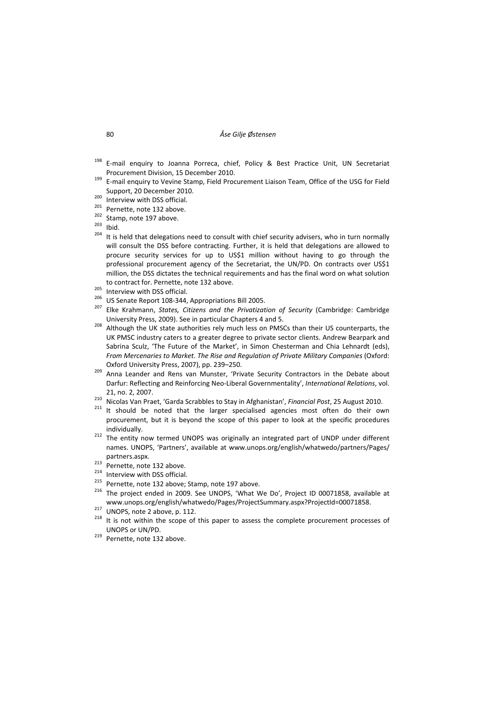- <sup>198</sup> E-mail enguiry to Joanna Porreca, chief, Policy & Best Practice Unit, UN Secretariat Procurement Division, 15 December 2010.<br><sup>199</sup> E-mail enquiry to Vevine Stamp, Field Procurement Liaison Team, Office of the USG for Field
- Support, 20 December 2010.<br>
200 Interview with DSS official.<br>
201 Pernette, note 132 above.<br>
202 Stamp, note 197 above.<br>
203 Ibid.<br>
204 It is held that delegations need to consult with chief security advisers, who in turn
- 
- 
- 
- 
- will consult the DSS before contracting. Further, it is held that delegations are allowed to procure security services for up to US\$1 million without having to go through the professional procurement agency of the Secretariat, the UN/PD. On contracts over US\$1 million, the DSS dictates the technical requirements and has the final word on what solution
- 
- 
- to contract for. Pernette, note 132 above.<br>
<sup>205</sup> Interview with DSS official.<br>
<sup>206</sup> US Senate Report 108-344, Appropriations Bill 2005.<br>
<sup>207</sup> Elke Krahmann, *States, Citizens and the Privatization of Security* (Cambridg University Press, 2009). See in particular Chapters 4 and 5.<br><sup>208</sup> Although the UK state authorities rely much less on PMSCs than their US counterparts, the
- UK PMSC industry caters to a greater degree to private sector clients. Andrew Bearpark and Sabrina Sculz, 'The Future of the Market', in Simon Chesterman and Chia Lehnardt (eds), *From Mercenaries to Market. The Rise and Regulation of Private Military Companies* (Oxford:
- Oxford University Press, 2007), pp. 239–250. <sup>209</sup> Anna Leander and Rens van Munster, 'Private Security Contractors in the Debate about Darfur: Reflecting and Reinforcing Neo‐Liberal Governmentality', *International Relations*, vol.
- 21, no. 2, 2007.<br><sup>210</sup> Nicolas Van Praet, 'Garda Scrabbles to Stay in Afghanistan', *Financial Post*, 25 August 2010.<br><sup>211</sup> It should be noted that the larger specialised agencies most often do their own
- procurement, but it is beyond the scope of this paper to look at the specific procedures
- individually. <sup>212</sup> The entity now termed UNOPS was originally an integrated part of UNDP under different names. UNOPS, 'Partners', available at www.unops.org/english/whatwedo/partners/Pages/
- 
- 
- 
- partners.aspx.<br>
<sup>213</sup> Pernette, note 132 above.<br>
<sup>215</sup> Interview with DSS official.<br>
<sup>215</sup> Pernette, note 132 above; Stamp, note 197 above.<br>
<sup>216</sup> The project ended in 2009. See UNOPS, 'What We Do', Project ID 00071858, av
- 
- www.unops.org/english/whatwedo/Pages/ProjectSummary.aspx?ProjectId=00071858.<br><sup>217</sup> UNOPS, note 2 above, p. 112.<br><sup>218</sup> It is not within the scope of this paper to assess the complete procurement processes of UNOPS or UN/PD.<br><sup>219</sup> Pernette, note 132 above.
-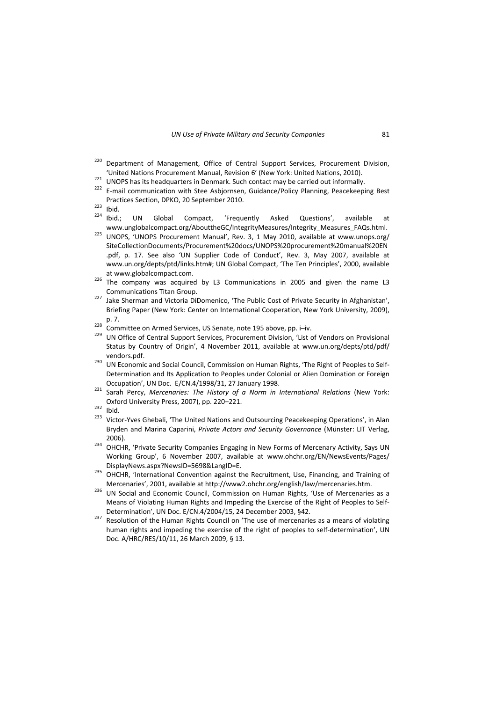- <sup>220</sup> Department of Management, Office of Central Support Services, Procurement Division,
- 
- United Nations Procurement Manual, Revision 6' (New York: United Nations, 2010).<br><sup>221</sup> UNOPS has its headquarters in Denmark. Such contact may be carried out informally.<br><sup>222</sup> E-mail communication with Stee Asbjornsen, Gui Practices Section, DPKO, 20 September 2010.<br>
<sup>223</sup> Ibid.<br>
<sup>224</sup> Ibid.; UN Global Compact, 'Frequently Asked Questions', available at
- 
- 
- www.unglobalcompact.org/AbouttheGC/IntegrityMeasures/Integrity\_Measures\_FAQs.html.<br><sup>225</sup> UNOPS, 'UNOPS Procurement Manual', Rev. 3, 1 May 2010, available at www.unops.org/ SiteCollectionDocuments/Procurement%20docs/UNOPS%20procurement%20manual%20EN .pdf, p. 17. See also 'UN Supplier Code of Conduct', Rev. 3, May 2007, available at www.un.org/depts/ptd/links.htm#; UN Global Compact, 'The Ten Principles', 2000, available
- at www.globalcompact.com.<br><sup>226</sup> The company was acquired by L3 Communications in 2005 and given the name L3
- Communications Titan Group. <sup>227</sup> Jake Sherman and Victoria DiDomenico, 'The Public Cost of Private Security in Afghanistan', Briefing Paper (New York: Center on International Cooperation, New York University, 2009), p. 7.<br><sup>228</sup> Committee on Armed Services, US Senate, note 195 above, pp. i–iv.<br><sup>229</sup> UN Office of Central Support Services, Procurement Division, 'List of Vendors on Provisional
- 
- Status by Country of Origin', 4 November 2011, available at www.un.org/depts/ptd/pdf/ vendors.pdf.<br><sup>230</sup> UN Economic and Social Council, Commission on Human Rights, 'The Right of Peoples to Self-
- Determination and Its Application to Peoples under Colonial or Alien Domination or Foreign Occupation', UN Doc. E/CN.4/1998/31, <sup>27</sup> January 1998. <sup>231</sup> Sarah Percy, *Mercenaries: The History of <sup>a</sup> Norm in International Relations* (New York:
- Oxford University Press, 2007), pp. 220–221.<br><sup>232</sup> Ibid.<br><sup>233</sup> Victor-Yves Ghebali, 'The United Nations and Outsourcing Peacekeeping Operations', in Alan
- 
- Bryden and Marina Caparini, *Private Actors and Security Governance* (Münster: LIT Verlag,
- 2006)*.* <sup>234</sup> OHCHR, 'Private Security Companies Engaging in New Forms of Mercenary Activity, Says UN Working Group', 6 November 2007, available at www.ohchr.org/EN/NewsEvents/Pages/
- DisplayNews.aspx?NewsID=5698&LangID=E.<br><sup>235</sup> OHCHR, 'International Convention against the Recruitment, Use, Financing, and Training of
- Mercenaries', 2001, available at http://www2.ohchr.org/english/law/mercenaries.htm.<br><sup>236</sup> UN Social and Economic Council, Commission on Human Rights, 'Use of Mercenaries as a Means of Violating Human Rights and Impeding the Exercise of the Right of Peoples to Self‐ Determination', UN Doc. E/CN.4/2004/15, 24 December 2003, §42.<br><sup>237</sup> Resolution of the Human Rights Council on 'The use of mercenaries as a means of violating
- human rights and impeding the exercise of the right of peoples to self-determination', UN Doc. A/HRC/RES/10/11, 26 March 2009, § 13.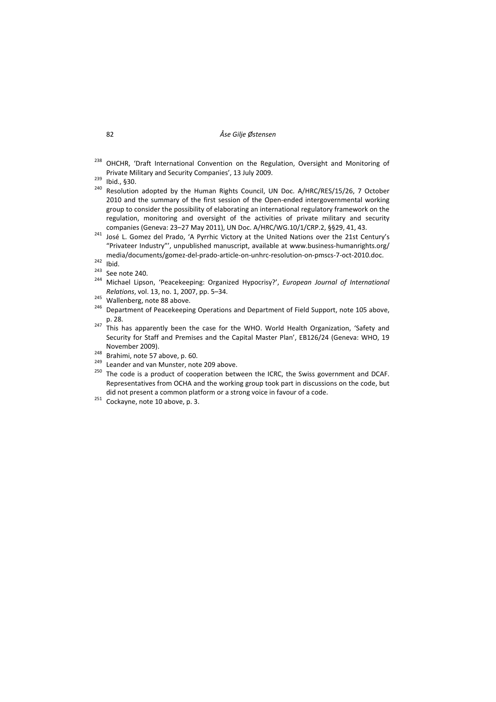- <sup>238</sup> OHCHR, 'Draft International Convention on the Regulation, Oversight and Monitoring of Private Military and Security Companies', 13 July 2009.<br>
<sup>239</sup> Ibid., §30.<br>
<sup>240</sup> Resolution adopted by the Human Rights Council, UN Doc. A/HRC/RES/15/26, 7 October
- 
- 2010 and the summary of the first session of the Open-ended intergovernmental working group to consider the possibility of elaborating an international regulatory framework on the regulation, monitoring and oversight of the activities of private military and security
- companies (Geneva: 23–27 May 2011), UN Doc. A/HRC/WG.10/1/CRP.2, §§29, 41, 43. <sup>241</sup> José L. Gomez del Prado, 'A Pyrrhic Victory at the United Nations over the 21st Century's "Privateer Industry"', unpublished manuscript, available at www.business‐humanrights.org/
- 
- 
- media/documents/gomez-del-prado-article-on-unhrc-resolution-on-pmscs-7-oct-2010.doc.<br><sup>242</sup> Ibid.<br><sup>243</sup> See note 240.<br><sup>244</sup> Michael Lipson, 'Peacekeeping: Organized Hypocrisy?', *European Journal of International Relations*, vol. 13, no. 1, 2007, pp. 5–34.<br><sup>245</sup> Wallenberg, note 88 above.<br><sup>246</sup> Department of Peacekeeping Operations and Department of Field Support, note 105 above,
- 
- 
- p. 28. <sup>247</sup> This has apparently been the case for the WHO. World Health Organization, 'Safety and Security for Staff and Premises and the Capital Master Plan', EB126/24 (Geneva: WHO, 19
- 
- 
- November 2009).<br>
<sup>248</sup> Brahimi, note 57 above, p. 60.<br>
<sup>249</sup> Leander and van Munster, note 209 above.<br>
<sup>250</sup> The code is a product of cooperation between the ICRC, the Swiss government and DCAF. Representatives from OCHA and the working group took part in discussions on the code, but did not present a common platform or a strong voice in favour of a code.<br>
<sup>251</sup> Cockavne, note 10 above, p. 3.
-